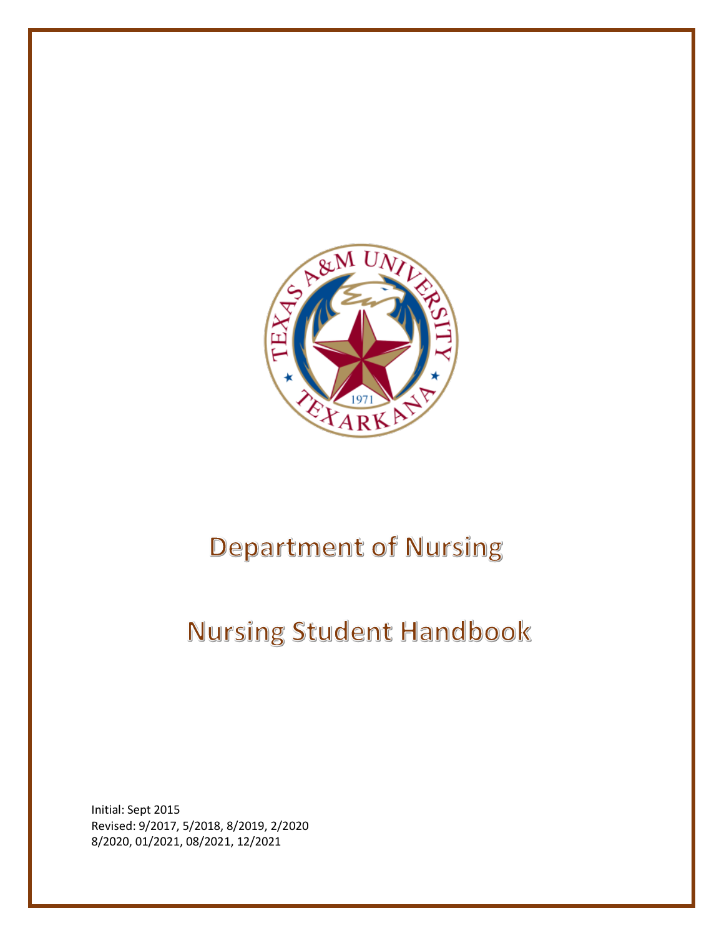

# **Department of Nursing**

# **Nursing Student Handbook**

Initial: Sept 2015 Revised: 9/2017, 5/2018, 8/2019, 2/2020 8/2020, 01/2021, 08/2021, 12/2021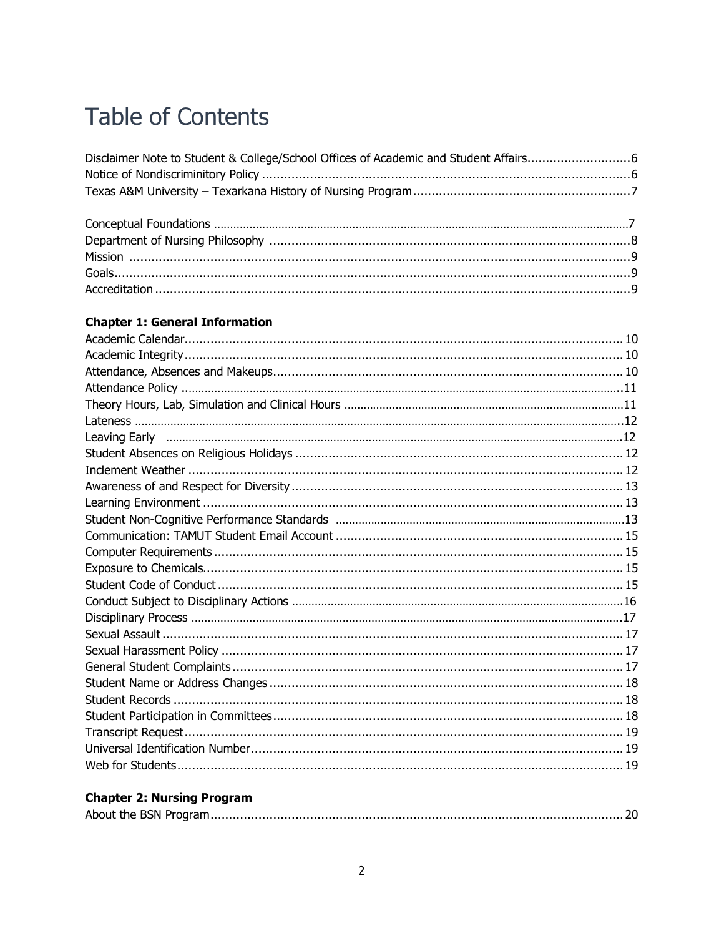## **Table of Contents**

## **Chapter 1: General Information**

## **Chapter 2: Nursing Program**

|--|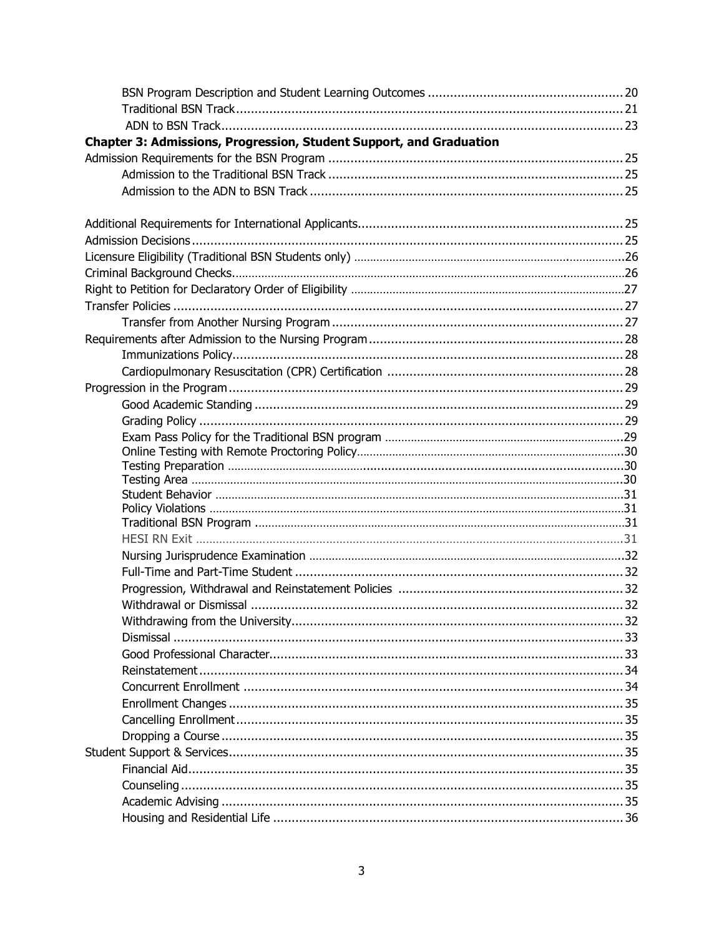| Chapter 3: Admissions, Progression, Student Support, and Graduation |  |
|---------------------------------------------------------------------|--|
|                                                                     |  |
|                                                                     |  |
|                                                                     |  |
|                                                                     |  |
|                                                                     |  |
|                                                                     |  |
|                                                                     |  |
|                                                                     |  |
|                                                                     |  |
|                                                                     |  |
|                                                                     |  |
|                                                                     |  |
|                                                                     |  |
|                                                                     |  |
|                                                                     |  |
|                                                                     |  |
|                                                                     |  |
|                                                                     |  |
|                                                                     |  |
|                                                                     |  |
|                                                                     |  |
|                                                                     |  |
|                                                                     |  |
|                                                                     |  |
|                                                                     |  |
|                                                                     |  |
|                                                                     |  |
|                                                                     |  |
|                                                                     |  |
|                                                                     |  |
|                                                                     |  |
|                                                                     |  |
|                                                                     |  |
|                                                                     |  |
|                                                                     |  |
|                                                                     |  |
|                                                                     |  |
|                                                                     |  |
|                                                                     |  |
|                                                                     |  |
|                                                                     |  |
|                                                                     |  |
|                                                                     |  |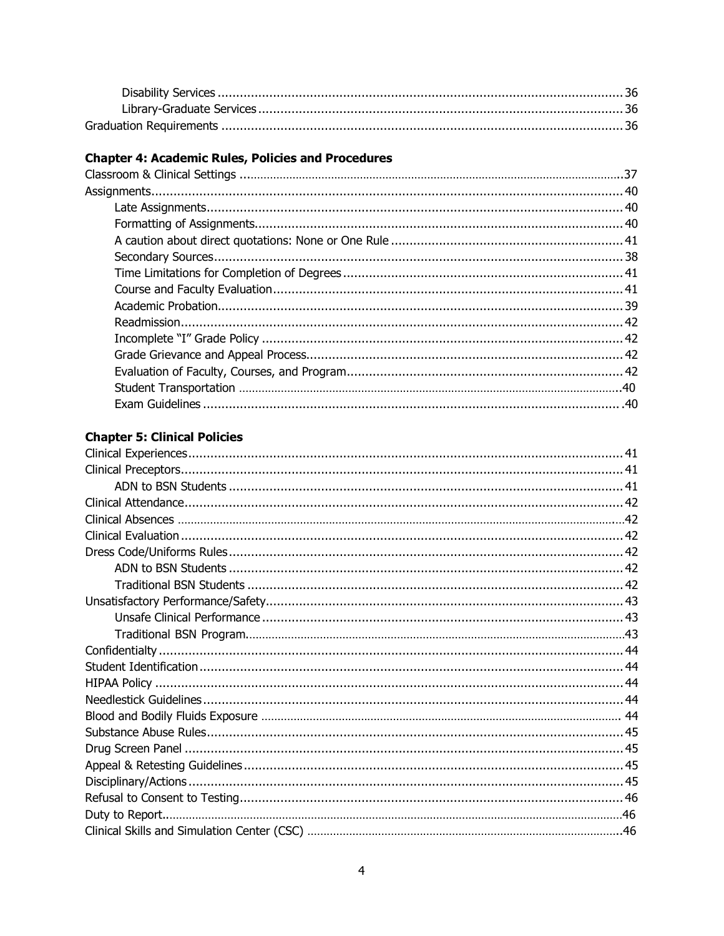## **Chapter 4: Academic Rules, Policies and Procedures**

## **Chapter 5: Clinical Policies**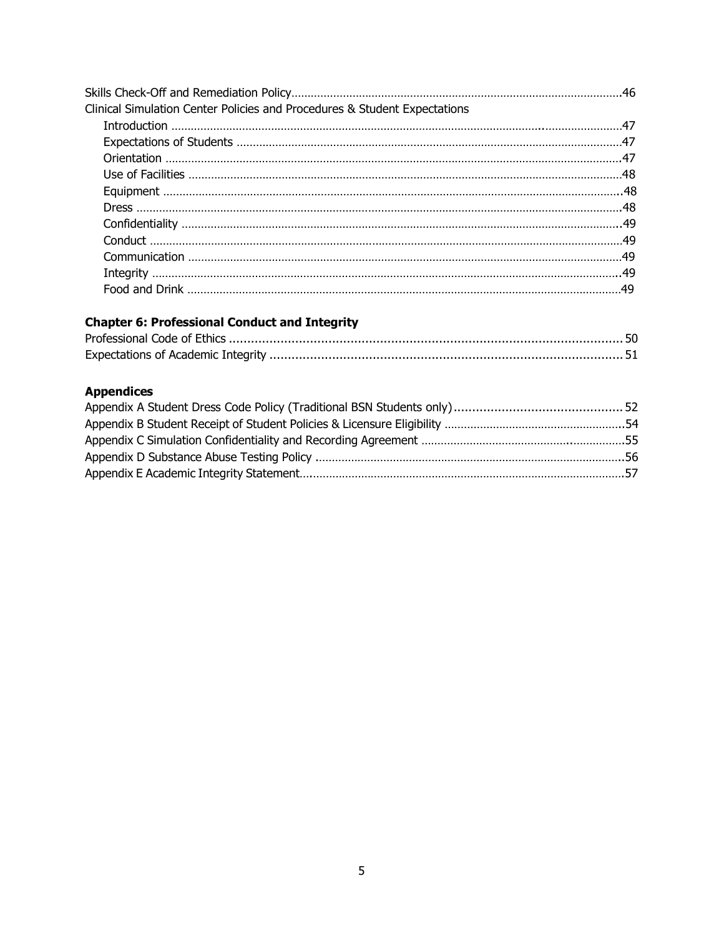| Clinical Simulation Center Policies and Procedures & Student Expectations |  |
|---------------------------------------------------------------------------|--|
|                                                                           |  |
|                                                                           |  |
|                                                                           |  |
|                                                                           |  |
|                                                                           |  |
|                                                                           |  |
|                                                                           |  |
|                                                                           |  |
|                                                                           |  |
|                                                                           |  |
|                                                                           |  |

## **Chapter 6: Professional Conduct and Integrity**

## **Appendices**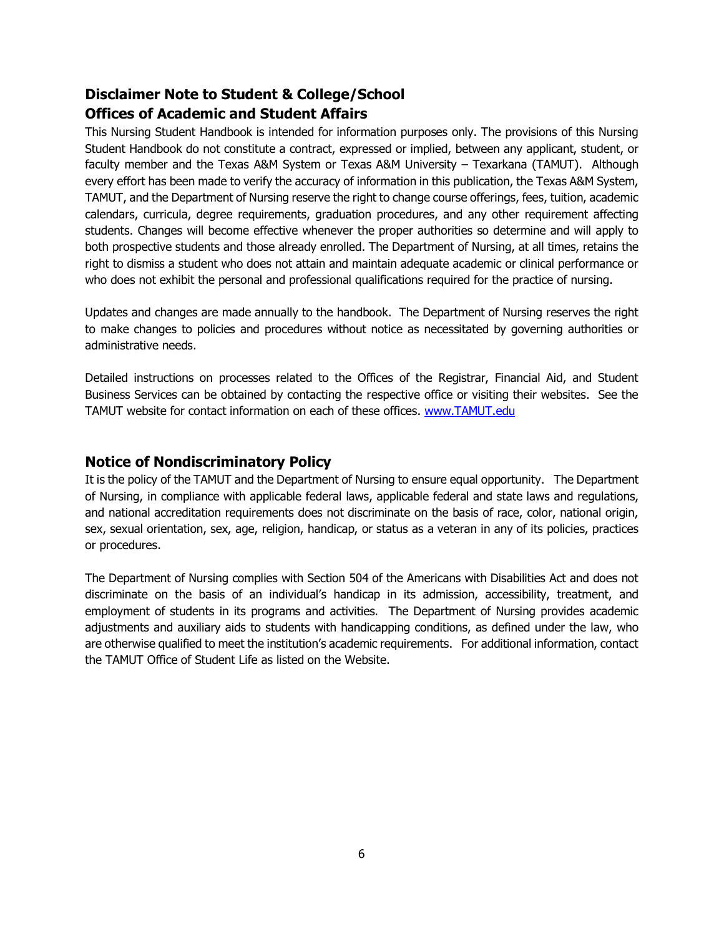## **Disclaimer Note to Student & College/School Offices of Academic and Student Affairs**

This Nursing Student Handbook is intended for information purposes only. The provisions of this Nursing Student Handbook do not constitute a contract, expressed or implied, between any applicant, student, or faculty member and the Texas A&M System or Texas A&M University – Texarkana (TAMUT). Although every effort has been made to verify the accuracy of information in this publication, the Texas A&M System, TAMUT, and the Department of Nursing reserve the right to change course offerings, fees, tuition, academic calendars, curricula, degree requirements, graduation procedures, and any other requirement affecting students. Changes will become effective whenever the proper authorities so determine and will apply to both prospective students and those already enrolled. The Department of Nursing, at all times, retains the right to dismiss a student who does not attain and maintain adequate academic or clinical performance or who does not exhibit the personal and professional qualifications required for the practice of nursing.

Updates and changes are made annually to the handbook. The Department of Nursing reserves the right to make changes to policies and procedures without notice as necessitated by governing authorities or administrative needs.

Detailed instructions on processes related to the Offices of the Registrar, Financial Aid, and Student Business Services can be obtained by contacting the respective office or visiting their websites. See the TAMUT website for contact information on each of these offices. [www.TAMUT.edu](http://www.tamut.edu/)

## **Notice of Nondiscriminatory Policy**

It is the policy of the TAMUT and the Department of Nursing to ensure equal opportunity. The Department of Nursing, in compliance with applicable federal laws, applicable federal and state laws and regulations, and national accreditation requirements does not discriminate on the basis of race, color, national origin, sex, sexual orientation, sex, age, religion, handicap, or status as a veteran in any of its policies, practices or procedures.

The Department of Nursing complies with Section 504 of the Americans with Disabilities Act and does not discriminate on the basis of an individual's handicap in its admission, accessibility, treatment, and employment of students in its programs and activities. The Department of Nursing provides academic adjustments and auxiliary aids to students with handicapping conditions, as defined under the law, who are otherwise qualified to meet the institution's academic requirements. For additional information, contact the TAMUT Office of Student Life as listed on the Website.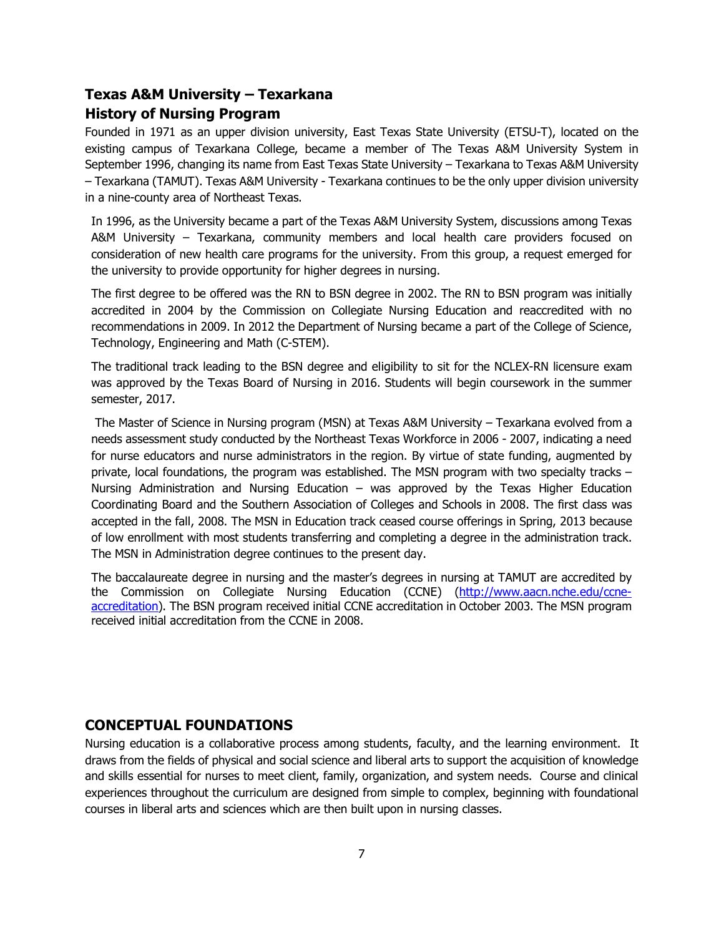## **Texas A&M University – Texarkana**

## **History of Nursing Program**

Founded in 1971 as an upper division university, East Texas State University (ETSU-T), located on the existing campus of Texarkana College, became a member of The Texas A&M University System in September 1996, changing its name from East Texas State University – Texarkana to Texas A&M University – Texarkana (TAMUT). Texas A&M University - Texarkana continues to be the only upper division university in a nine-county area of Northeast Texas.

In 1996, as the University became a part of the Texas A&M University System, discussions among Texas A&M University – Texarkana, community members and local health care providers focused on consideration of new health care programs for the university. From this group, a request emerged for the university to provide opportunity for higher degrees in nursing.

The first degree to be offered was the RN to BSN degree in 2002. The RN to BSN program was initially accredited in 2004 by the Commission on Collegiate Nursing Education and reaccredited with no recommendations in 2009. In 2012 the Department of Nursing became a part of the College of Science, Technology, Engineering and Math (C-STEM).

The traditional track leading to the BSN degree and eligibility to sit for the NCLEX-RN licensure exam was approved by the Texas Board of Nursing in 2016. Students will begin coursework in the summer semester, 2017.

The Master of Science in Nursing program (MSN) at Texas A&M University – Texarkana evolved from a needs assessment study conducted by the Northeast Texas Workforce in 2006 - 2007, indicating a need for nurse educators and nurse administrators in the region. By virtue of state funding, augmented by private, local foundations, the program was established. The MSN program with two specialty tracks – Nursing Administration and Nursing Education – was approved by the Texas Higher Education Coordinating Board and the Southern Association of Colleges and Schools in 2008. The first class was accepted in the fall, 2008. The MSN in Education track ceased course offerings in Spring, 2013 because of low enrollment with most students transferring and completing a degree in the administration track. The MSN in Administration degree continues to the present day.

The baccalaureate degree in nursing and the master's degrees in nursing at TAMUT are accredited by the Commission on Collegiate Nursing Education (CCNE) [\(http://www.aacn.nche.edu/ccne](http://www.aacn.nche.edu/ccne-accreditation)[accreditation\)](http://www.aacn.nche.edu/ccne-accreditation). The BSN program received initial CCNE accreditation in October 2003. The MSN program received initial accreditation from the CCNE in 2008.

## **CONCEPTUAL FOUNDATIONS**

Nursing education is a collaborative process among students, faculty, and the learning environment. It draws from the fields of physical and social science and liberal arts to support the acquisition of knowledge and skills essential for nurses to meet client, family, organization, and system needs. Course and clinical experiences throughout the curriculum are designed from simple to complex, beginning with foundational courses in liberal arts and sciences which are then built upon in nursing classes.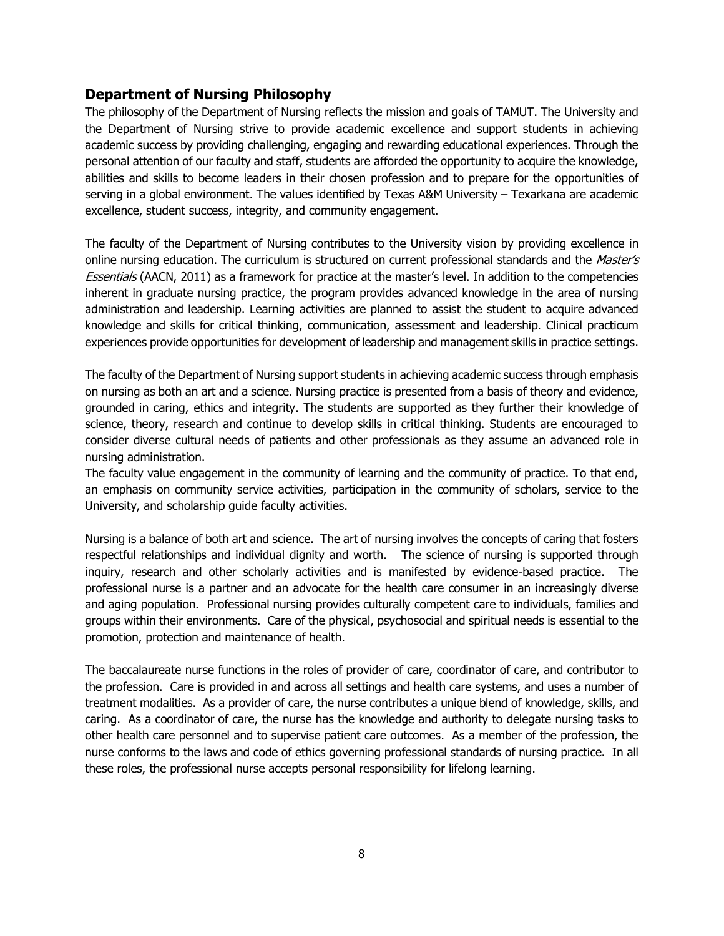## **Department of Nursing Philosophy**

The philosophy of the Department of Nursing reflects the mission and goals of TAMUT. The University and the Department of Nursing strive to provide academic excellence and support students in achieving academic success by providing challenging, engaging and rewarding educational experiences. Through the personal attention of our faculty and staff, students are afforded the opportunity to acquire the knowledge, abilities and skills to become leaders in their chosen profession and to prepare for the opportunities of serving in a global environment. The values identified by Texas A&M University – Texarkana are academic excellence, student success, integrity, and community engagement.

The faculty of the Department of Nursing contributes to the University vision by providing excellence in online nursing education. The curriculum is structured on current professional standards and the Master's **Essentials (AACN, 2011) as a framework for practice at the master's level. In addition to the competencies** inherent in graduate nursing practice, the program provides advanced knowledge in the area of nursing administration and leadership. Learning activities are planned to assist the student to acquire advanced knowledge and skills for critical thinking, communication, assessment and leadership. Clinical practicum experiences provide opportunities for development of leadership and management skills in practice settings.

The faculty of the Department of Nursing support students in achieving academic success through emphasis on nursing as both an art and a science. Nursing practice is presented from a basis of theory and evidence, grounded in caring, ethics and integrity. The students are supported as they further their knowledge of science, theory, research and continue to develop skills in critical thinking. Students are encouraged to consider diverse cultural needs of patients and other professionals as they assume an advanced role in nursing administration.

The faculty value engagement in the community of learning and the community of practice. To that end, an emphasis on community service activities, participation in the community of scholars, service to the University, and scholarship guide faculty activities.

Nursing is a balance of both art and science. The art of nursing involves the concepts of caring that fosters respectful relationships and individual dignity and worth. The science of nursing is supported through inquiry, research and other scholarly activities and is manifested by evidence-based practice. The professional nurse is a partner and an advocate for the health care consumer in an increasingly diverse and aging population. Professional nursing provides culturally competent care to individuals, families and groups within their environments. Care of the physical, psychosocial and spiritual needs is essential to the promotion, protection and maintenance of health.

The baccalaureate nurse functions in the roles of provider of care, coordinator of care, and contributor to the profession. Care is provided in and across all settings and health care systems, and uses a number of treatment modalities. As a provider of care, the nurse contributes a unique blend of knowledge, skills, and caring. As a coordinator of care, the nurse has the knowledge and authority to delegate nursing tasks to other health care personnel and to supervise patient care outcomes. As a member of the profession, the nurse conforms to the laws and code of ethics governing professional standards of nursing practice. In all these roles, the professional nurse accepts personal responsibility for lifelong learning.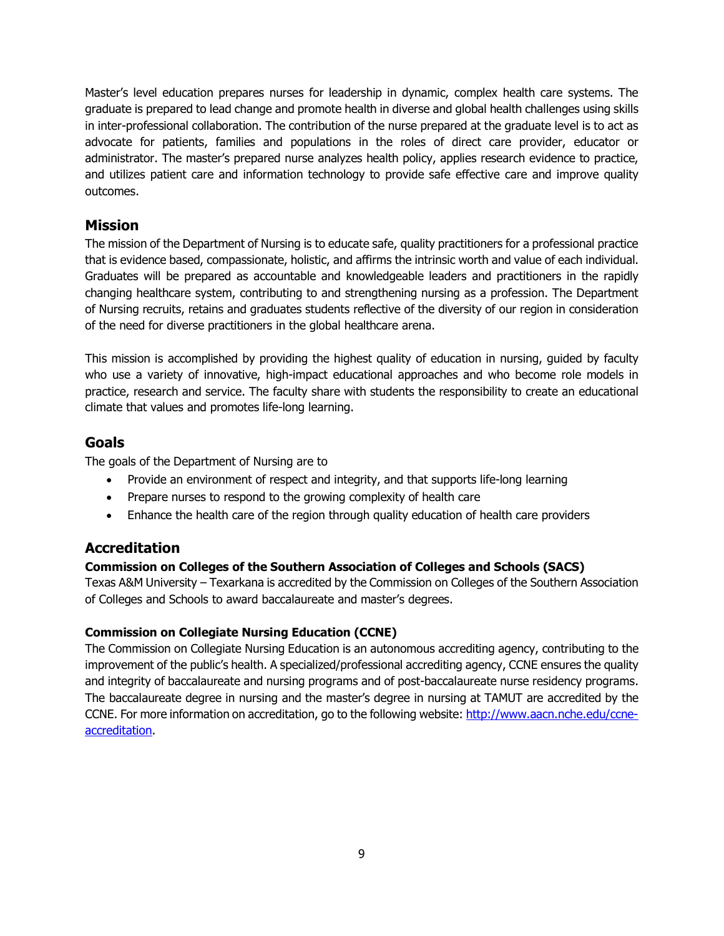Master's level education prepares nurses for leadership in dynamic, complex health care systems. The graduate is prepared to lead change and promote health in diverse and global health challenges using skills in inter-professional collaboration. The contribution of the nurse prepared at the graduate level is to act as advocate for patients, families and populations in the roles of direct care provider, educator or administrator. The master's prepared nurse analyzes health policy, applies research evidence to practice, and utilizes patient care and information technology to provide safe effective care and improve quality outcomes.

## **Mission**

The mission of the Department of Nursing is to educate safe, quality practitioners for a professional practice that is evidence based, compassionate, holistic, and affirms the intrinsic worth and value of each individual. Graduates will be prepared as accountable and knowledgeable leaders and practitioners in the rapidly changing healthcare system, contributing to and strengthening nursing as a profession. The Department of Nursing recruits, retains and graduates students reflective of the diversity of our region in consideration of the need for diverse practitioners in the global healthcare arena.

This mission is accomplished by providing the highest quality of education in nursing, guided by faculty who use a variety of innovative, high-impact educational approaches and who become role models in practice, research and service. The faculty share with students the responsibility to create an educational climate that values and promotes life-long learning.

## **Goals**

The goals of the Department of Nursing are to

- Provide an environment of respect and integrity, and that supports life-long learning
- Prepare nurses to respond to the growing complexity of health care
- Enhance the health care of the region through quality education of health care providers

## **Accreditation**

## **Commission on Colleges of the Southern Association of Colleges and Schools (SACS)**

Texas A&M University – Texarkana is accredited by the Commission on Colleges of the Southern Association of Colleges and Schools to award baccalaureate and master's degrees.

## **Commission on Collegiate Nursing Education (CCNE)**

The Commission on Collegiate Nursing Education is an autonomous accrediting agency, contributing to the improvement of the public's health. A specialized/professional accrediting agency, CCNE ensures the quality and integrity of baccalaureate and nursing programs and of post-baccalaureate nurse residency programs. The baccalaureate degree in nursing and the master's degree in nursing at TAMUT are accredited by the CCNE. For more information on accreditation, go to the following website: [http://www.aacn.nche.edu/ccne](http://www.aacn.nche.edu/ccne-accreditation)[accreditation.](http://www.aacn.nche.edu/ccne-accreditation)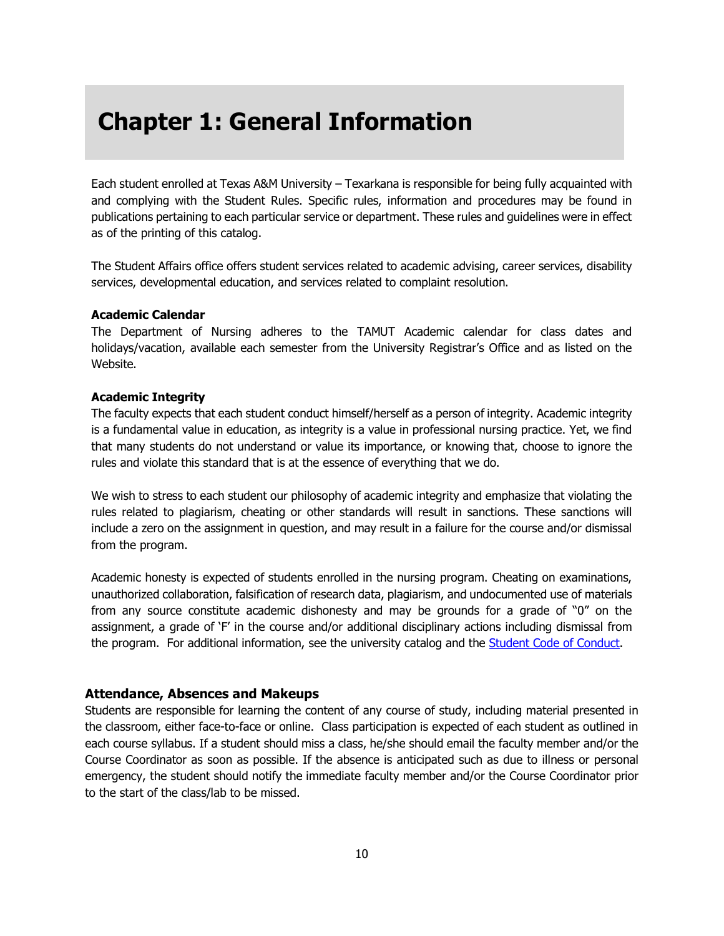## **Chapter 1: General Information**

Each student enrolled at Texas A&M University – Texarkana is responsible for being fully acquainted with and complying with the Student Rules. Specific rules, information and procedures may be found in publications pertaining to each particular service or department. These rules and guidelines were in effect as of the printing of this catalog.

The Student Affairs office offers student services related to academic advising, career services, disability services, developmental education, and services related to complaint resolution.

#### **Academic Calendar**

The Department of Nursing adheres to the TAMUT Academic calendar for class dates and holidays/vacation, available each semester from the University Registrar's Office and as listed on the Website.

#### **Academic Integrity**

The faculty expects that each student conduct himself/herself as a person of integrity. Academic integrity is a fundamental value in education, as integrity is a value in professional nursing practice. Yet, we find that many students do not understand or value its importance, or knowing that, choose to ignore the rules and violate this standard that is at the essence of everything that we do.

We wish to stress to each student our philosophy of academic integrity and emphasize that violating the rules related to plagiarism, cheating or other standards will result in sanctions. These sanctions will include a zero on the assignment in question, and may result in a failure for the course and/or dismissal from the program.

Academic honesty is expected of students enrolled in the nursing program. Cheating on examinations, unauthorized collaboration, falsification of research data, plagiarism, and undocumented use of materials from any source constitute academic dishonesty and may be grounds for a grade of "0" on the assignment, a grade of 'F' in the course and/or additional disciplinary actions including dismissal from the program. For additional information, see the university catalog and the [Student Code of Conduct.](http://www.tamut.edu/Campus-Life/Support-Resources/Student-Conduct/14%2015%20Code%20of%20conduct%20updated%2002162015.pdf)

#### **Attendance, Absences and Makeups**

Students are responsible for learning the content of any course of study, including material presented in the classroom, either face-to-face or online. Class participation is expected of each student as outlined in each course syllabus. If a student should miss a class, he/she should email the faculty member and/or the Course Coordinator as soon as possible. If the absence is anticipated such as due to illness or personal emergency, the student should notify the immediate faculty member and/or the Course Coordinator prior to the start of the class/lab to be missed.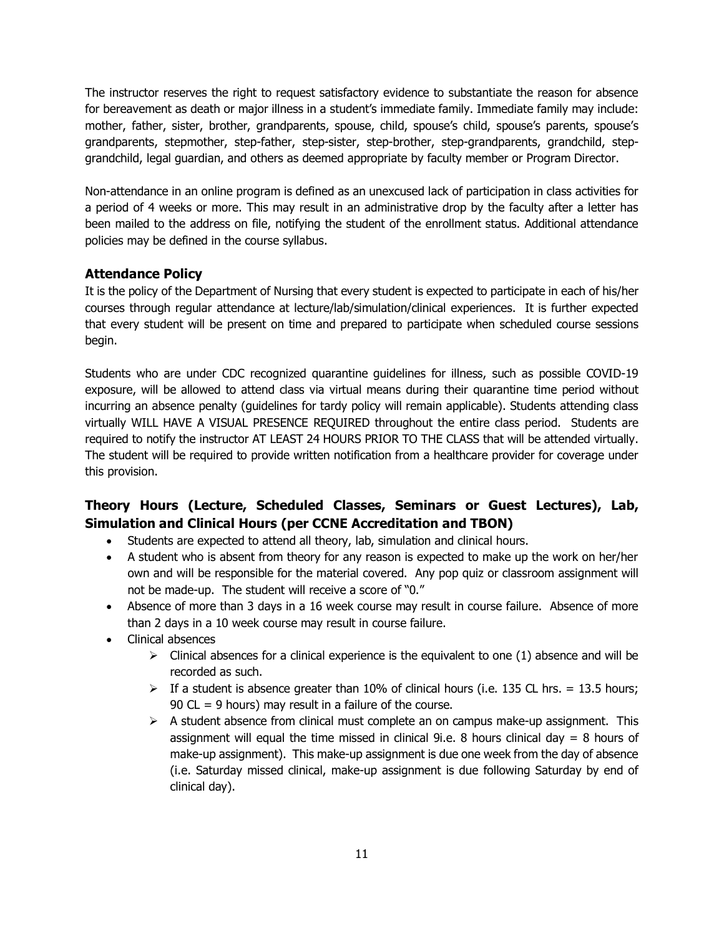The instructor reserves the right to request satisfactory evidence to substantiate the reason for absence for bereavement as death or major illness in a student's immediate family. Immediate family may include: mother, father, sister, brother, grandparents, spouse, child, spouse's child, spouse's parents, spouse's grandparents, stepmother, step-father, step-sister, step-brother, step-grandparents, grandchild, stepgrandchild, legal guardian, and others as deemed appropriate by faculty member or Program Director.

Non-attendance in an online program is defined as an unexcused lack of participation in class activities for a period of 4 weeks or more. This may result in an administrative drop by the faculty after a letter has been mailed to the address on file, notifying the student of the enrollment status. Additional attendance policies may be defined in the course syllabus.

#### **Attendance Policy**

It is the policy of the Department of Nursing that every student is expected to participate in each of his/her courses through regular attendance at lecture/lab/simulation/clinical experiences. It is further expected that every student will be present on time and prepared to participate when scheduled course sessions begin.

Students who are under CDC recognized quarantine guidelines for illness, such as possible COVID-19 exposure, will be allowed to attend class via virtual means during their quarantine time period without incurring an absence penalty (guidelines for tardy policy will remain applicable). Students attending class virtually WILL HAVE A VISUAL PRESENCE REQUIRED throughout the entire class period. Students are required to notify the instructor AT LEAST 24 HOURS PRIOR TO THE CLASS that will be attended virtually. The student will be required to provide written notification from a healthcare provider for coverage under this provision.

## **Theory Hours (Lecture, Scheduled Classes, Seminars or Guest Lectures), Lab, Simulation and Clinical Hours (per CCNE Accreditation and TBON)**

- Students are expected to attend all theory, lab, simulation and clinical hours.
- A student who is absent from theory for any reason is expected to make up the work on her/her own and will be responsible for the material covered. Any pop quiz or classroom assignment will not be made-up. The student will receive a score of "0."
- Absence of more than 3 days in a 16 week course may result in course failure. Absence of more than 2 days in a 10 week course may result in course failure.
- Clinical absences
	- $\triangleright$  Clinical absences for a clinical experience is the equivalent to one (1) absence and will be recorded as such.
	- $\triangleright$  If a student is absence greater than 10% of clinical hours (i.e. 135 CL hrs. = 13.5 hours; 90  $CL = 9$  hours) may result in a failure of the course.
	- $\triangleright$  A student absence from clinical must complete an on campus make-up assignment. This assignment will equal the time missed in clinical 9i.e. 8 hours clinical day  $= 8$  hours of make-up assignment). This make-up assignment is due one week from the day of absence (i.e. Saturday missed clinical, make-up assignment is due following Saturday by end of clinical day).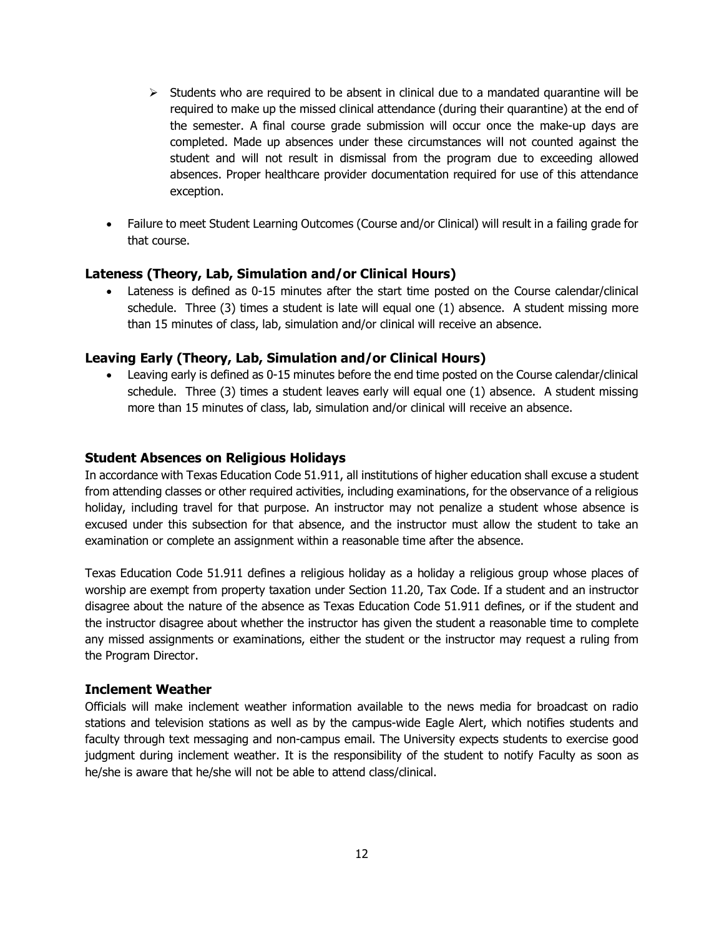- $\triangleright$  Students who are required to be absent in clinical due to a mandated quarantine will be required to make up the missed clinical attendance (during their quarantine) at the end of the semester. A final course grade submission will occur once the make-up days are completed. Made up absences under these circumstances will not counted against the student and will not result in dismissal from the program due to exceeding allowed absences. Proper healthcare provider documentation required for use of this attendance exception.
- Failure to meet Student Learning Outcomes (Course and/or Clinical) will result in a failing grade for that course.

#### **Lateness (Theory, Lab, Simulation and/or Clinical Hours)**

• Lateness is defined as 0-15 minutes after the start time posted on the Course calendar/clinical schedule. Three (3) times a student is late will equal one (1) absence. A student missing more than 15 minutes of class, lab, simulation and/or clinical will receive an absence.

#### **Leaving Early (Theory, Lab, Simulation and/or Clinical Hours)**

• Leaving early is defined as 0-15 minutes before the end time posted on the Course calendar/clinical schedule. Three (3) times a student leaves early will equal one (1) absence. A student missing more than 15 minutes of class, lab, simulation and/or clinical will receive an absence.

#### **Student Absences on Religious Holidays**

In accordance with Texas Education Code 51.911, all institutions of higher education shall excuse a student from attending classes or other required activities, including examinations, for the observance of a religious holiday, including travel for that purpose. An instructor may not penalize a student whose absence is excused under this subsection for that absence, and the instructor must allow the student to take an examination or complete an assignment within a reasonable time after the absence.

Texas Education Code 51.911 defines a religious holiday as a holiday a religious group whose places of worship are exempt from property taxation under Section 11.20, Tax Code. If a student and an instructor disagree about the nature of the absence as Texas Education Code 51.911 defines, or if the student and the instructor disagree about whether the instructor has given the student a reasonable time to complete any missed assignments or examinations, either the student or the instructor may request a ruling from the Program Director.

#### **Inclement Weather**

Officials will make inclement weather information available to the news media for broadcast on radio stations and television stations as well as by the campus-wide Eagle Alert, which notifies students and faculty through text messaging and non-campus email. The University expects students to exercise good judgment during inclement weather. It is the responsibility of the student to notify Faculty as soon as he/she is aware that he/she will not be able to attend class/clinical.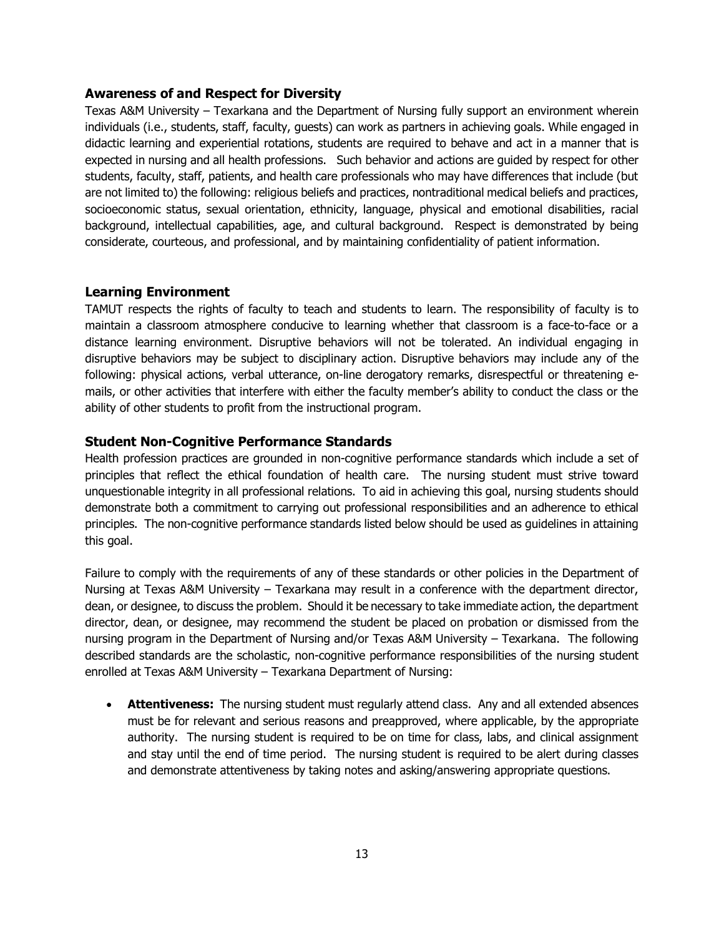#### **Awareness of and Respect for Diversity**

Texas A&M University – Texarkana and the Department of Nursing fully support an environment wherein individuals (i.e., students, staff, faculty, guests) can work as partners in achieving goals. While engaged in didactic learning and experiential rotations, students are required to behave and act in a manner that is expected in nursing and all health professions. Such behavior and actions are guided by respect for other students, faculty, staff, patients, and health care professionals who may have differences that include (but are not limited to) the following: religious beliefs and practices, nontraditional medical beliefs and practices, socioeconomic status, sexual orientation, ethnicity, language, physical and emotional disabilities, racial background, intellectual capabilities, age, and cultural background. Respect is demonstrated by being considerate, courteous, and professional, and by maintaining confidentiality of patient information.

#### **Learning Environment**

TAMUT respects the rights of faculty to teach and students to learn. The responsibility of faculty is to maintain a classroom atmosphere conducive to learning whether that classroom is a face-to-face or a distance learning environment. Disruptive behaviors will not be tolerated. An individual engaging in disruptive behaviors may be subject to disciplinary action. Disruptive behaviors may include any of the following: physical actions, verbal utterance, on-line derogatory remarks, disrespectful or threatening emails, or other activities that interfere with either the faculty member's ability to conduct the class or the ability of other students to profit from the instructional program.

#### **Student Non-Cognitive Performance Standards**

Health profession practices are grounded in non-cognitive performance standards which include a set of principles that reflect the ethical foundation of health care. The nursing student must strive toward unquestionable integrity in all professional relations. To aid in achieving this goal, nursing students should demonstrate both a commitment to carrying out professional responsibilities and an adherence to ethical principles. The non-cognitive performance standards listed below should be used as guidelines in attaining this goal.

Failure to comply with the requirements of any of these standards or other policies in the Department of Nursing at Texas A&M University – Texarkana may result in a conference with the department director, dean, or designee, to discuss the problem. Should it be necessary to take immediate action, the department director, dean, or designee, may recommend the student be placed on probation or dismissed from the nursing program in the Department of Nursing and/or Texas A&M University – Texarkana. The following described standards are the scholastic, non-cognitive performance responsibilities of the nursing student enrolled at Texas A&M University – Texarkana Department of Nursing:

• **Attentiveness:** The nursing student must regularly attend class. Any and all extended absences must be for relevant and serious reasons and preapproved, where applicable, by the appropriate authority. The nursing student is required to be on time for class, labs, and clinical assignment and stay until the end of time period. The nursing student is required to be alert during classes and demonstrate attentiveness by taking notes and asking/answering appropriate questions.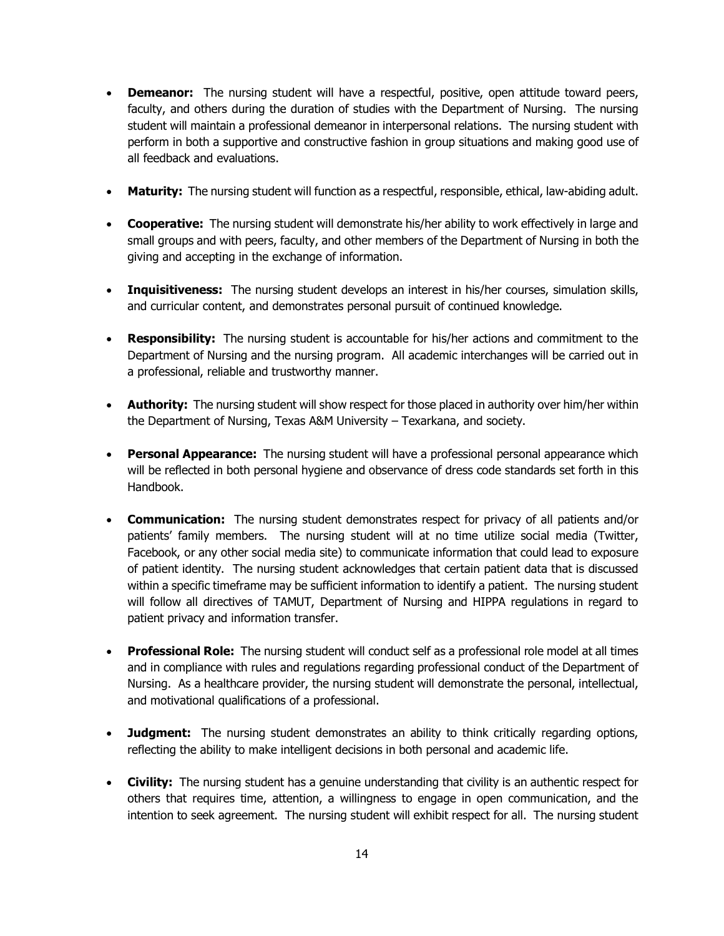- **Demeanor:** The nursing student will have a respectful, positive, open attitude toward peers, faculty, and others during the duration of studies with the Department of Nursing. The nursing student will maintain a professional demeanor in interpersonal relations. The nursing student with perform in both a supportive and constructive fashion in group situations and making good use of all feedback and evaluations.
- **Maturity:** The nursing student will function as a respectful, responsible, ethical, law-abiding adult.
- **Cooperative:** The nursing student will demonstrate his/her ability to work effectively in large and small groups and with peers, faculty, and other members of the Department of Nursing in both the giving and accepting in the exchange of information.
- **Inquisitiveness:** The nursing student develops an interest in his/her courses, simulation skills, and curricular content, and demonstrates personal pursuit of continued knowledge.
- **Responsibility:** The nursing student is accountable for his/her actions and commitment to the Department of Nursing and the nursing program. All academic interchanges will be carried out in a professional, reliable and trustworthy manner.
- **Authority:** The nursing student will show respect for those placed in authority over him/her within the Department of Nursing, Texas A&M University – Texarkana, and society.
- **Personal Appearance:** The nursing student will have a professional personal appearance which will be reflected in both personal hygiene and observance of dress code standards set forth in this Handbook.
- **Communication:** The nursing student demonstrates respect for privacy of all patients and/or patients' family members. The nursing student will at no time utilize social media (Twitter, Facebook, or any other social media site) to communicate information that could lead to exposure of patient identity. The nursing student acknowledges that certain patient data that is discussed within a specific timeframe may be sufficient information to identify a patient. The nursing student will follow all directives of TAMUT, Department of Nursing and HIPPA regulations in regard to patient privacy and information transfer.
- **Professional Role:** The nursing student will conduct self as a professional role model at all times and in compliance with rules and regulations regarding professional conduct of the Department of Nursing. As a healthcare provider, the nursing student will demonstrate the personal, intellectual, and motivational qualifications of a professional.
- **Judgment:** The nursing student demonstrates an ability to think critically regarding options, reflecting the ability to make intelligent decisions in both personal and academic life.
- **Civility:** The nursing student has a genuine understanding that civility is an authentic respect for others that requires time, attention, a willingness to engage in open communication, and the intention to seek agreement. The nursing student will exhibit respect for all. The nursing student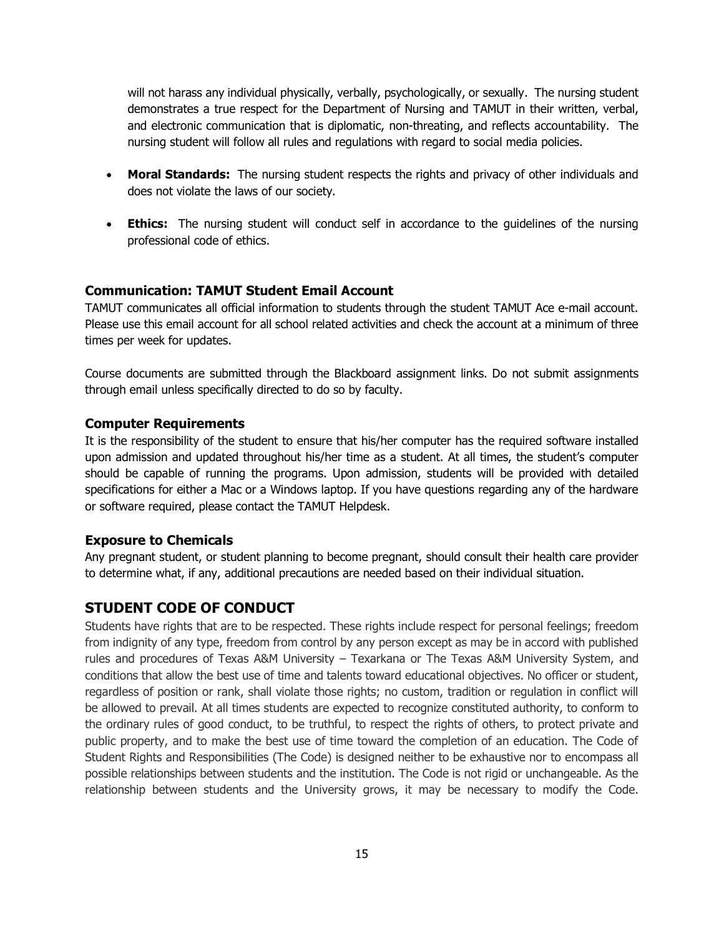will not harass any individual physically, verbally, psychologically, or sexually. The nursing student demonstrates a true respect for the Department of Nursing and TAMUT in their written, verbal, and electronic communication that is diplomatic, non-threating, and reflects accountability. The nursing student will follow all rules and regulations with regard to social media policies.

- **Moral Standards:** The nursing student respects the rights and privacy of other individuals and does not violate the laws of our society.
- **Ethics:** The nursing student will conduct self in accordance to the guidelines of the nursing professional code of ethics.

#### **Communication: TAMUT Student Email Account**

TAMUT communicates all official information to students through the student TAMUT Ace e-mail account. Please use this email account for all school related activities and check the account at a minimum of three times per week for updates.

Course documents are submitted through the Blackboard assignment links. Do not submit assignments through email unless specifically directed to do so by faculty.

#### **Computer Requirements**

It is the responsibility of the student to ensure that his/her computer has the required software installed upon admission and updated throughout his/her time as a student. At all times, the student's computer should be capable of running the programs. Upon admission, students will be provided with detailed specifications for either a Mac or a Windows laptop. If you have questions regarding any of the hardware or software required, please contact the TAMUT Helpdesk.

#### **Exposure to Chemicals**

Any pregnant student, or student planning to become pregnant, should consult their health care provider to determine what, if any, additional precautions are needed based on their individual situation.

## **STUDENT CODE OF CONDUCT**

Students have rights that are to be respected. These rights include respect for personal feelings; freedom from indignity of any type, freedom from control by any person except as may be in accord with published rules and procedures of Texas A&M University – Texarkana or The Texas A&M University System, and conditions that allow the best use of time and talents toward educational objectives. No officer or student, regardless of position or rank, shall violate those rights; no custom, tradition or regulation in conflict will be allowed to prevail. At all times students are expected to recognize constituted authority, to conform to the ordinary rules of good conduct, to be truthful, to respect the rights of others, to protect private and public property, and to make the best use of time toward the completion of an education. The Code of Student Rights and Responsibilities (The Code) is designed neither to be exhaustive nor to encompass all possible relationships between students and the institution. The Code is not rigid or unchangeable. As the relationship between students and the University grows, it may be necessary to modify the Code.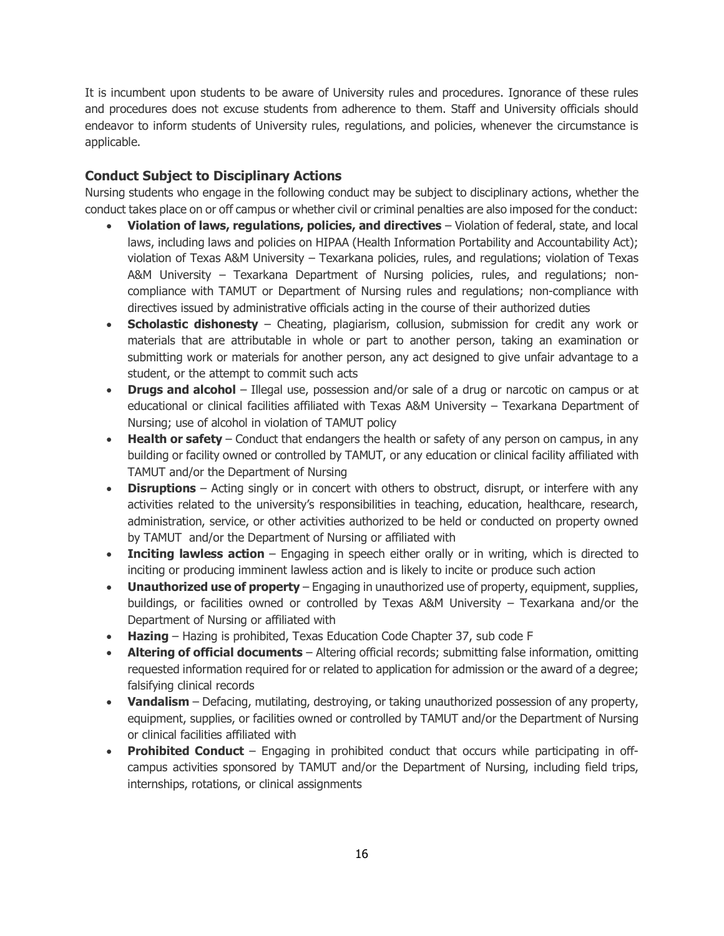It is incumbent upon students to be aware of University rules and procedures. Ignorance of these rules and procedures does not excuse students from adherence to them. Staff and University officials should endeavor to inform students of University rules, regulations, and policies, whenever the circumstance is applicable.

## **Conduct Subject to Disciplinary Actions**

Nursing students who engage in the following conduct may be subject to disciplinary actions, whether the conduct takes place on or off campus or whether civil or criminal penalties are also imposed for the conduct:

- **Violation of laws, regulations, policies, and directives** Violation of federal, state, and local laws, including laws and policies on HIPAA (Health Information Portability and Accountability Act); violation of Texas A&M University – Texarkana policies, rules, and regulations; violation of Texas A&M University – Texarkana Department of Nursing policies, rules, and regulations; noncompliance with TAMUT or Department of Nursing rules and regulations; non-compliance with directives issued by administrative officials acting in the course of their authorized duties
- **Scholastic dishonesty** Cheating, plagiarism, collusion, submission for credit any work or materials that are attributable in whole or part to another person, taking an examination or submitting work or materials for another person, any act designed to give unfair advantage to a student, or the attempt to commit such acts
- **Drugs and alcohol** Illegal use, possession and/or sale of a drug or narcotic on campus or at educational or clinical facilities affiliated with Texas A&M University – Texarkana Department of Nursing; use of alcohol in violation of TAMUT policy
- **Health or safety** Conduct that endangers the health or safety of any person on campus, in any building or facility owned or controlled by TAMUT, or any education or clinical facility affiliated with TAMUT and/or the Department of Nursing
- **Disruptions** Acting singly or in concert with others to obstruct, disrupt, or interfere with any activities related to the university's responsibilities in teaching, education, healthcare, research, administration, service, or other activities authorized to be held or conducted on property owned by TAMUT and/or the Department of Nursing or affiliated with
- **Inciting lawless action** Engaging in speech either orally or in writing, which is directed to inciting or producing imminent lawless action and is likely to incite or produce such action
- **Unauthorized use of property**  Engaging in unauthorized use of property, equipment, supplies, buildings, or facilities owned or controlled by Texas A&M University – Texarkana and/or the Department of Nursing or affiliated with
- **Hazing**  Hazing is prohibited, Texas Education Code Chapter 37, sub code F
- **Altering of official documents** Altering official records; submitting false information, omitting requested information required for or related to application for admission or the award of a degree; falsifying clinical records
- **Vandalism**  Defacing, mutilating, destroying, or taking unauthorized possession of any property, equipment, supplies, or facilities owned or controlled by TAMUT and/or the Department of Nursing or clinical facilities affiliated with
- **Prohibited Conduct**  Engaging in prohibited conduct that occurs while participating in offcampus activities sponsored by TAMUT and/or the Department of Nursing, including field trips, internships, rotations, or clinical assignments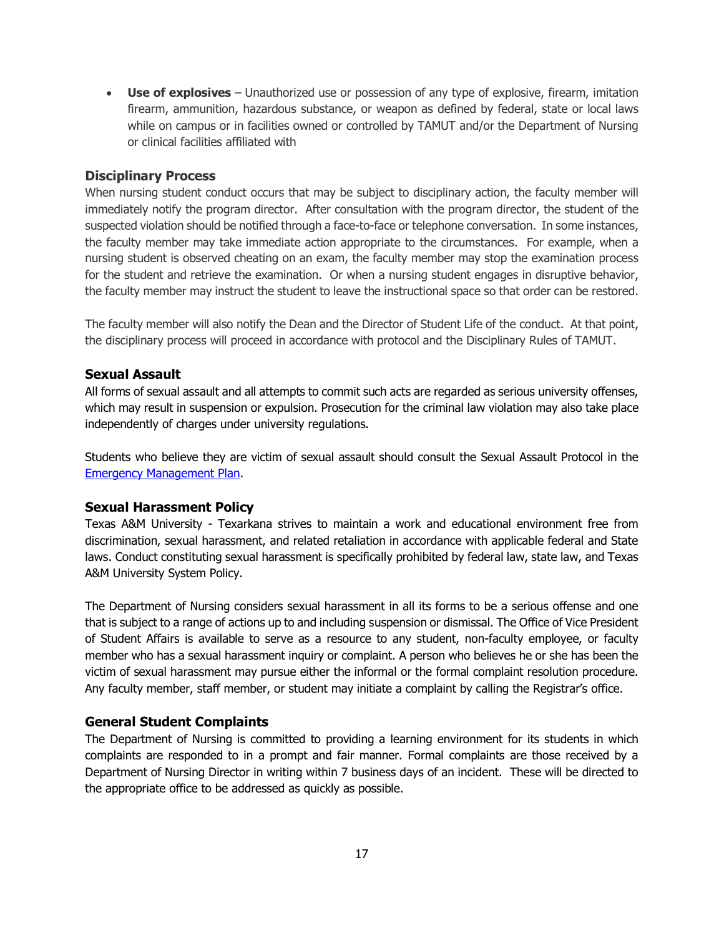• **Use of explosives** – Unauthorized use or possession of any type of explosive, firearm, imitation firearm, ammunition, hazardous substance, or weapon as defined by federal, state or local laws while on campus or in facilities owned or controlled by TAMUT and/or the Department of Nursing or clinical facilities affiliated with

#### **Disciplinary Process**

When nursing student conduct occurs that may be subject to disciplinary action, the faculty member will immediately notify the program director. After consultation with the program director, the student of the suspected violation should be notified through a face-to-face or telephone conversation. In some instances, the faculty member may take immediate action appropriate to the circumstances. For example, when a nursing student is observed cheating on an exam, the faculty member may stop the examination process for the student and retrieve the examination. Or when a nursing student engages in disruptive behavior, the faculty member may instruct the student to leave the instructional space so that order can be restored.

The faculty member will also notify the Dean and the Director of Student Life of the conduct. At that point, the disciplinary process will proceed in accordance with protocol and the Disciplinary Rules of TAMUT.

#### **Sexual Assault**

All forms of sexual assault and all attempts to commit such acts are regarded as serious university offenses, which may result in suspension or expulsion. Prosecution for the criminal law violation may also take place independently of charges under university regulations.

Students who believe they are victim of sexual assault should consult the Sexual Assault Protocol in the [Emergency Management Plan.](http://www.tamut.edu/Administration/Environmental%20Health%20and%20Safety/Emergency%20Management%20Plans%20FY12.pdf)

#### **Sexual Harassment Policy**

Texas A&M University - Texarkana strives to maintain a work and educational environment free from discrimination, sexual harassment, and related retaliation in accordance with applicable federal and State laws. Conduct constituting sexual harassment is specifically prohibited by federal law, state law, and Texas A&M University System Policy.

The Department of Nursing considers sexual harassment in all its forms to be a serious offense and one that is subject to a range of actions up to and including suspension or dismissal. The Office of Vice President of Student Affairs is available to serve as a resource to any student, non-faculty employee, or faculty member who has a sexual harassment inquiry or complaint. A person who believes he or she has been the victim of sexual harassment may pursue either the informal or the formal complaint resolution procedure. Any faculty member, staff member, or student may initiate a complaint by calling the Registrar's office.

#### **General Student Complaints**

The Department of Nursing is committed to providing a learning environment for its students in which complaints are responded to in a prompt and fair manner. Formal complaints are those received by a Department of Nursing Director in writing within 7 business days of an incident. These will be directed to the appropriate office to be addressed as quickly as possible.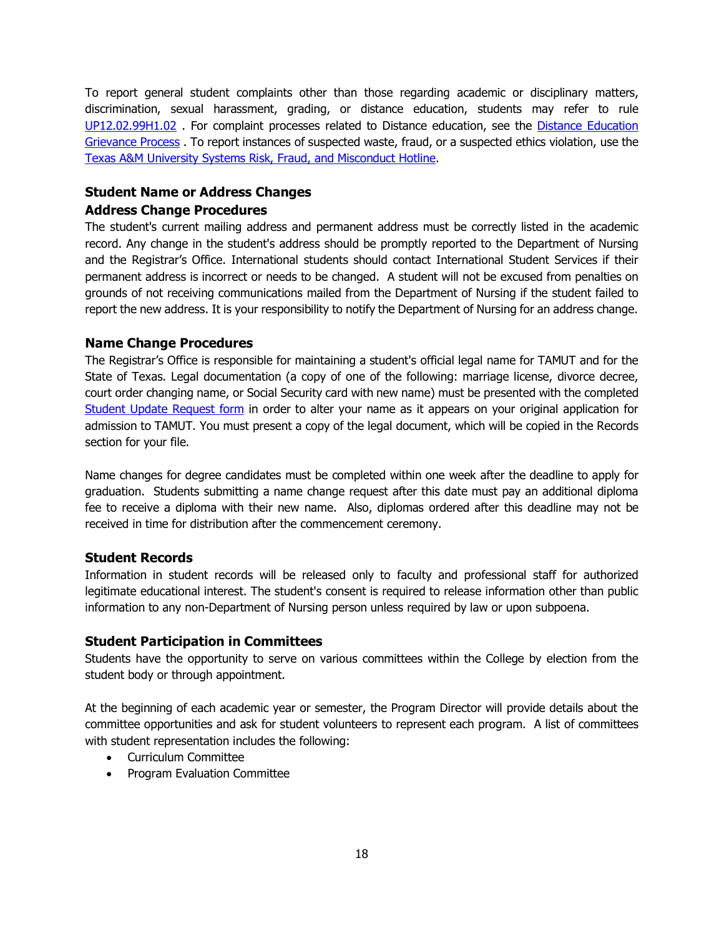To report general student complaints other than those regarding academic or disciplinary matters, discrimination, sexual harassment, grading, or distance education, students may refer to rule [UP12.02.99H1.02](http://www.tamut.edu/administration/About/Rules/UP%2013%2002%2099%20H1%2002%20General%20Student%20Complaint%20Procedures.pdf) . For complaint processes related to Distance education, see the [Distance Education](http://www.tamut.edu/administration/About/Rules/UP%2013%2002%2099%20H1%2002%20General%20Student%20Complaint%20Procedures.pdf)  [Grievance Process](http://www.tamut.edu/administration/About/Rules/UP%2013%2002%2099%20H1%2002%20General%20Student%20Complaint%20Procedures.pdf) . To report instances of suspected waste, fraud, or a suspected ethics violation, use th[e](https://secure.ethicspoint.com/domain/en/report_custom.asp?clientid=19681.) [Texas A&M University Systems Risk, Fraud, and Misconduct Hotline.](https://secure.ethicspoint.com/domain/en/report_custom.asp?clientid=19681.)

## **Student Name or Address Changes**

#### **Address Change Procedures**

The student's current mailing address and permanent address must be correctly listed in the academic record. Any change in the student's address should be promptly reported to the Department of Nursing and the Registrar's Office. International students should contact International Student Services if their permanent address is incorrect or needs to be changed. A student will not be excused from penalties on grounds of not receiving communications mailed from the Department of Nursing if the student failed to report the new address. It is your responsibility to notify the Department of Nursing for an address change.

## **Name Change Procedures**

The Registrar's Office is responsible for maintaining a student's official legal name for TAMUT and for the State of Texas. Legal documentation (a copy of one of the following: marriage license, divorce decree, court order changing name, or Social Security card with new name) must be presented with the completed [Student Update Request form](https://it-lf-ecmf2.ads.tamu.edu/Forms/rergR) in order to alter your name as it appears on your original application for admission to TAMUT. You must present a copy of the legal document, which will be copied in the Records section for your file.

Name changes for degree candidates must be completed within one week after the deadline to apply for graduation. Students submitting a name change request after this date must pay an additional diploma fee to receive a diploma with their new name. Also, diplomas ordered after this deadline may not be received in time for distribution after the commencement ceremony.

## **Student Records**

Information in student records will be released only to faculty and professional staff for authorized legitimate educational interest. The student's consent is required to release information other than public information to any non-Department of Nursing person unless required by law or upon subpoena.

## **Student Participation in Committees**

Students have the opportunity to serve on various committees within the College by election from the student body or through appointment.

At the beginning of each academic year or semester, the Program Director will provide details about the committee opportunities and ask for student volunteers to represent each program. A list of committees with student representation includes the following:

- Curriculum Committee
- Program Evaluation Committee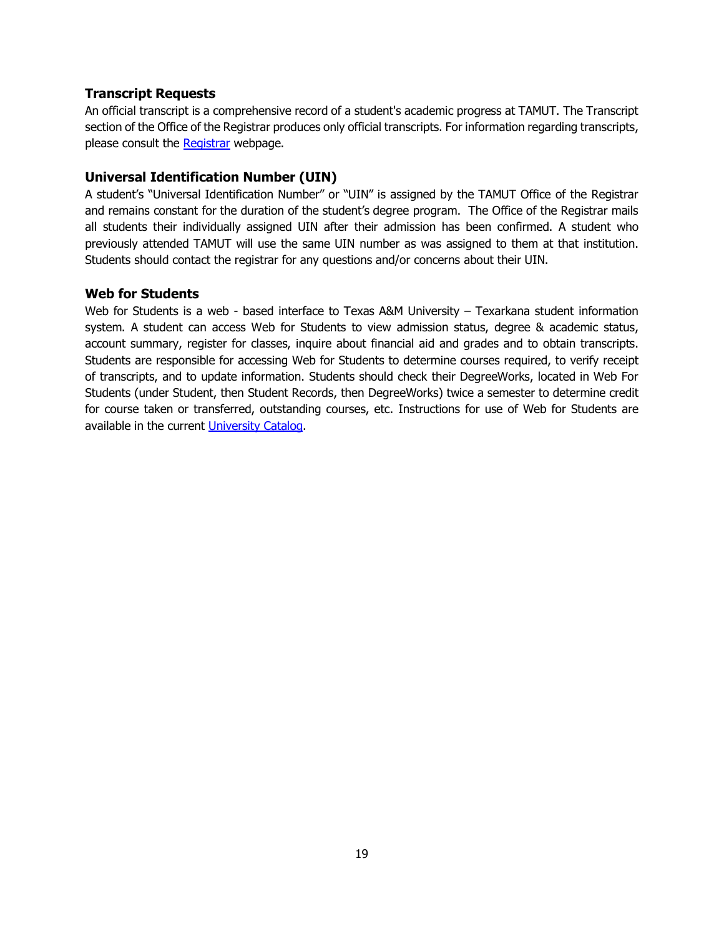#### **Transcript Requests**

An official transcript is a comprehensive record of a student's academic progress at TAMUT. The Transcript section of the Office of the Registrar produces only official transcripts. For information regarding transcripts, please consult the [Registrar](http://tamut.edu/Student-Support/Registrar/index.html) webpage.

#### **Universal Identification Number (UIN)**

A student's "Universal Identification Number" or "UIN" is assigned by the TAMUT Office of the Registrar and remains constant for the duration of the student's degree program. The Office of the Registrar mails all students their individually assigned UIN after their admission has been confirmed. A student who previously attended TAMUT will use the same UIN number as was assigned to them at that institution. Students should contact the registrar for any questions and/or concerns about their UIN.

#### **Web for Students**

Web for Students is a web - based interface to Texas A&M University – Texarkana student information system. A student can access Web for Students to view admission status, degree & academic status, account summary, register for classes, inquire about financial aid and grades and to obtain transcripts. Students are responsible for accessing Web for Students to determine courses required, to verify receipt of transcripts, and to update information. Students should check their DegreeWorks, located in Web For Students (under Student, then Student Records, then DegreeWorks) twice a semester to determine credit for course taken or transferred, outstanding courses, etc. Instructions for use of Web for Students are available in the current [University Catalog.](http://tamut.edu/2013-2014-catalog.pdf)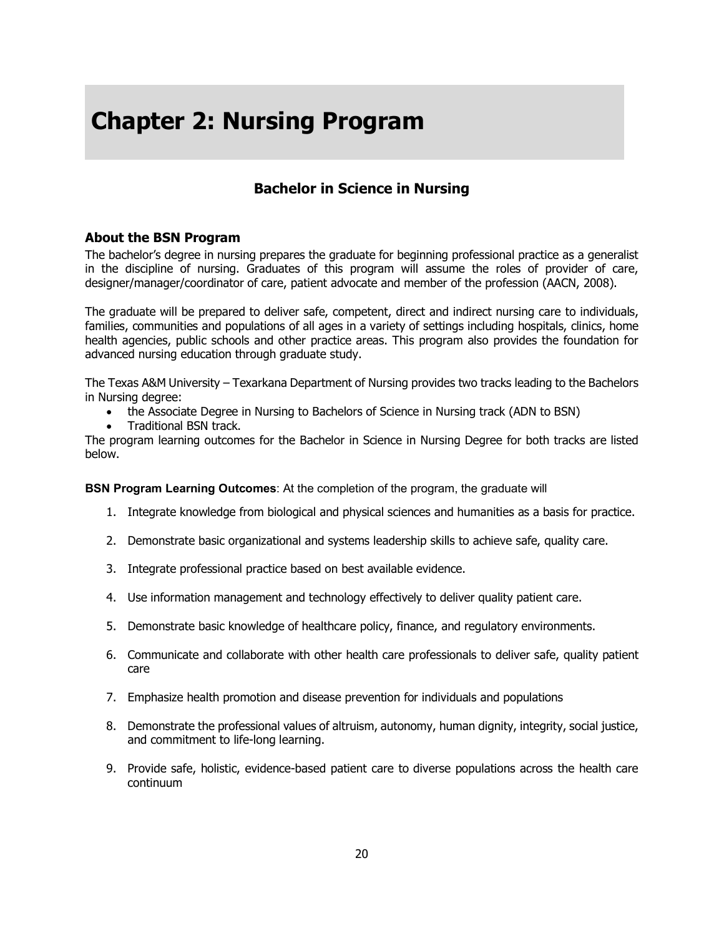## **Chapter 2: Nursing Program**

## **Bachelor in Science in Nursing**

## **About the BSN Program**

The bachelor's degree in nursing prepares the graduate for beginning professional practice as a generalist in the discipline of nursing. Graduates of this program will assume the roles of provider of care, designer/manager/coordinator of care, patient advocate and member of the profession (AACN, 2008).

The graduate will be prepared to deliver safe, competent, direct and indirect nursing care to individuals, families, communities and populations of all ages in a variety of settings including hospitals, clinics, home health agencies, public schools and other practice areas. This program also provides the foundation for advanced nursing education through graduate study.

The Texas A&M University – Texarkana Department of Nursing provides two tracks leading to the Bachelors in Nursing degree:

- the Associate Degree in Nursing to Bachelors of Science in Nursing track (ADN to BSN)
- Traditional BSN track.

The program learning outcomes for the Bachelor in Science in Nursing Degree for both tracks are listed below.

**BSN Program Learning Outcomes**: At the completion of the program, the graduate will

- 1. Integrate knowledge from biological and physical sciences and humanities as a basis for practice.
- 2. Demonstrate basic organizational and systems leadership skills to achieve safe, quality care.
- 3. Integrate professional practice based on best available evidence.
- 4. Use information management and technology effectively to deliver quality patient care.
- 5. Demonstrate basic knowledge of healthcare policy, finance, and regulatory environments.
- 6. Communicate and collaborate with other health care professionals to deliver safe, quality patient care
- 7. Emphasize health promotion and disease prevention for individuals and populations
- 8. Demonstrate the professional values of altruism, autonomy, human dignity, integrity, social justice, and commitment to life-long learning.
- 9. Provide safe, holistic, evidence-based patient care to diverse populations across the health care continuum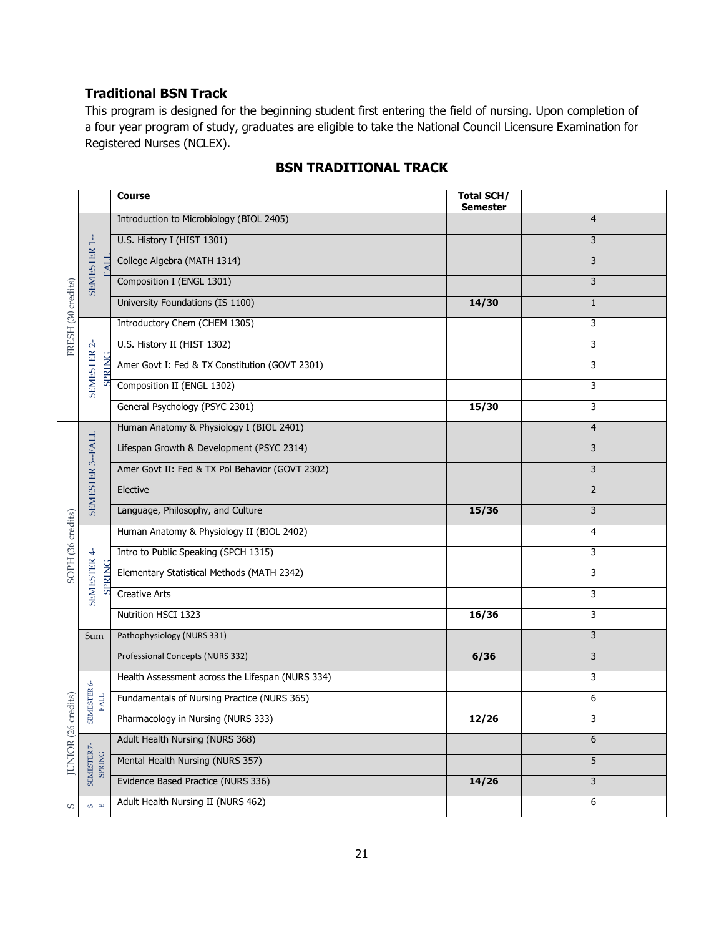## **Traditional BSN Track**

This program is designed for the beginning student first entering the field of nursing. Upon completion of a four year program of study, graduates are eligible to take the National Council Licensure Examination for Registered Nurses (NCLEX).

|                    |                                                         | <b>Course</b>                                    | <b>Total SCH/</b><br><b>Semester</b> |                |
|--------------------|---------------------------------------------------------|--------------------------------------------------|--------------------------------------|----------------|
| FRESH (30 credits) |                                                         | Introduction to Microbiology (BIOL 2405)         |                                      | 4              |
|                    |                                                         | U.S. History I (HIST 1301)                       |                                      | 3              |
|                    | SEMESTER 1-<br>EAL<br>SEMESTER <sub>2</sub> -<br>SPRING | College Algebra (MATH 1314)                      |                                      | 3              |
|                    |                                                         | Composition I (ENGL 1301)                        |                                      | 3              |
|                    |                                                         | University Foundations (IS 1100)                 | 14/30                                | $\mathbf{1}$   |
|                    |                                                         | Introductory Chem (CHEM 1305)                    |                                      | 3              |
|                    |                                                         | U.S. History II (HIST 1302)                      |                                      | 3              |
|                    |                                                         | Amer Govt I: Fed & TX Constitution (GOVT 2301)   |                                      | 3              |
|                    |                                                         | Composition II (ENGL 1302)                       |                                      | 3              |
|                    |                                                         | General Psychology (PSYC 2301)                   | 15/30                                | 3              |
|                    |                                                         | Human Anatomy & Physiology I (BIOL 2401)         |                                      | $\overline{4}$ |
|                    | SEMESTER 3--FALL                                        | Lifespan Growth & Development (PSYC 2314)        |                                      | 3              |
|                    |                                                         | Amer Govt II: Fed & TX Pol Behavior (GOVT 2302)  |                                      | 3              |
|                    |                                                         | Elective                                         |                                      | $\overline{2}$ |
|                    |                                                         | Language, Philosophy, and Culture                | 15/36                                | 3              |
|                    |                                                         | Human Anatomy & Physiology II (BIOL 2402)        |                                      | 4              |
| SOPH (36 credits)  |                                                         | Intro to Public Speaking (SPCH 1315)             |                                      | 3              |
|                    | <b>SPRIN</b>                                            | Elementary Statistical Methods (MATH 2342)       |                                      | 3              |
|                    | SEMESTER 4-                                             | <b>Creative Arts</b>                             |                                      | 3              |
|                    |                                                         | Nutrition HSCI 1323                              | 16/36                                | 3              |
|                    | Sum                                                     | Pathophysiology (NURS 331)                       |                                      | 3              |
|                    |                                                         | Professional Concepts (NURS 332)                 | 6/36                                 | 3              |
|                    | P,                                                      | Health Assessment across the Lifespan (NURS 334) |                                      | 3              |
| edits)             | <b>SEMESTER</b><br><b>FALL</b>                          | Fundamentals of Nursing Practice (NURS 365)      |                                      | 6              |
| $(26 \text{ cm})$  |                                                         | Pharmacology in Nursing (NURS 333)               | 12/26                                | 3              |
|                    |                                                         | Adult Health Nursing (NURS 368)                  |                                      | 6              |
| <b>JUNIOR</b>      | SEMESTER 7-<br>SPRING                                   | Mental Health Nursing (NURS 357)                 |                                      | $\overline{5}$ |
|                    |                                                         | Evidence Based Practice (NURS 336)               | 14/26                                | $\mathsf{3}$   |
| $\mathsf{S}$       | $\omega$ m                                              | Adult Health Nursing II (NURS 462)               |                                      | 6              |

## **BSN TRADITIONAL TRACK**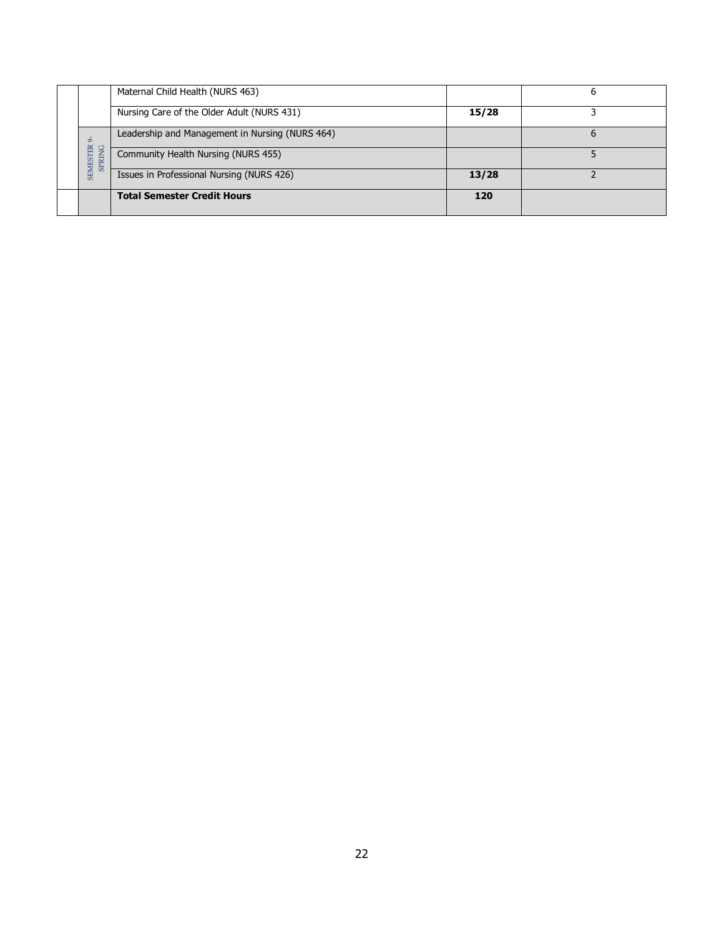|                                      | Maternal Child Health (NURS 463)                |       |   |
|--------------------------------------|-------------------------------------------------|-------|---|
|                                      | Nursing Care of the Older Adult (NURS 431)      | 15/28 |   |
| $\circ$                              | Leadership and Management in Nursing (NURS 464) |       | b |
| <b>SEMESTER</b><br>ğ<br><b>SPRIN</b> | Community Health Nursing (NURS 455)             |       |   |
|                                      | Issues in Professional Nursing (NURS 426)       | 13/28 |   |
|                                      | <b>Total Semester Credit Hours</b>              | 120   |   |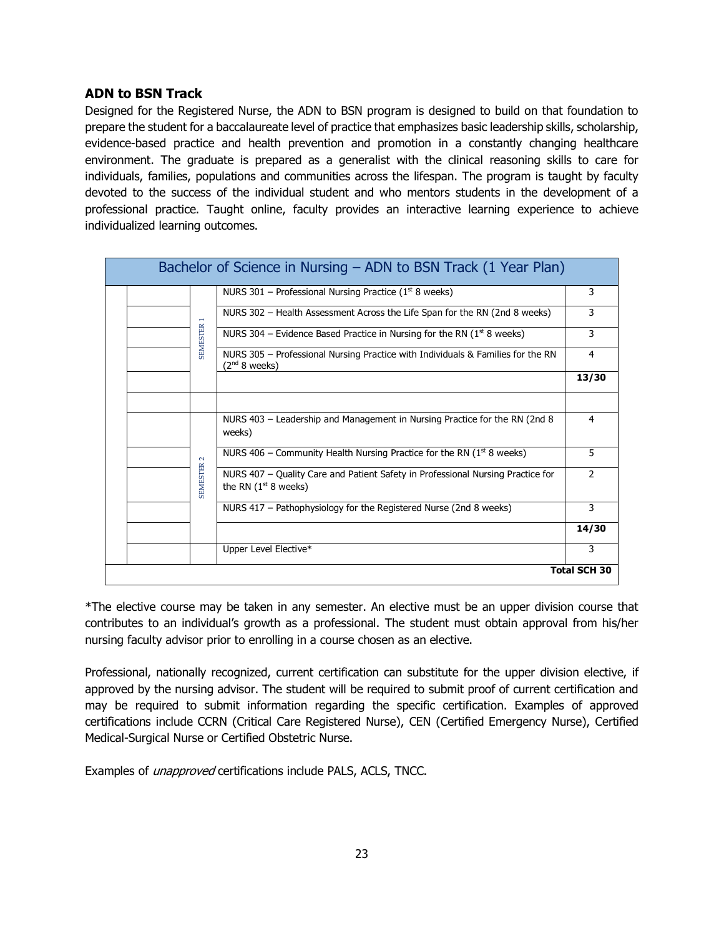## **ADN to BSN Track**

Designed for the Registered Nurse, the ADN to BSN program is designed to build on that foundation to prepare the student for a baccalaureate level of practice that emphasizes basic leadership skills, scholarship, evidence-based practice and health prevention and promotion in a constantly changing healthcare environment. The graduate is prepared as a generalist with the clinical reasoning skills to care for individuals, families, populations and communities across the lifespan. The program is taught by faculty devoted to the success of the individual student and who mentors students in the development of a professional practice. Taught online, faculty provides an interactive learning experience to achieve individualized learning outcomes.

| Bachelor of Science in Nursing – ADN to BSN Track (1 Year Plan) |  |                   |                                                                                                           |               |  |
|-----------------------------------------------------------------|--|-------------------|-----------------------------------------------------------------------------------------------------------|---------------|--|
|                                                                 |  |                   | NURS 301 – Professional Nursing Practice ( $1st 8$ weeks)                                                 | 3             |  |
|                                                                 |  | <b>SEMESTER</b>   | NURS 302 – Health Assessment Across the Life Span for the RN (2nd 8 weeks)                                | 3             |  |
|                                                                 |  |                   | NURS 304 – Evidence Based Practice in Nursing for the RN ( $1st$ 8 weeks)                                 | 3             |  |
|                                                                 |  |                   | NURS 305 - Professional Nursing Practice with Individuals & Families for the RN<br>$(2^{nd} 8$ weeks)     | 4             |  |
|                                                                 |  |                   |                                                                                                           | 13/30         |  |
|                                                                 |  |                   |                                                                                                           |               |  |
|                                                                 |  | <b>SEMESTER 2</b> | NURS 403 – Leadership and Management in Nursing Practice for the RN (2nd 8)<br>weeks)                     | 4             |  |
|                                                                 |  |                   | NURS 406 – Community Health Nursing Practice for the RN ( $1st$ 8 weeks)                                  | 5             |  |
|                                                                 |  |                   | NURS 407 - Quality Care and Patient Safety in Professional Nursing Practice for<br>the RN $(1st 8$ weeks) | $\mathcal{P}$ |  |
|                                                                 |  |                   | NURS 417 - Pathophysiology for the Registered Nurse (2nd 8 weeks)                                         | 3             |  |
|                                                                 |  |                   |                                                                                                           | 14/30         |  |
|                                                                 |  |                   | Upper Level Elective*                                                                                     | 3             |  |
| <b>Total SCH 30</b>                                             |  |                   |                                                                                                           |               |  |

\*The elective course may be taken in any semester. An elective must be an upper division course that contributes to an individual's growth as a professional. The student must obtain approval from his/her nursing faculty advisor prior to enrolling in a course chosen as an elective.

Professional, nationally recognized, current certification can substitute for the upper division elective, if approved by the nursing advisor. The student will be required to submit proof of current certification and may be required to submit information regarding the specific certification. Examples of approved certifications include CCRN (Critical Care Registered Nurse), CEN (Certified Emergency Nurse), Certified Medical-Surgical Nurse or Certified Obstetric Nurse.

Examples of *unapproved* certifications include PALS, ACLS, TNCC.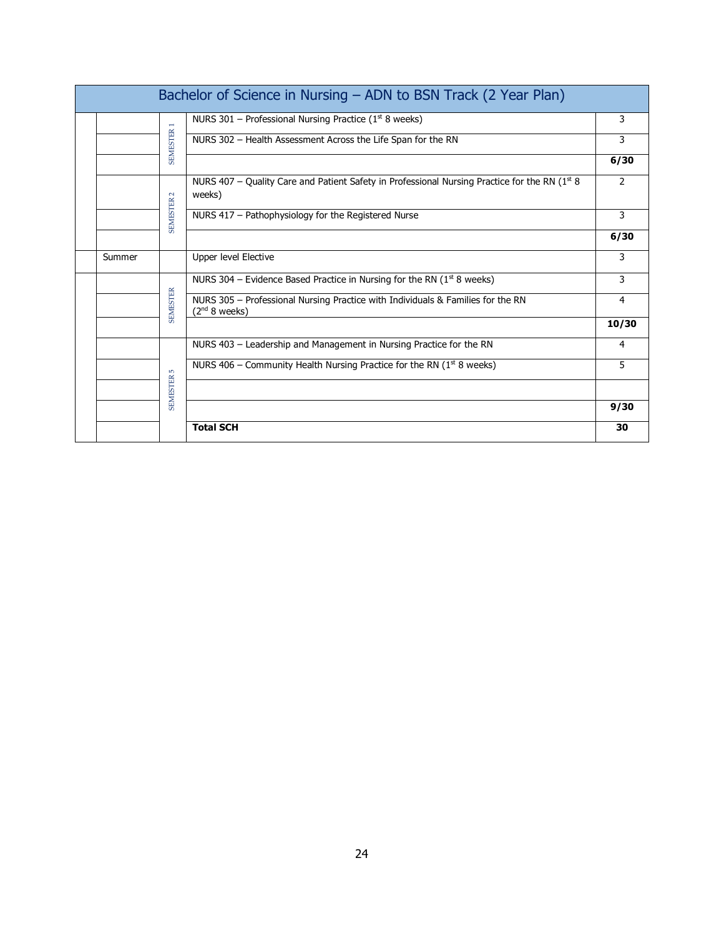| Bachelor of Science in Nursing - ADN to BSN Track (2 Year Plan) |        |                   |                                                                                                              |                |  |
|-----------------------------------------------------------------|--------|-------------------|--------------------------------------------------------------------------------------------------------------|----------------|--|
|                                                                 |        |                   | NURS 301 - Professional Nursing Practice ( $1st$ 8 weeks)                                                    | 3              |  |
|                                                                 |        | <b>SEMESTER 1</b> | NURS 302 - Health Assessment Across the Life Span for the RN                                                 | 3              |  |
|                                                                 |        |                   |                                                                                                              | 6/30           |  |
|                                                                 |        |                   | NURS 407 - Quality Care and Patient Safety in Professional Nursing Practice for the RN ( $1st 8$ )<br>weeks) | $\overline{2}$ |  |
|                                                                 |        | <b>SEMESTER 2</b> | NURS 417 - Pathophysiology for the Registered Nurse                                                          | 3              |  |
|                                                                 |        |                   |                                                                                                              | 6/30           |  |
|                                                                 | Summer |                   | Upper level Elective                                                                                         | 3              |  |
|                                                                 |        |                   | NURS 304 - Evidence Based Practice in Nursing for the RN ( $1st$ 8 weeks)                                    | 3              |  |
|                                                                 |        | <b>SEMESTER</b>   | NURS 305 - Professional Nursing Practice with Individuals & Families for the RN<br>(2 <sup>nd</sup> 8 weeks) | 4              |  |
|                                                                 |        |                   |                                                                                                              | 10/30          |  |
|                                                                 |        |                   | NURS 403 - Leadership and Management in Nursing Practice for the RN                                          | 4              |  |
|                                                                 |        | <b>LO</b>         | NURS 406 – Community Health Nursing Practice for the RN ( $1st$ 8 weeks)                                     | 5              |  |
|                                                                 |        | <b>SEMESTER</b>   |                                                                                                              |                |  |
|                                                                 |        |                   |                                                                                                              | 9/30           |  |
|                                                                 |        |                   | <b>Total SCH</b>                                                                                             | 30             |  |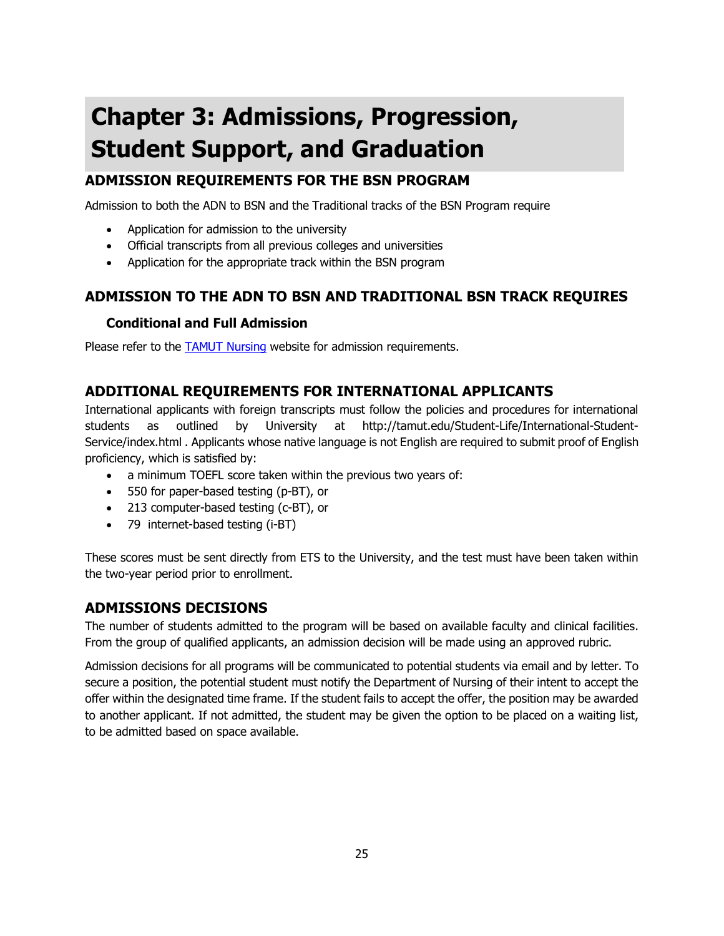# **Chapter 3: Admissions, Progression, Student Support, and Graduation**

## **ADMISSION REQUIREMENTS FOR THE BSN PROGRAM**

Admission to both the ADN to BSN and the Traditional tracks of the BSN Program require

- Application for admission to the university
- Official transcripts from all previous colleges and universities
- Application for the appropriate track within the BSN program

## **ADMISSION TO THE ADN TO BSN AND TRADITIONAL BSN TRACK REQUIRES**

## **Conditional and Full Admission**

Please refer to the [TAMUT Nursing](http://www.tamut.edu/nursing) website for admission requirements.

## **ADDITIONAL REQUIREMENTS FOR INTERNATIONAL APPLICANTS**

International applicants with foreign transcripts must follow the policies and procedures for international students as outlined by University at http://tamut.edu/Student-Life/International-Student-Service/index.html . Applicants whose native language is not English are required to submit proof of English proficiency, which is satisfied by:

- a minimum TOEFL score taken within the previous two years of:
- 550 for paper-based testing (p-BT), or
- 213 computer-based testing (c-BT), or
- 79 internet-based testing (i-BT)

These scores must be sent directly from ETS to the University, and the test must have been taken within the two-year period prior to enrollment.

## **ADMISSIONS DECISIONS**

The number of students admitted to the program will be based on available faculty and clinical facilities. From the group of qualified applicants, an admission decision will be made using an approved rubric.

Admission decisions for all programs will be communicated to potential students via email and by letter. To secure a position, the potential student must notify the Department of Nursing of their intent to accept the offer within the designated time frame. If the student fails to accept the offer, the position may be awarded to another applicant. If not admitted, the student may be given the option to be placed on a waiting list, to be admitted based on space available.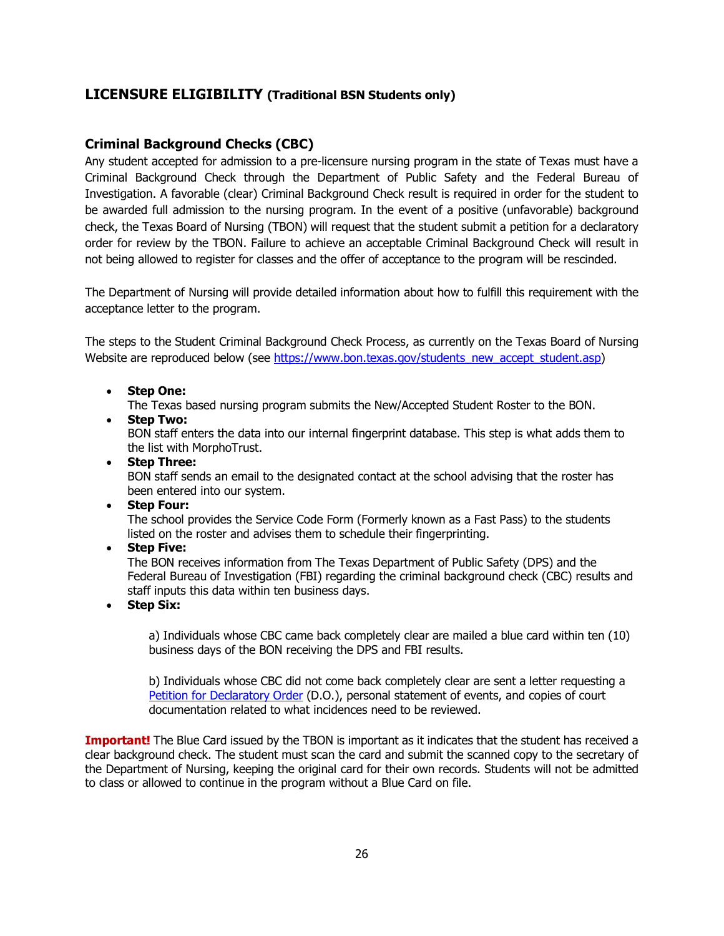## **LICENSURE ELIGIBILITY (Traditional BSN Students only)**

## **Criminal Background Checks (CBC)**

Any student accepted for admission to a pre-licensure nursing program in the state of Texas must have a Criminal Background Check through the Department of Public Safety and the Federal Bureau of Investigation. A favorable (clear) Criminal Background Check result is required in order for the student to be awarded full admission to the nursing program. In the event of a positive (unfavorable) background check, the Texas Board of Nursing (TBON) will request that the student submit a petition for a declaratory order for review by the TBON. Failure to achieve an acceptable Criminal Background Check will result in not being allowed to register for classes and the offer of acceptance to the program will be rescinded.

The Department of Nursing will provide detailed information about how to fulfill this requirement with the acceptance letter to the program.

The steps to the Student Criminal Background Check Process, as currently on the Texas Board of Nursing Website are reproduced below (see [https://www.bon.texas.gov/students\\_new\\_accept\\_student.asp\)](https://www.bon.texas.gov/students_new_accept_student.asp)

- **Step One:**
	- The Texas based nursing program submits the New/Accepted Student Roster to the BON.
- **Step Two:**

BON staff enters the data into our internal fingerprint database. This step is what adds them to the list with MorphoTrust.

- **Step Three:**  BON staff sends an email to the designated contact at the school advising that the roster has been entered into our system.
- **Step Four:**

The school provides the Service Code Form (Formerly known as a Fast Pass) to the students listed on the roster and advises them to schedule their fingerprinting.

• **Step Five:**

The BON receives information from The Texas Department of Public Safety (DPS) and the Federal Bureau of Investigation (FBI) regarding the criminal background check (CBC) results and staff inputs this data within ten business days.

• **Step Six:**

a) Individuals whose CBC came back completely clear are mailed a blue card within ten (10) business days of the BON receiving the DPS and FBI results.

b) Individuals whose CBC did not come back completely clear are sent a letter requesting a [Petition for Declaratory Order](https://www.bon.texas.gov/forms_declaratory_order.asp) (D.O.), personal statement of events, and copies of court documentation related to what incidences need to be reviewed.

**Important!** The Blue Card issued by the TBON is important as it indicates that the student has received a clear background check. The student must scan the card and submit the scanned copy to the secretary of the Department of Nursing, keeping the original card for their own records. Students will not be admitted to class or allowed to continue in the program without a Blue Card on file.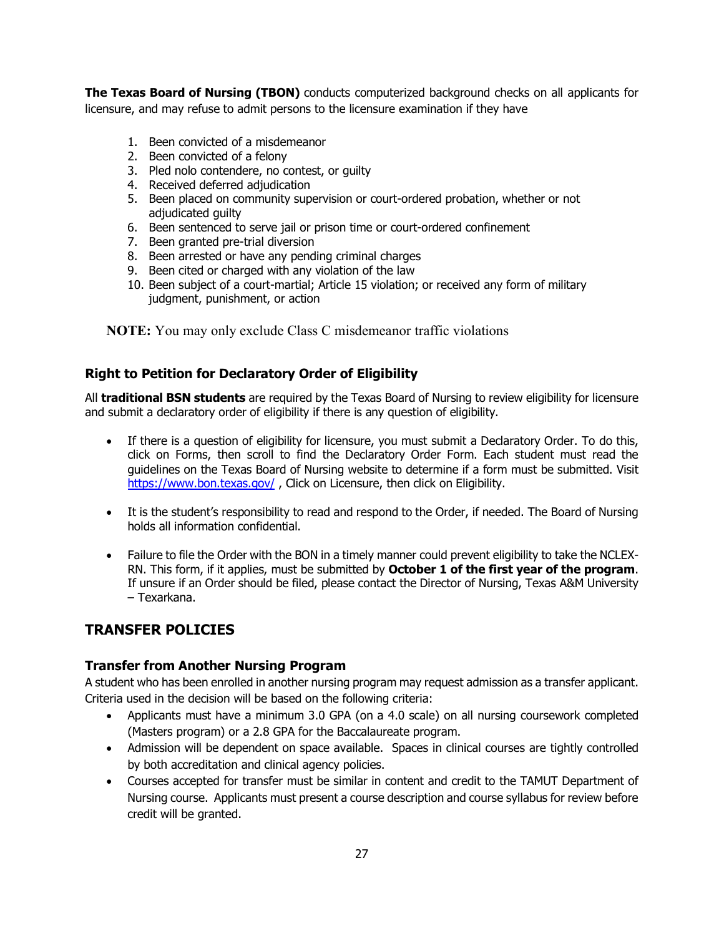**The Texas Board of Nursing (TBON)** conducts computerized background checks on all applicants for licensure, and may refuse to admit persons to the licensure examination if they have

- 1. Been convicted of a misdemeanor
- 2. Been convicted of a felony
- 3. Pled nolo contendere, no contest, or guilty
- 4. Received deferred adjudication
- 5. Been placed on community supervision or court-ordered probation, whether or not adjudicated guilty
- 6. Been sentenced to serve jail or prison time or court-ordered confinement
- 7. Been granted pre-trial diversion
- 8. Been arrested or have any pending criminal charges
- 9. Been cited or charged with any violation of the law
- 10. Been subject of a court-martial; Article 15 violation; or received any form of military judgment, punishment, or action

**NOTE:** You may only exclude Class C misdemeanor traffic violations

## **Right to Petition for Declaratory Order of Eligibility**

All **traditional BSN students** are required by the Texas Board of Nursing to review eligibility for licensure and submit a declaratory order of eligibility if there is any question of eligibility.

- If there is a question of eligibility for licensure, you must submit a Declaratory Order. To do this, click on Forms, then scroll to find the Declaratory Order Form. Each student must read the guidelines on the Texas Board of Nursing website to determine if a form must be submitted. Visit <https://www.bon.texas.gov/>, Click on Licensure, then click on Eligibility.
- It is the student's responsibility to read and respond to the Order, if needed. The Board of Nursing holds all information confidential.
- Failure to file the Order with the BON in a timely manner could prevent eligibility to take the NCLEX-RN. This form, if it applies, must be submitted by **October 1 of the first year of the program**. If unsure if an Order should be filed, please contact the Director of Nursing, Texas A&M University – Texarkana.

## **TRANSFER POLICIES**

## **Transfer from Another Nursing Program**

A student who has been enrolled in another nursing program may request admission as a transfer applicant. Criteria used in the decision will be based on the following criteria:

- Applicants must have a minimum 3.0 GPA (on a 4.0 scale) on all nursing coursework completed (Masters program) or a 2.8 GPA for the Baccalaureate program.
- Admission will be dependent on space available. Spaces in clinical courses are tightly controlled by both accreditation and clinical agency policies.
- Courses accepted for transfer must be similar in content and credit to the TAMUT Department of Nursing course. Applicants must present a course description and course syllabus for review before credit will be granted.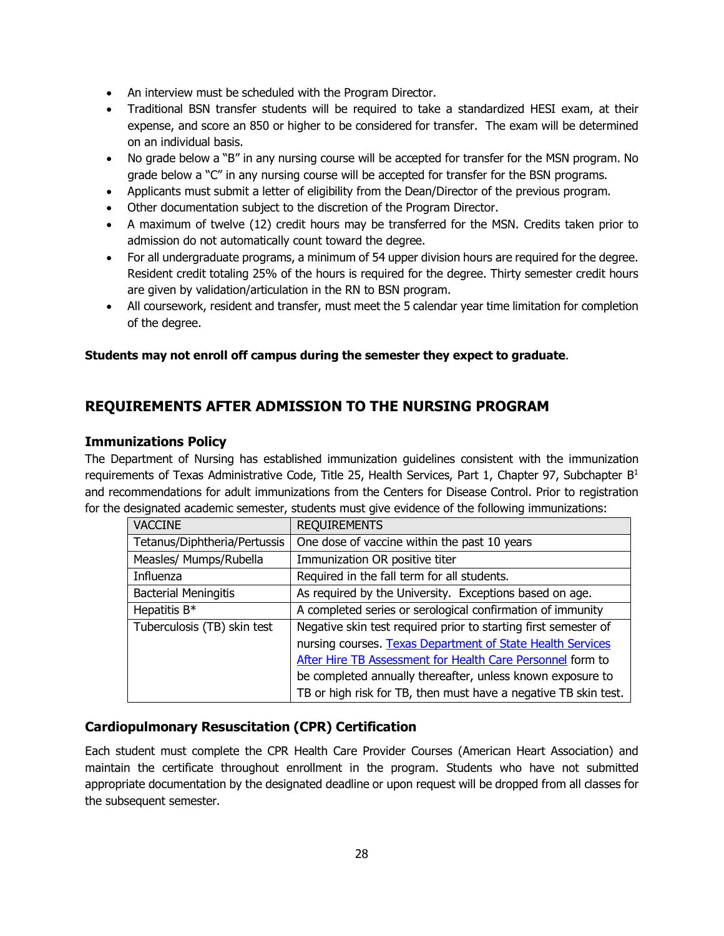- An interview must be scheduled with the Program Director.
- Traditional BSN transfer students will be required to take a standardized HESI exam, at their expense, and score an 850 or higher to be considered for transfer. The exam will be determined on an individual basis.
- No grade below a "B" in any nursing course will be accepted for transfer for the MSN program. No grade below a "C" in any nursing course will be accepted for transfer for the BSN programs.
- Applicants must submit a letter of eligibility from the Dean/Director of the previous program.
- Other documentation subject to the discretion of the Program Director.
- A maximum of twelve (12) credit hours may be transferred for the MSN. Credits taken prior to admission do not automatically count toward the degree.
- For all undergraduate programs, a minimum of 54 upper division hours are required for the degree. Resident credit totaling 25% of the hours is required for the degree. Thirty semester credit hours are given by validation/articulation in the RN to BSN program.
- All coursework, resident and transfer, must meet the 5 calendar year time limitation for completion of the degree.

#### **Students may not enroll off campus during the semester they expect to graduate**.

## **REQUIREMENTS AFTER ADMISSION TO THE NURSING PROGRAM**

#### **Immunizations Policy**

The Department of Nursing has established immunization guidelines consistent with the immunization requirements of Texas Administrative Code, Title 25, Health Services, Part 1, Chapter 97, Subchapter  $B<sup>1</sup>$ and recommendations for adult immunizations from the Centers for Disease Control. Prior to registration for the designated academic semester, students must give evidence of the following immunizations:

| <b>VACCINE</b>               | <b>REQUIREMENTS</b>                                             |  |  |
|------------------------------|-----------------------------------------------------------------|--|--|
| Tetanus/Diphtheria/Pertussis | One dose of vaccine within the past 10 years                    |  |  |
| Measles/ Mumps/Rubella       | Immunization OR positive titer                                  |  |  |
| Influenza                    | Required in the fall term for all students.                     |  |  |
| <b>Bacterial Meningitis</b>  | As required by the University. Exceptions based on age.         |  |  |
| Hepatitis B*                 | A completed series or serological confirmation of immunity      |  |  |
| Tuberculosis (TB) skin test  | Negative skin test required prior to starting first semester of |  |  |
|                              | nursing courses. Texas Department of State Health Services      |  |  |
|                              | After Hire TB Assessment for Health Care Personnel form to      |  |  |
|                              | be completed annually thereafter, unless known exposure to      |  |  |
|                              | TB or high risk for TB, then must have a negative TB skin test. |  |  |

## **Cardiopulmonary Resuscitation (CPR) Certification**

Each student must complete the CPR Health Care Provider Courses (American Heart Association) and maintain the certificate throughout enrollment in the program. Students who have not submitted appropriate documentation by the designated deadline or upon request will be dropped from all classes for the subsequent semester.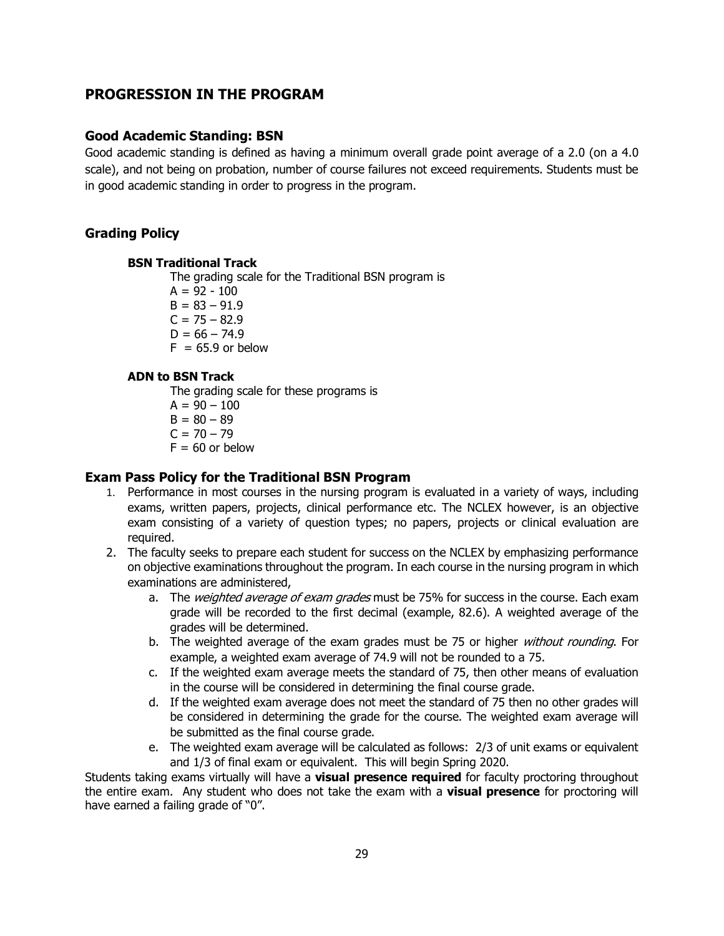## **PROGRESSION IN THE PROGRAM**

#### **Good Academic Standing: BSN**

Good academic standing is defined as having a minimum overall grade point average of a 2.0 (on a 4.0 scale), and not being on probation, number of course failures not exceed requirements. Students must be in good academic standing in order to progress in the program.

#### **Grading Policy**

#### **BSN Traditional Track**

The grading scale for the Traditional BSN program is

 $A = 92 - 100$  $B = 83 - 91.9$  $C = 75 - 82.9$  $D = 66 - 74.9$ 

 $F = 65.9$  or below

#### **ADN to BSN Track**

The grading scale for these programs is

- $A = 90 100$
- $B = 80 89$
- $C = 70 79$
- $F = 60$  or below

#### **Exam Pass Policy for the Traditional BSN Program**

- 1. Performance in most courses in the nursing program is evaluated in a variety of ways, including exams, written papers, projects, clinical performance etc. The NCLEX however, is an objective exam consisting of a variety of question types; no papers, projects or clinical evaluation are required.
- 2. The faculty seeks to prepare each student for success on the NCLEX by emphasizing performance on objective examinations throughout the program. In each course in the nursing program in which examinations are administered,
	- a. The weighted average of exam grades must be 75% for success in the course. Each exam grade will be recorded to the first decimal (example, 82.6). A weighted average of the grades will be determined.
	- b. The weighted average of the exam grades must be 75 or higher *without rounding*. For example, a weighted exam average of 74.9 will not be rounded to a 75.
	- c. If the weighted exam average meets the standard of 75, then other means of evaluation in the course will be considered in determining the final course grade.
	- d. If the weighted exam average does not meet the standard of 75 then no other grades will be considered in determining the grade for the course. The weighted exam average will be submitted as the final course grade.
	- e. The weighted exam average will be calculated as follows: 2/3 of unit exams or equivalent and 1/3 of final exam or equivalent. This will begin Spring 2020.

Students taking exams virtually will have a **visual presence required** for faculty proctoring throughout the entire exam. Any student who does not take the exam with a **visual presence** for proctoring will have earned a failing grade of "0".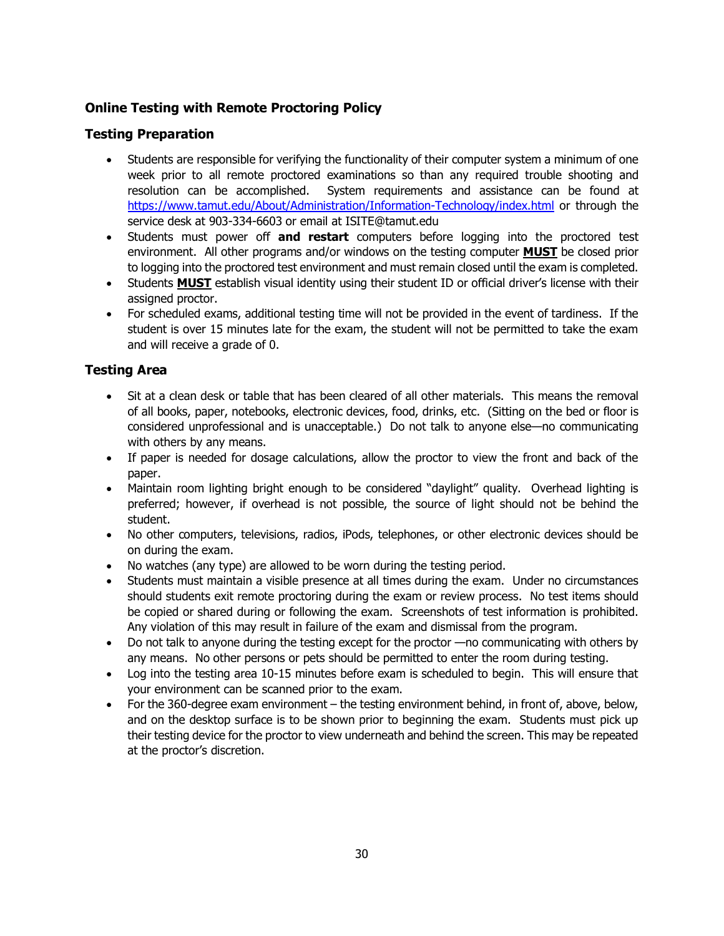## **Online Testing with Remote Proctoring Policy**

## **Testing Preparation**

- Students are responsible for verifying the functionality of their computer system a minimum of one week prior to all remote proctored examinations so than any required trouble shooting and resolution can be accomplished. System requirements and assistance can be found at <https://www.tamut.edu/About/Administration/Information-Technology/index.html> or through the service desk at 903-334-6603 or email at ISITE@tamut.edu
- Students must power off **and restart** computers before logging into the proctored test environment. All other programs and/or windows on the testing computer **MUST** be closed prior to logging into the proctored test environment and must remain closed until the exam is completed.
- Students **MUST** establish visual identity using their student ID or official driver's license with their assigned proctor.
- For scheduled exams, additional testing time will not be provided in the event of tardiness. If the student is over 15 minutes late for the exam, the student will not be permitted to take the exam and will receive a grade of 0.

## **Testing Area**

- Sit at a clean desk or table that has been cleared of all other materials. This means the removal of all books, paper, notebooks, electronic devices, food, drinks, etc. (Sitting on the bed or floor is considered unprofessional and is unacceptable.) Do not talk to anyone else—no communicating with others by any means.
- If paper is needed for dosage calculations, allow the proctor to view the front and back of the paper.
- Maintain room lighting bright enough to be considered "daylight" quality. Overhead lighting is preferred; however, if overhead is not possible, the source of light should not be behind the student.
- No other computers, televisions, radios, iPods, telephones, or other electronic devices should be on during the exam.
- No watches (any type) are allowed to be worn during the testing period.
- Students must maintain a visible presence at all times during the exam. Under no circumstances should students exit remote proctoring during the exam or review process. No test items should be copied or shared during or following the exam. Screenshots of test information is prohibited. Any violation of this may result in failure of the exam and dismissal from the program.
- Do not talk to anyone during the testing except for the proctor —no communicating with others by any means. No other persons or pets should be permitted to enter the room during testing.
- Log into the testing area 10-15 minutes before exam is scheduled to begin. This will ensure that your environment can be scanned prior to the exam.
- For the 360-degree exam environment the testing environment behind, in front of, above, below, and on the desktop surface is to be shown prior to beginning the exam. Students must pick up their testing device for the proctor to view underneath and behind the screen. This may be repeated at the proctor's discretion.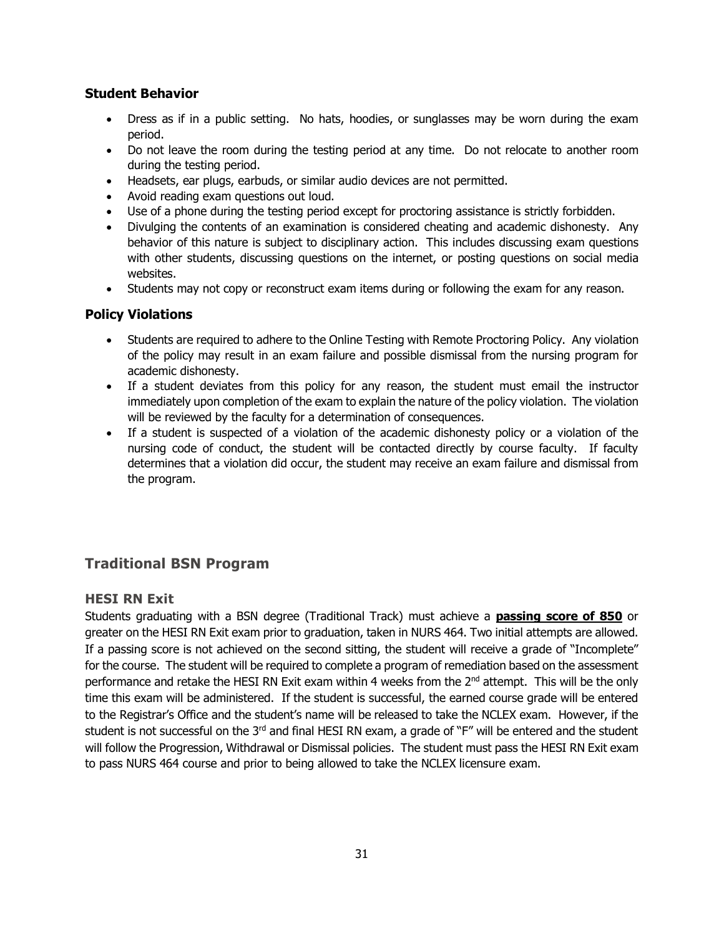## **Student Behavior**

- Dress as if in a public setting. No hats, hoodies, or sunglasses may be worn during the exam period.
- Do not leave the room during the testing period at any time. Do not relocate to another room during the testing period.
- Headsets, ear plugs, earbuds, or similar audio devices are not permitted.
- Avoid reading exam questions out loud.
- Use of a phone during the testing period except for proctoring assistance is strictly forbidden.
- Divulging the contents of an examination is considered cheating and academic dishonesty. Any behavior of this nature is subject to disciplinary action. This includes discussing exam questions with other students, discussing questions on the internet, or posting questions on social media websites.
- Students may not copy or reconstruct exam items during or following the exam for any reason.

#### **Policy Violations**

- Students are required to adhere to the Online Testing with Remote Proctoring Policy. Any violation of the policy may result in an exam failure and possible dismissal from the nursing program for academic dishonesty.
- If a student deviates from this policy for any reason, the student must email the instructor immediately upon completion of the exam to explain the nature of the policy violation. The violation will be reviewed by the faculty for a determination of consequences.
- If a student is suspected of a violation of the academic dishonesty policy or a violation of the nursing code of conduct, the student will be contacted directly by course faculty. If faculty determines that a violation did occur, the student may receive an exam failure and dismissal from the program.

## **Traditional BSN Program**

## **HESI RN Exit**

Students graduating with a BSN degree (Traditional Track) must achieve a **passing score of 850** or greater on the HESI RN Exit exam prior to graduation, taken in NURS 464. Two initial attempts are allowed. If a passing score is not achieved on the second sitting, the student will receive a grade of "Incomplete" for the course. The student will be required to complete a program of remediation based on the assessment performance and retake the HESI RN Exit exam within 4 weeks from the 2<sup>nd</sup> attempt. This will be the only time this exam will be administered. If the student is successful, the earned course grade will be entered to the Registrar's Office and the student's name will be released to take the NCLEX exam. However, if the student is not successful on the 3<sup>rd</sup> and final HESI RN exam, a grade of "F" will be entered and the student will follow the Progression, Withdrawal or Dismissal policies. The student must pass the HESI RN Exit exam to pass NURS 464 course and prior to being allowed to take the NCLEX licensure exam.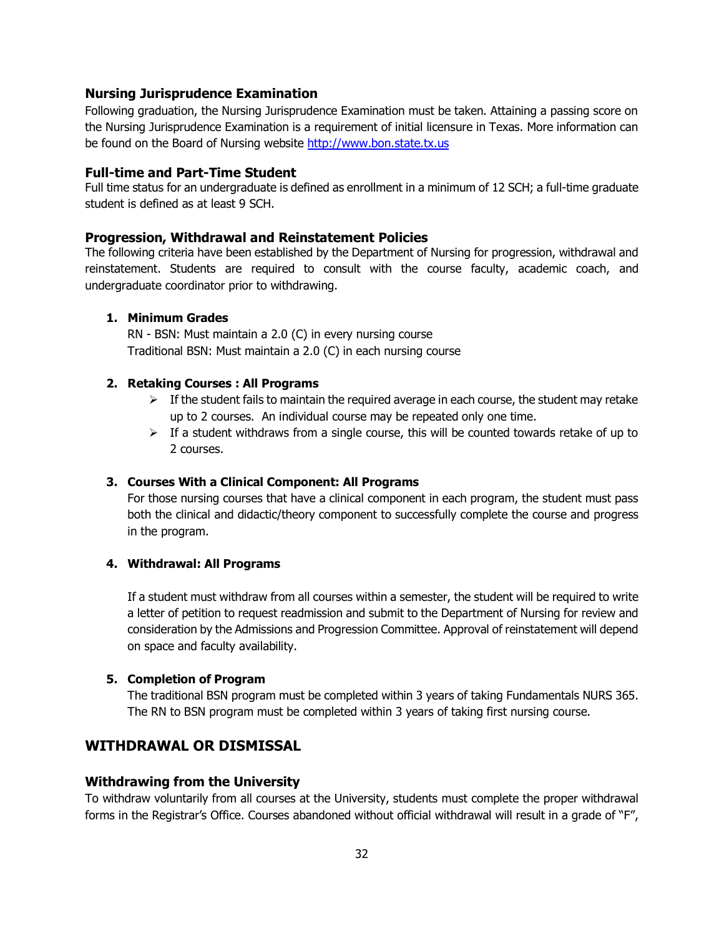#### **Nursing Jurisprudence Examination**

Following graduation, the Nursing Jurisprudence Examination must be taken. Attaining a passing score on the Nursing Jurisprudence Examination is a requirement of initial licensure in Texas. More information can be found on the Board of Nursing website [http://www.bon.state.tx.us](http://www.bon.state.tx.us/)

#### **Full-time and Part-Time Student**

Full time status for an undergraduate is defined as enrollment in a minimum of 12 SCH; a full-time graduate student is defined as at least 9 SCH.

#### **Progression, Withdrawal and Reinstatement Policies**

The following criteria have been established by the Department of Nursing for progression, withdrawal and reinstatement. Students are required to consult with the course faculty, academic coach, and undergraduate coordinator prior to withdrawing.

#### **1. Minimum Grades**

RN - BSN: Must maintain a 2.0 (C) in every nursing course Traditional BSN: Must maintain a 2.0 (C) in each nursing course

#### **2. Retaking Courses : All Programs**

- $\triangleright$  If the student fails to maintain the required average in each course, the student may retake up to 2 courses. An individual course may be repeated only one time.
- $\triangleright$  If a student withdraws from a single course, this will be counted towards retake of up to 2 courses.

#### **3. Courses With a Clinical Component: All Programs**

For those nursing courses that have a clinical component in each program, the student must pass both the clinical and didactic/theory component to successfully complete the course and progress in the program.

#### **4. Withdrawal: All Programs**

If a student must withdraw from all courses within a semester, the student will be required to write a letter of petition to request readmission and submit to the Department of Nursing for review and consideration by the Admissions and Progression Committee. Approval of reinstatement will depend on space and faculty availability.

#### **5. Completion of Program**

The traditional BSN program must be completed within 3 years of taking Fundamentals NURS 365. The RN to BSN program must be completed within 3 years of taking first nursing course.

## **WITHDRAWAL OR DISMISSAL**

#### **Withdrawing from the University**

To withdraw voluntarily from all courses at the University, students must complete the proper withdrawal forms in the Registrar's Office. Courses abandoned without official withdrawal will result in a grade of "F",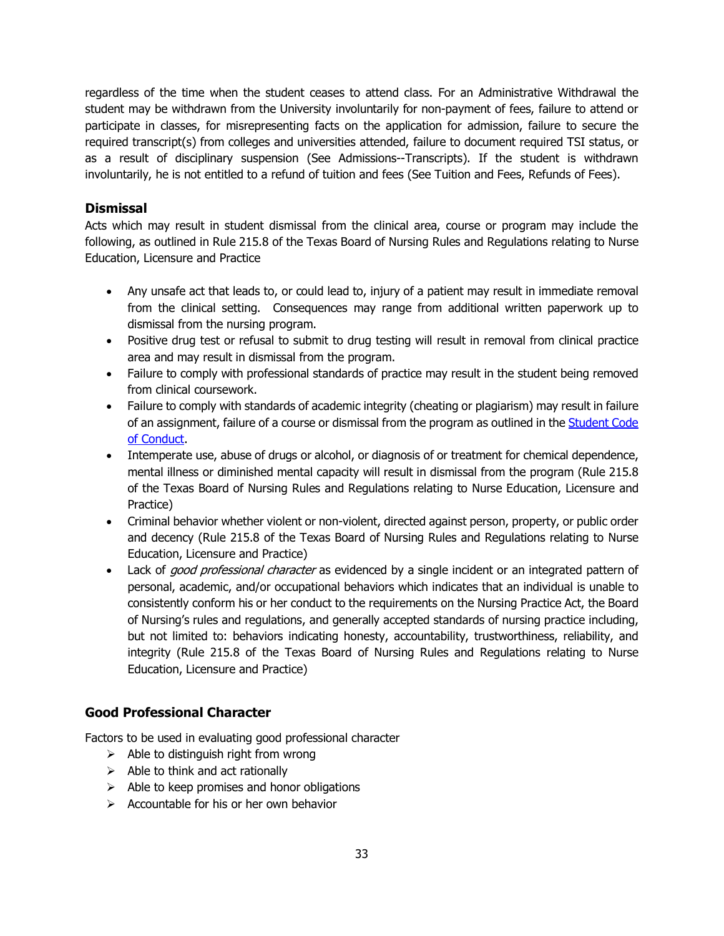regardless of the time when the student ceases to attend class. For an Administrative Withdrawal the student may be withdrawn from the University involuntarily for non-payment of fees, failure to attend or participate in classes, for misrepresenting facts on the application for admission, failure to secure the required transcript(s) from colleges and universities attended, failure to document required TSI status, or as a result of disciplinary suspension (See Admissions--Transcripts). If the student is withdrawn involuntarily, he is not entitled to a refund of tuition and fees (See Tuition and Fees, Refunds of Fees).

## **Dismissal**

Acts which may result in student dismissal from the clinical area, course or program may include the following, as outlined in Rule 215.8 of the Texas Board of Nursing Rules and Regulations relating to Nurse Education, Licensure and Practice

- Any unsafe act that leads to, or could lead to, injury of a patient may result in immediate removal from the clinical setting. Consequences may range from additional written paperwork up to dismissal from the nursing program.
- Positive drug test or refusal to submit to drug testing will result in removal from clinical practice area and may result in dismissal from the program.
- Failure to comply with professional standards of practice may result in the student being removed from clinical coursework.
- Failure to comply with standards of academic integrity (cheating or plagiarism) may result in failure of an assignment, failure of a course or dismissal from the program as outlined in the Student Code [of Conduct.](http://tamut.edu/Student-Life/Student%20Conduct/14%2015%20Code%20of%20conduct%20updated%2002162015.pdf)
- Intemperate use, abuse of drugs or alcohol, or diagnosis of or treatment for chemical dependence, mental illness or diminished mental capacity will result in dismissal from the program (Rule 215.8 of the Texas Board of Nursing Rules and Regulations relating to Nurse Education, Licensure and Practice)
- Criminal behavior whether violent or non-violent, directed against person, property, or public order and decency (Rule 215.8 of the Texas Board of Nursing Rules and Regulations relating to Nurse Education, Licensure and Practice)
- Lack of *good professional character* as evidenced by a single incident or an integrated pattern of personal, academic, and/or occupational behaviors which indicates that an individual is unable to consistently conform his or her conduct to the requirements on the Nursing Practice Act, the Board of Nursing's rules and regulations, and generally accepted standards of nursing practice including, but not limited to: behaviors indicating honesty, accountability, trustworthiness, reliability, and integrity (Rule 215.8 of the Texas Board of Nursing Rules and Regulations relating to Nurse Education, Licensure and Practice)

## **Good Professional Character**

Factors to be used in evaluating good professional character

- $\triangleright$  Able to distinguish right from wrong
- $\triangleright$  Able to think and act rationally
- $\triangleright$  Able to keep promises and honor obligations
- $\triangleright$  Accountable for his or her own behavior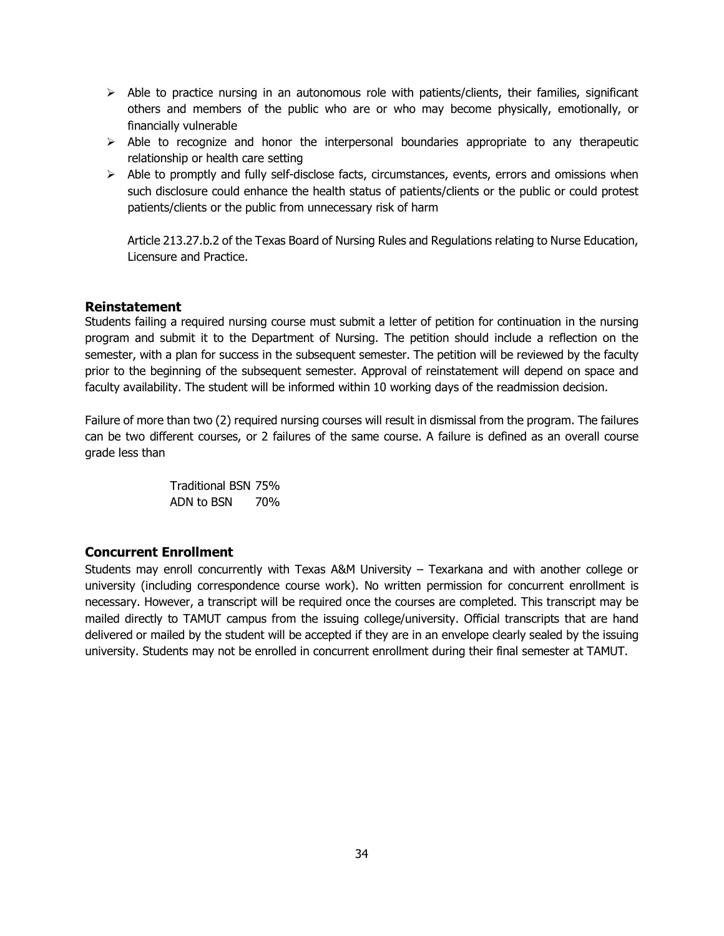- $\triangleright$  Able to practice nursing in an autonomous role with patients/clients, their families, significant others and members of the public who are or who may become physically, emotionally, or financially vulnerable
- $\triangleright$  Able to recognize and honor the interpersonal boundaries appropriate to any therapeutic relationship or health care setting
- $\triangleright$  Able to promptly and fully self-disclose facts, circumstances, events, errors and omissions when such disclosure could enhance the health status of patients/clients or the public or could protest patients/clients or the public from unnecessary risk of harm

Article 213.27.b.2 of the Texas Board of Nursing Rules and Regulations relating to Nurse Education, Licensure and Practice.

#### **Reinstatement**

Students failing a required nursing course must submit a letter of petition for continuation in the nursing program and submit it to the Department of Nursing. The petition should include a reflection on the semester, with a plan for success in the subsequent semester. The petition will be reviewed by the faculty prior to the beginning of the subsequent semester. Approval of reinstatement will depend on space and faculty availability. The student will be informed within 10 working days of the readmission decision.

Failure of more than two (2) required nursing courses will result in dismissal from the program. The failures can be two different courses, or 2 failures of the same course. A failure is defined as an overall course grade less than

> Traditional BSN 75% ADN to BSN 70%

## **Concurrent Enrollment**

Students may enroll concurrently with Texas A&M University – Texarkana and with another college or university (including correspondence course work). No written permission for concurrent enrollment is necessary. However, a transcript will be required once the courses are completed. This transcript may be mailed directly to TAMUT campus from the issuing college/university. Official transcripts that are hand delivered or mailed by the student will be accepted if they are in an envelope clearly sealed by the issuing university. Students may not be enrolled in concurrent enrollment during their final semester at TAMUT.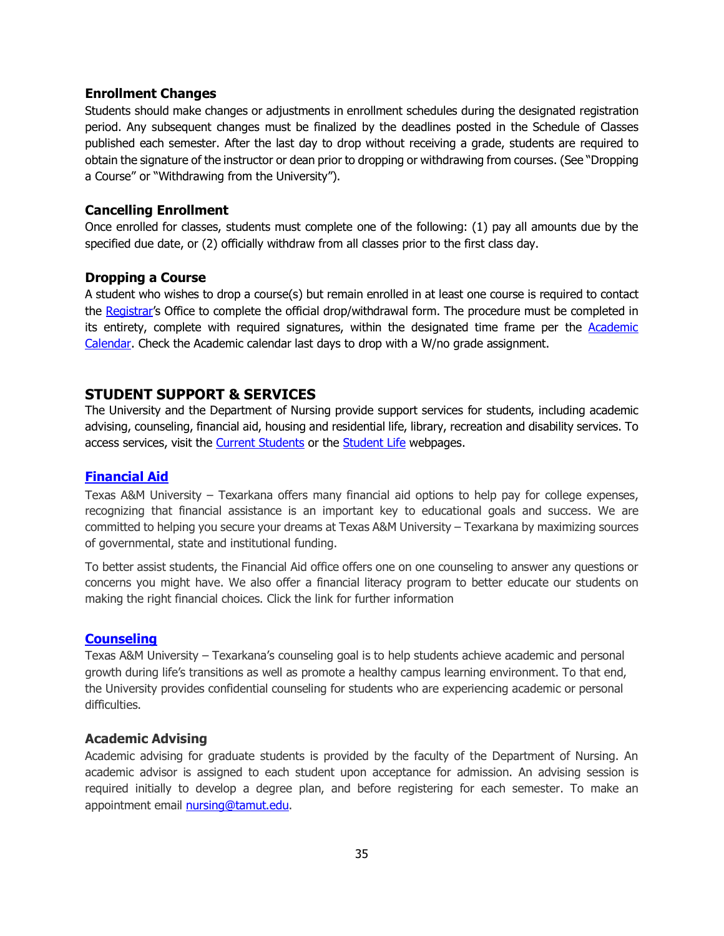#### **Enrollment Changes**

Students should make changes or adjustments in enrollment schedules during the designated registration period. Any subsequent changes must be finalized by the deadlines posted in the Schedule of Classes published each semester. After the last day to drop without receiving a grade, students are required to obtain the signature of the instructor or dean prior to dropping or withdrawing from courses. (See "Dropping a Course" or "Withdrawing from the University").

#### **Cancelling Enrollment**

Once enrolled for classes, students must complete one of the following: (1) pay all amounts due by the specified due date, or (2) officially withdraw from all classes prior to the first class day.

#### **Dropping a Course**

A student who wishes to drop a course(s) but remain enrolled in at least one course is required to contact the [Registrar'](http://tamut.edu/Student-Support/Registrar/Dropping.html)s Office to complete the official drop/withdrawal form. The procedure must be completed in its entirety, complete with required signatures, within the designated time frame per the [Academic](http://tamut.edu/academic-calendar/index.html)  [Calendar.](http://tamut.edu/academic-calendar/index.html) Check the Academic calendar last days to drop with a W/no grade assignment.

#### **STUDENT SUPPORT & SERVICES**

The University and the Department of Nursing provide support services for students, including academic advising, counseling, financial aid, housing and residential life, library, recreation and disability services. To access services, visit the [Current Students](http://tamut.edu/Current%20Students.php) or the [Student Life](http://tamut.edu/Student-Life/index.html) webpages.

#### **[Financial Aid](http://tamut.edu/Student-Support/Financial%20Aid/index.html)**

Texas A&M University – Texarkana offers many financial aid options to help pay for college expenses, recognizing that financial assistance is an important key to educational goals and success. We are committed to helping you secure your dreams at Texas A&M University – Texarkana by maximizing sources of governmental, state and institutional funding.

To better assist students, the Financial Aid office offers one on one counseling to answer any questions or concerns you might have. We also offer a financial literacy program to better educate our students on making the right financial choices. Click the link for further information

#### **[Counseling](file://mercury/shares/Nursing/Nursing%20Program%20Information/A&M-Texarkana)**

Texas A&M University – Texarkana's counseling goal is to help students achieve academic and personal growth during life's transitions as well as promote a healthy campus learning environment. To that end, the University provides confidential counseling for students who are experiencing academic or personal difficulties.

#### **Academic Advising**

Academic advising for graduate students is provided by the faculty of the Department of Nursing. An academic advisor is assigned to each student upon acceptance for admission. An advising session is required initially to develop a degree plan, and before registering for each semester. To make an appointment email [nursing@tamut.edu.](mailto:nursing@tamut.edu)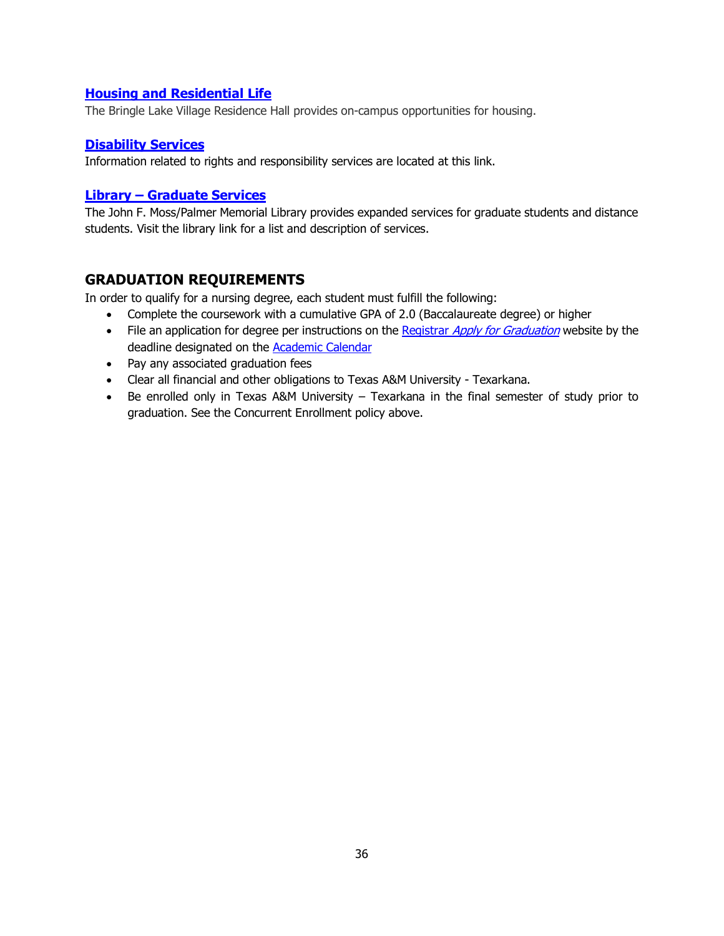#### **[Housing and Residential Life](http://tamut.edu/Student-Life/Bringle%20Lake%20Village/index.html)**

The Bringle Lake Village Residence Hall provides on-campus opportunities for housing.

#### **[Disability Services](http://tamut.edu/Student-Life/Disability%20Services/index.htmlhttp:/tamut.edu/Student-Life/Disability%20Services/index.html)**

Information related to rights and responsibility services are located at this link.

#### **Library – [Graduate Services](http://library.tamut.edu/GraduateGuide/gstudentservicesIndex.htm)**

The John F. Moss/Palmer Memorial Library provides expanded services for graduate students and distance students. Visit the library link for a list and description of services.

## **GRADUATION REQUIREMENTS**

In order to qualify for a nursing degree, each student must fulfill the following:

- Complete the coursework with a cumulative GPA of 2.0 (Baccalaureate degree) or higher
- File an application for degree per instructions on the Registrar [Apply for Graduation](http://tamut.edu/Student-Support/Registrar/Apply.html) website by the deadline designated on the **Academic Calendar**
- Pay any associated graduation fees
- Clear all financial and other obligations to Texas A&M University Texarkana.
- Be enrolled only in Texas A&M University Texarkana in the final semester of study prior to graduation. See the Concurrent Enrollment policy above.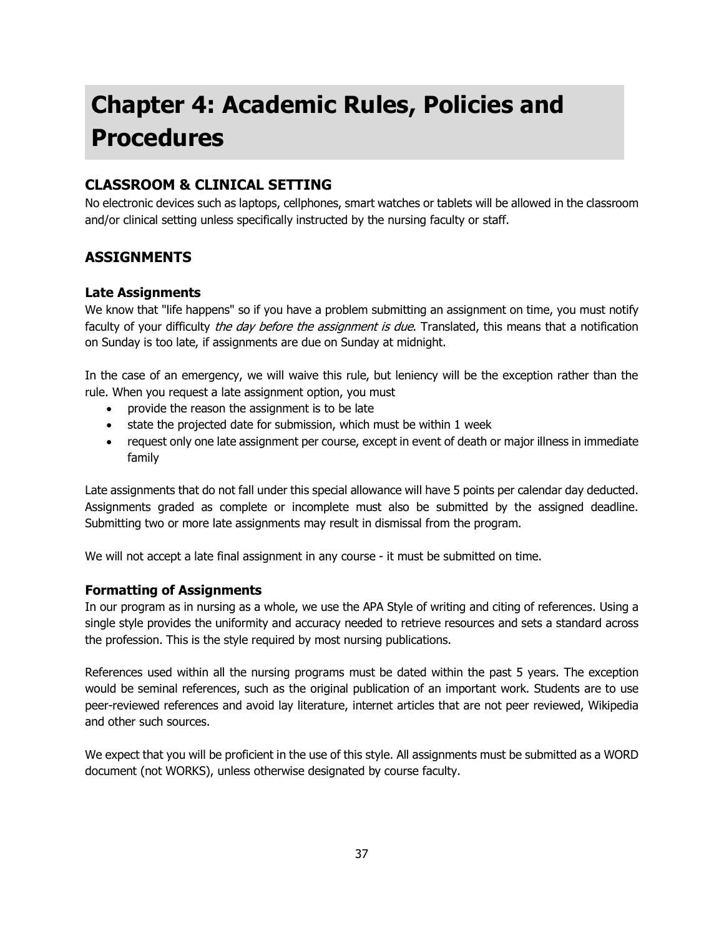# **Chapter 4: Academic Rules, Policies and Procedures**

## **CLASSROOM & CLINICAL SETTING**

No electronic devices such as laptops, cellphones, smart watches or tablets will be allowed in the classroom and/or clinical setting unless specifically instructed by the nursing faculty or staff.

## **ASSIGNMENTS**

#### **Late Assignments**

We know that "life happens" so if you have a problem submitting an assignment on time, you must notify faculty of your difficulty the day before the assignment is due. Translated, this means that a notification on Sunday is too late, if assignments are due on Sunday at midnight.

In the case of an emergency, we will waive this rule, but leniency will be the exception rather than the rule. When you request a late assignment option, you must

- provide the reason the assignment is to be late
- state the projected date for submission, which must be within 1 week
- request only one late assignment per course, except in event of death or major illness in immediate family

Late assignments that do not fall under this special allowance will have 5 points per calendar day deducted. Assignments graded as complete or incomplete must also be submitted by the assigned deadline. Submitting two or more late assignments may result in dismissal from the program.

We will not accept a late final assignment in any course - it must be submitted on time.

## **Formatting of Assignments**

In our program as in nursing as a whole, we use the APA Style of writing and citing of references. Using a single style provides the uniformity and accuracy needed to retrieve resources and sets a standard across the profession. This is the style required by most nursing publications.

References used within all the nursing programs must be dated within the past 5 years. The exception would be seminal references, such as the original publication of an important work. Students are to use peer-reviewed references and avoid lay literature, internet articles that are not peer reviewed, Wikipedia and other such sources.

We expect that you will be proficient in the use of this style. All assignments must be submitted as a WORD document (not WORKS), unless otherwise designated by course faculty.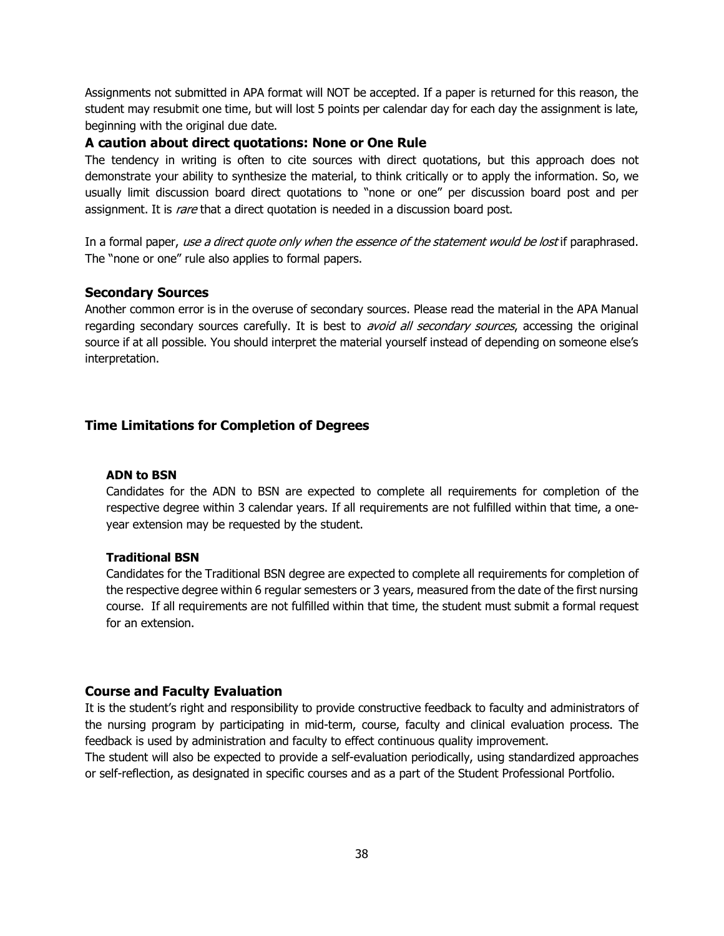Assignments not submitted in APA format will NOT be accepted. If a paper is returned for this reason, the student may resubmit one time, but will lost 5 points per calendar day for each day the assignment is late, beginning with the original due date.

#### **A caution about direct quotations: None or One Rule**

The tendency in writing is often to cite sources with direct quotations, but this approach does not demonstrate your ability to synthesize the material, to think critically or to apply the information. So, we usually limit discussion board direct quotations to "none or one" per discussion board post and per assignment. It is rare that a direct quotation is needed in a discussion board post.

In a formal paper, use a direct quote only when the essence of the statement would be lost if paraphrased. The "none or one" rule also applies to formal papers.

#### **Secondary Sources**

Another common error is in the overuse of secondary sources. Please read the material in the APA Manual regarding secondary sources carefully. It is best to *avoid all secondary sources*, accessing the original source if at all possible. You should interpret the material yourself instead of depending on someone else's interpretation.

## **Time Limitations for Completion of Degrees**

#### **ADN to BSN**

Candidates for the ADN to BSN are expected to complete all requirements for completion of the respective degree within 3 calendar years. If all requirements are not fulfilled within that time, a oneyear extension may be requested by the student.

#### **Traditional BSN**

Candidates for the Traditional BSN degree are expected to complete all requirements for completion of the respective degree within 6 regular semesters or 3 years, measured from the date of the first nursing course. If all requirements are not fulfilled within that time, the student must submit a formal request for an extension.

#### **Course and Faculty Evaluation**

It is the student's right and responsibility to provide constructive feedback to faculty and administrators of the nursing program by participating in mid-term, course, faculty and clinical evaluation process. The feedback is used by administration and faculty to effect continuous quality improvement.

The student will also be expected to provide a self-evaluation periodically, using standardized approaches or self-reflection, as designated in specific courses and as a part of the Student Professional Portfolio.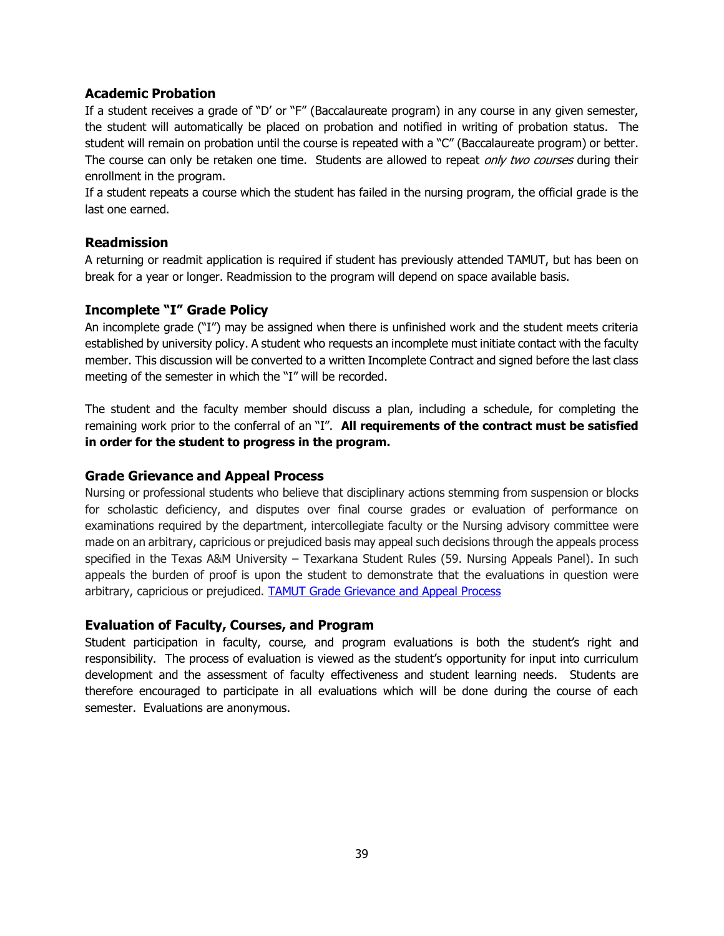#### **Academic Probation**

If a student receives a grade of "D' or "F" (Baccalaureate program) in any course in any given semester, the student will automatically be placed on probation and notified in writing of probation status. The student will remain on probation until the course is repeated with a "C" (Baccalaureate program) or better. The course can only be retaken one time. Students are allowed to repeat *only two courses* during their enrollment in the program.

If a student repeats a course which the student has failed in the nursing program, the official grade is the last one earned.

#### **Readmission**

A returning or readmit application is required if student has previously attended TAMUT, but has been on break for a year or longer. Readmission to the program will depend on space available basis.

## **Incomplete "I" Grade Policy**

An incomplete grade ("I") may be assigned when there is unfinished work and the student meets criteria established by university policy. A student who requests an incomplete must initiate contact with the faculty member. This discussion will be converted to a written Incomplete Contract and signed before the last class meeting of the semester in which the "I" will be recorded.

The student and the faculty member should discuss a plan, including a schedule, for completing the remaining work prior to the conferral of an "I". **All requirements of the contract must be satisfied in order for the student to progress in the program.** 

## **Grade Grievance and Appeal Process**

Nursing or professional students who believe that disciplinary actions stemming from suspension or blocks for scholastic deficiency, and disputes over final course grades or evaluation of performance on examinations required by the department, intercollegiate faculty or the Nursing advisory committee were made on an arbitrary, capricious or prejudiced basis may appeal such decisions through the appeals process specified in the Texas A&M University – Texarkana Student Rules (59. Nursing Appeals Panel). In such appeals the burden of proof is upon the student to demonstrate that the evaluations in question were arbitrary, capricious or prejudiced. **TAMUT Grade Grievance and Appeal Process** 

#### **Evaluation of Faculty, Courses, and Program**

Student participation in faculty, course, and program evaluations is both the student's right and responsibility. The process of evaluation is viewed as the student's opportunity for input into curriculum development and the assessment of faculty effectiveness and student learning needs. Students are therefore encouraged to participate in all evaluations which will be done during the course of each semester. Evaluations are anonymous.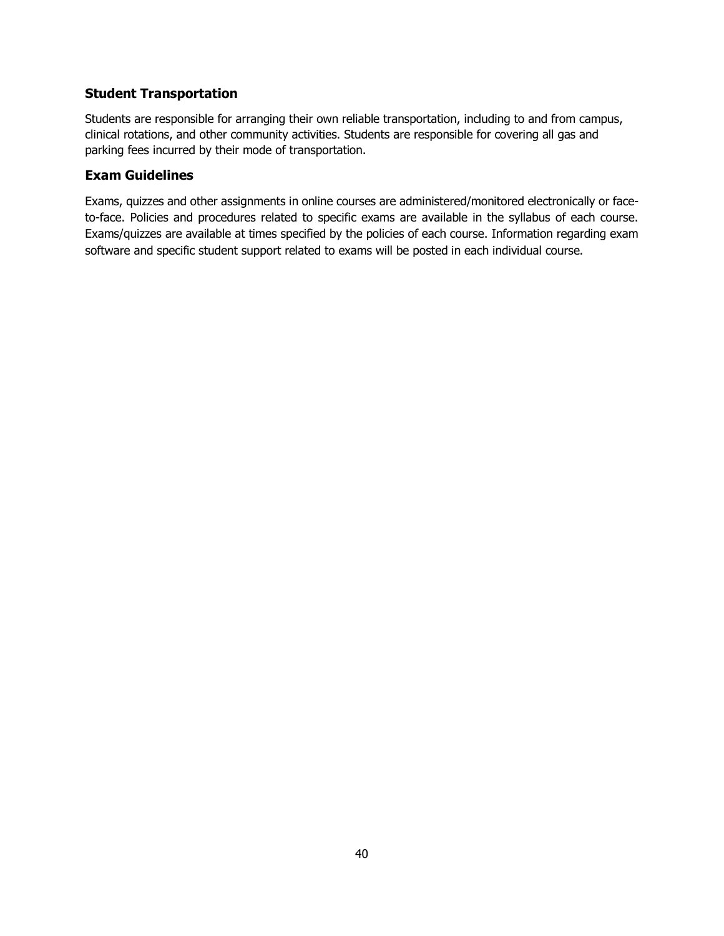## **Student Transportation**

Students are responsible for arranging their own reliable transportation, including to and from campus, clinical rotations, and other community activities. Students are responsible for covering all gas and parking fees incurred by their mode of transportation.

#### **Exam Guidelines**

Exams, quizzes and other assignments in online courses are administered/monitored electronically or faceto-face. Policies and procedures related to specific exams are available in the syllabus of each course. Exams/quizzes are available at times specified by the policies of each course. Information regarding exam software and specific student support related to exams will be posted in each individual course.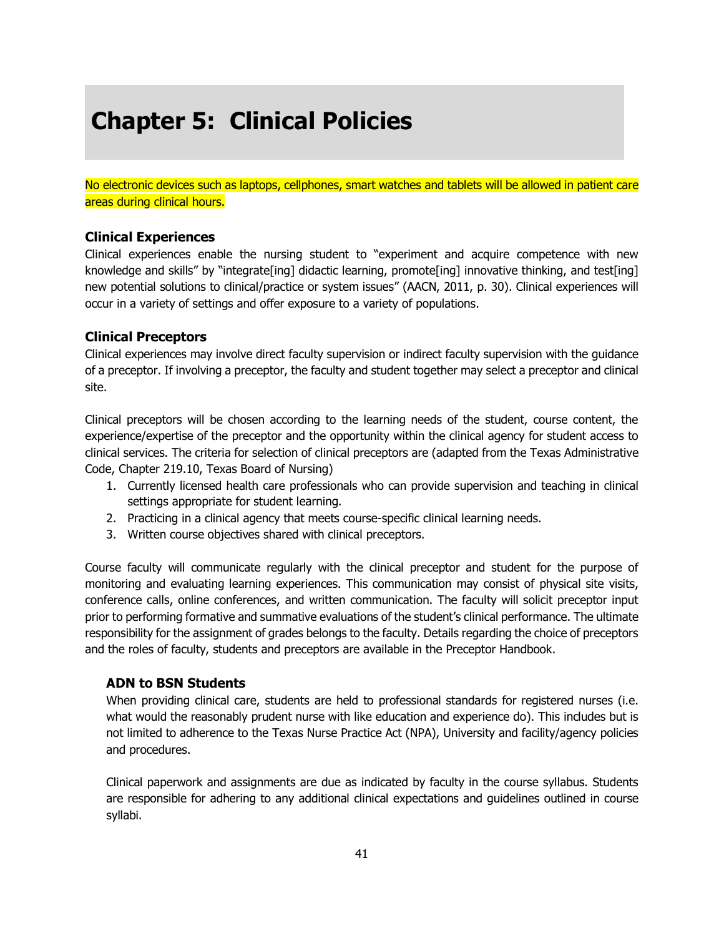## **Chapter 5: Clinical Policies**

No electronic devices such as laptops, cellphones, smart watches and tablets will be allowed in patient care areas during clinical hours.

#### **Clinical Experiences**

Clinical experiences enable the nursing student to "experiment and acquire competence with new knowledge and skills" by "integrate[ing] didactic learning, promote[ing] innovative thinking, and test[ing] new potential solutions to clinical/practice or system issues" (AACN, 2011, p. 30). Clinical experiences will occur in a variety of settings and offer exposure to a variety of populations.

#### **Clinical Preceptors**

Clinical experiences may involve direct faculty supervision or indirect faculty supervision with the guidance of a preceptor. If involving a preceptor, the faculty and student together may select a preceptor and clinical site.

Clinical preceptors will be chosen according to the learning needs of the student, course content, the experience/expertise of the preceptor and the opportunity within the clinical agency for student access to clinical services. The criteria for selection of clinical preceptors are (adapted from the Texas Administrative Code, Chapter 219.10, Texas Board of Nursing)

- 1. Currently licensed health care professionals who can provide supervision and teaching in clinical settings appropriate for student learning.
- 2. Practicing in a clinical agency that meets course-specific clinical learning needs.
- 3. Written course objectives shared with clinical preceptors.

Course faculty will communicate regularly with the clinical preceptor and student for the purpose of monitoring and evaluating learning experiences. This communication may consist of physical site visits, conference calls, online conferences, and written communication. The faculty will solicit preceptor input prior to performing formative and summative evaluations of the student's clinical performance. The ultimate responsibility for the assignment of grades belongs to the faculty. Details regarding the choice of preceptors and the roles of faculty, students and preceptors are available in the Preceptor Handbook.

## **ADN to BSN Students**

When providing clinical care, students are held to professional standards for registered nurses (i.e. what would the reasonably prudent nurse with like education and experience do). This includes but is not limited to adherence to the Texas Nurse Practice Act (NPA), University and facility/agency policies and procedures.

Clinical paperwork and assignments are due as indicated by faculty in the course syllabus. Students are responsible for adhering to any additional clinical expectations and guidelines outlined in course syllabi.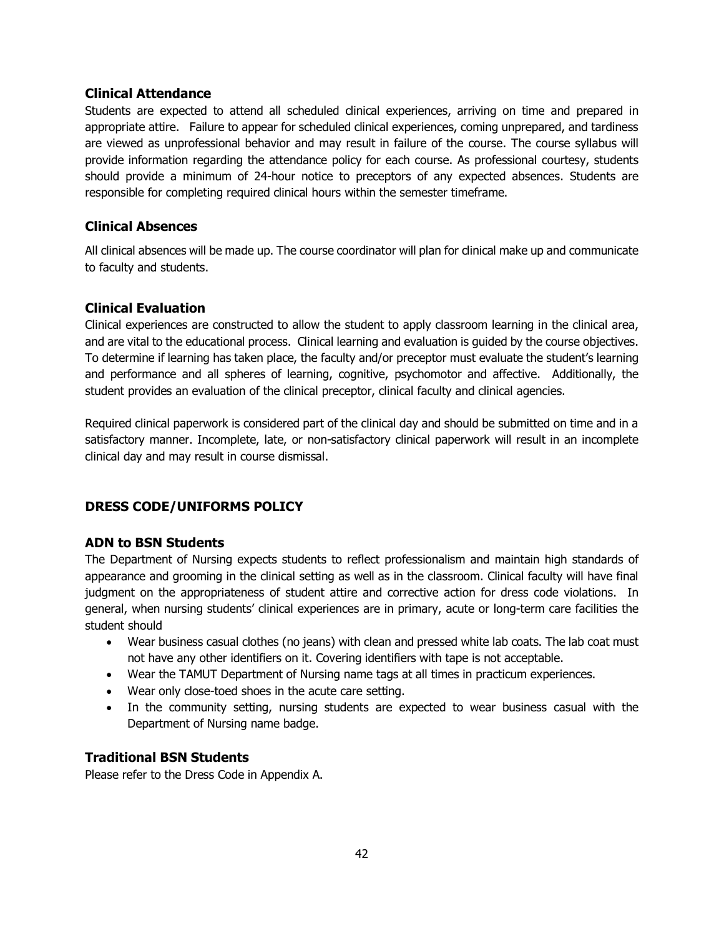#### **Clinical Attendance**

Students are expected to attend all scheduled clinical experiences, arriving on time and prepared in appropriate attire. Failure to appear for scheduled clinical experiences, coming unprepared, and tardiness are viewed as unprofessional behavior and may result in failure of the course. The course syllabus will provide information regarding the attendance policy for each course. As professional courtesy, students should provide a minimum of 24-hour notice to preceptors of any expected absences. Students are responsible for completing required clinical hours within the semester timeframe.

## **Clinical Absences**

All clinical absences will be made up. The course coordinator will plan for clinical make up and communicate to faculty and students.

## **Clinical Evaluation**

Clinical experiences are constructed to allow the student to apply classroom learning in the clinical area, and are vital to the educational process. Clinical learning and evaluation is guided by the course objectives. To determine if learning has taken place, the faculty and/or preceptor must evaluate the student's learning and performance and all spheres of learning, cognitive, psychomotor and affective. Additionally, the student provides an evaluation of the clinical preceptor, clinical faculty and clinical agencies.

Required clinical paperwork is considered part of the clinical day and should be submitted on time and in a satisfactory manner. Incomplete, late, or non-satisfactory clinical paperwork will result in an incomplete clinical day and may result in course dismissal.

## **DRESS CODE/UNIFORMS POLICY**

## **ADN to BSN Students**

The Department of Nursing expects students to reflect professionalism and maintain high standards of appearance and grooming in the clinical setting as well as in the classroom. Clinical faculty will have final judgment on the appropriateness of student attire and corrective action for dress code violations. In general, when nursing students' clinical experiences are in primary, acute or long-term care facilities the student should

- Wear business casual clothes (no jeans) with clean and pressed white lab coats. The lab coat must not have any other identifiers on it. Covering identifiers with tape is not acceptable.
- Wear the TAMUT Department of Nursing name tags at all times in practicum experiences.
- Wear only close-toed shoes in the acute care setting.
- In the community setting, nursing students are expected to wear business casual with the Department of Nursing name badge.

## **Traditional BSN Students**

Please refer to the Dress Code in Appendix A.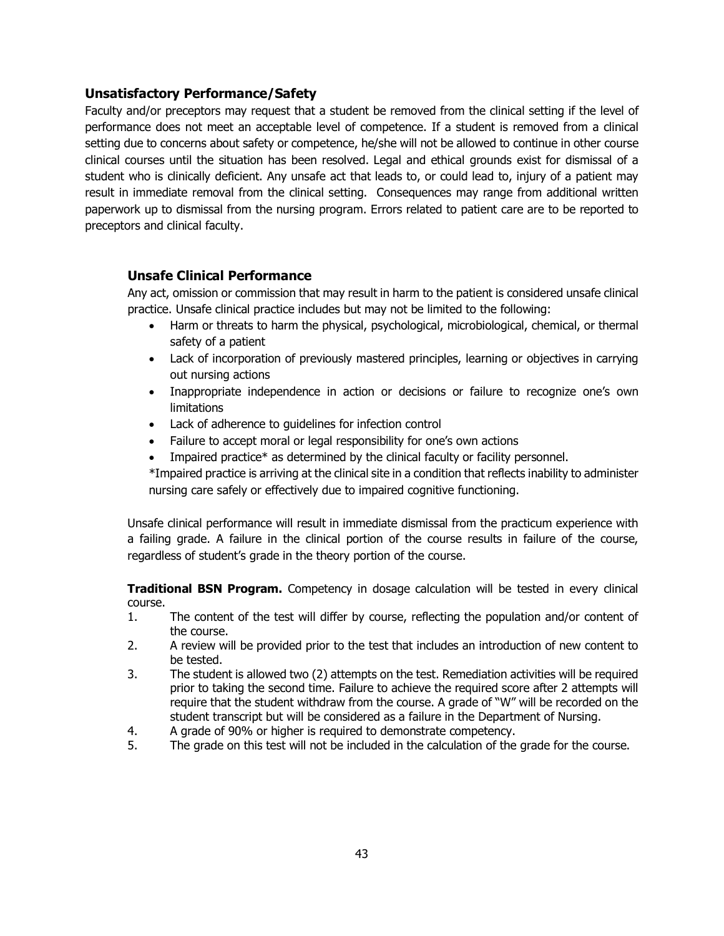#### **Unsatisfactory Performance/Safety**

Faculty and/or preceptors may request that a student be removed from the clinical setting if the level of performance does not meet an acceptable level of competence. If a student is removed from a clinical setting due to concerns about safety or competence, he/she will not be allowed to continue in other course clinical courses until the situation has been resolved. Legal and ethical grounds exist for dismissal of a student who is clinically deficient. Any unsafe act that leads to, or could lead to, injury of a patient may result in immediate removal from the clinical setting. Consequences may range from additional written paperwork up to dismissal from the nursing program. Errors related to patient care are to be reported to preceptors and clinical faculty.

#### **Unsafe Clinical Performance**

Any act, omission or commission that may result in harm to the patient is considered unsafe clinical practice. Unsafe clinical practice includes but may not be limited to the following:

- Harm or threats to harm the physical, psychological, microbiological, chemical, or thermal safety of a patient
- Lack of incorporation of previously mastered principles, learning or objectives in carrying out nursing actions
- Inappropriate independence in action or decisions or failure to recognize one's own limitations
- Lack of adherence to guidelines for infection control
- Failure to accept moral or legal responsibility for one's own actions
- Impaired practice\* as determined by the clinical faculty or facility personnel.

\*Impaired practice is arriving at the clinical site in a condition that reflects inability to administer nursing care safely or effectively due to impaired cognitive functioning.

Unsafe clinical performance will result in immediate dismissal from the practicum experience with a failing grade. A failure in the clinical portion of the course results in failure of the course, regardless of student's grade in the theory portion of the course.

**Traditional BSN Program.** Competency in dosage calculation will be tested in every clinical course.

- 1. The content of the test will differ by course, reflecting the population and/or content of the course.
- 2. A review will be provided prior to the test that includes an introduction of new content to be tested.
- 3. The student is allowed two (2) attempts on the test. Remediation activities will be required prior to taking the second time. Failure to achieve the required score after 2 attempts will require that the student withdraw from the course. A grade of "W" will be recorded on the student transcript but will be considered as a failure in the Department of Nursing.
- 4. A grade of 90% or higher is required to demonstrate competency.
- 5. The grade on this test will not be included in the calculation of the grade for the course.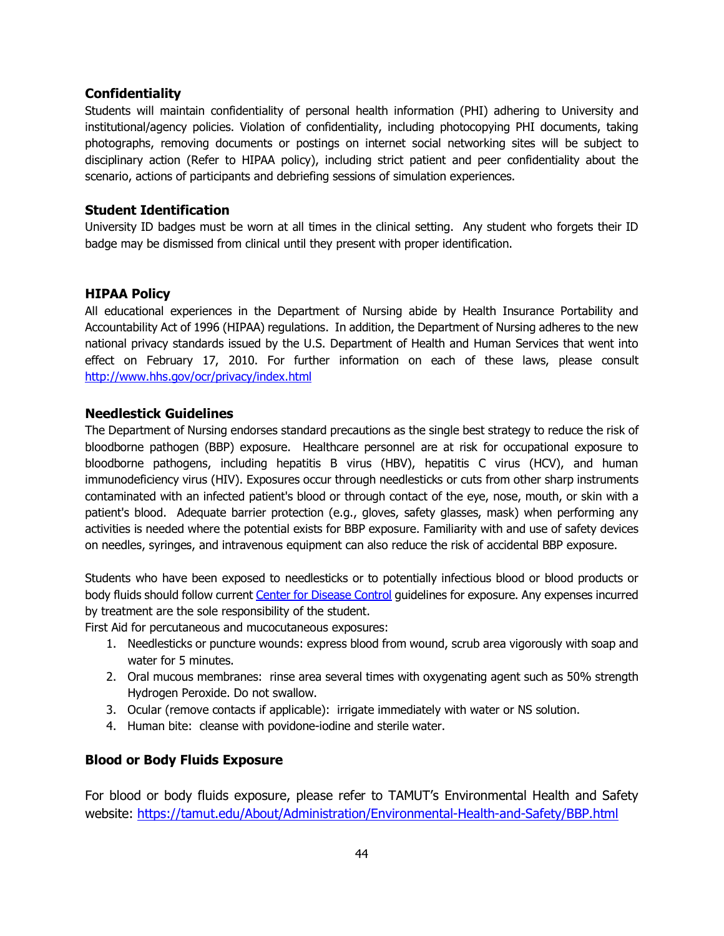#### **Confidentiality**

Students will maintain confidentiality of personal health information (PHI) adhering to University and institutional/agency policies. Violation of confidentiality, including photocopying PHI documents, taking photographs, removing documents or postings on internet social networking sites will be subject to disciplinary action (Refer to HIPAA policy), including strict patient and peer confidentiality about the scenario, actions of participants and debriefing sessions of simulation experiences.

#### **Student Identification**

University ID badges must be worn at all times in the clinical setting. Any student who forgets their ID badge may be dismissed from clinical until they present with proper identification.

#### **HIPAA Policy**

All educational experiences in the Department of Nursing abide by Health Insurance Portability and Accountability Act of 1996 (HIPAA) regulations. In addition, the Department of Nursing adheres to the new national privacy standards issued by the U.S. Department of Health and Human Services that went into effect on February 17, 2010. For further information on each of these laws, please consult <http://www.hhs.gov/ocr/privacy/index.html>

#### **Needlestick Guidelines**

The Department of Nursing endorses standard precautions as the single best strategy to reduce the risk of bloodborne pathogen (BBP) exposure. Healthcare personnel are at risk for occupational exposure to bloodborne pathogens, including hepatitis B virus (HBV), hepatitis C virus (HCV), and human immunodeficiency virus (HIV). Exposures occur through needlesticks or cuts from other sharp instruments contaminated with an infected patient's blood or through contact of the eye, nose, mouth, or skin with a patient's blood. Adequate barrier protection (e.g., gloves, safety glasses, mask) when performing any activities is needed where the potential exists for BBP exposure. Familiarity with and use of safety devices on needles, syringes, and intravenous equipment can also reduce the risk of accidental BBP exposure.

Students who have been exposed to needlesticks or to potentially infectious blood or blood products or body fluids should follow curren[t Center for Disease Control](http://www.cdc.gov/) guidelines for exposure. Any expenses incurred by treatment are the sole responsibility of the student.

First Aid for percutaneous and mucocutaneous exposures:

- 1. Needlesticks or puncture wounds: express blood from wound, scrub area vigorously with soap and water for 5 minutes.
- 2. Oral mucous membranes: rinse area several times with oxygenating agent such as 50% strength Hydrogen Peroxide. Do not swallow.
- 3. Ocular (remove contacts if applicable): irrigate immediately with water or NS solution.
- 4. Human bite: cleanse with povidone-iodine and sterile water.

## **Blood or Body Fluids Exposure**

For blood or body fluids exposure, please refer to TAMUT's Environmental Health and Safety website:<https://tamut.edu/About/Administration/Environmental-Health-and-Safety/BBP.html>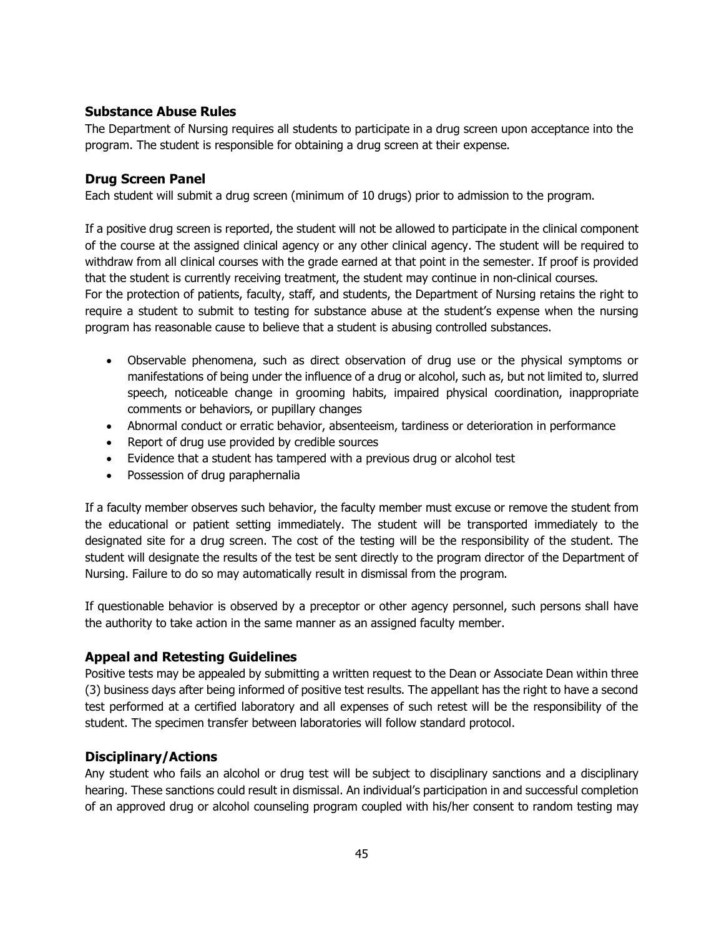#### **Substance Abuse Rules**

The Department of Nursing requires all students to participate in a drug screen upon acceptance into the program. The student is responsible for obtaining a drug screen at their expense.

#### **Drug Screen Panel**

Each student will submit a drug screen (minimum of 10 drugs) prior to admission to the program.

If a positive drug screen is reported, the student will not be allowed to participate in the clinical component of the course at the assigned clinical agency or any other clinical agency. The student will be required to withdraw from all clinical courses with the grade earned at that point in the semester. If proof is provided that the student is currently receiving treatment, the student may continue in non-clinical courses. For the protection of patients, faculty, staff, and students, the Department of Nursing retains the right to require a student to submit to testing for substance abuse at the student's expense when the nursing program has reasonable cause to believe that a student is abusing controlled substances.

- Observable phenomena, such as direct observation of drug use or the physical symptoms or manifestations of being under the influence of a drug or alcohol, such as, but not limited to, slurred speech, noticeable change in grooming habits, impaired physical coordination, inappropriate comments or behaviors, or pupillary changes
- Abnormal conduct or erratic behavior, absenteeism, tardiness or deterioration in performance
- Report of drug use provided by credible sources
- Evidence that a student has tampered with a previous drug or alcohol test
- Possession of drug paraphernalia

If a faculty member observes such behavior, the faculty member must excuse or remove the student from the educational or patient setting immediately. The student will be transported immediately to the designated site for a drug screen. The cost of the testing will be the responsibility of the student. The student will designate the results of the test be sent directly to the program director of the Department of Nursing. Failure to do so may automatically result in dismissal from the program.

If questionable behavior is observed by a preceptor or other agency personnel, such persons shall have the authority to take action in the same manner as an assigned faculty member.

## **Appeal and Retesting Guidelines**

Positive tests may be appealed by submitting a written request to the Dean or Associate Dean within three (3) business days after being informed of positive test results. The appellant has the right to have a second test performed at a certified laboratory and all expenses of such retest will be the responsibility of the student. The specimen transfer between laboratories will follow standard protocol.

## **Disciplinary/Actions**

Any student who fails an alcohol or drug test will be subject to disciplinary sanctions and a disciplinary hearing. These sanctions could result in dismissal. An individual's participation in and successful completion of an approved drug or alcohol counseling program coupled with his/her consent to random testing may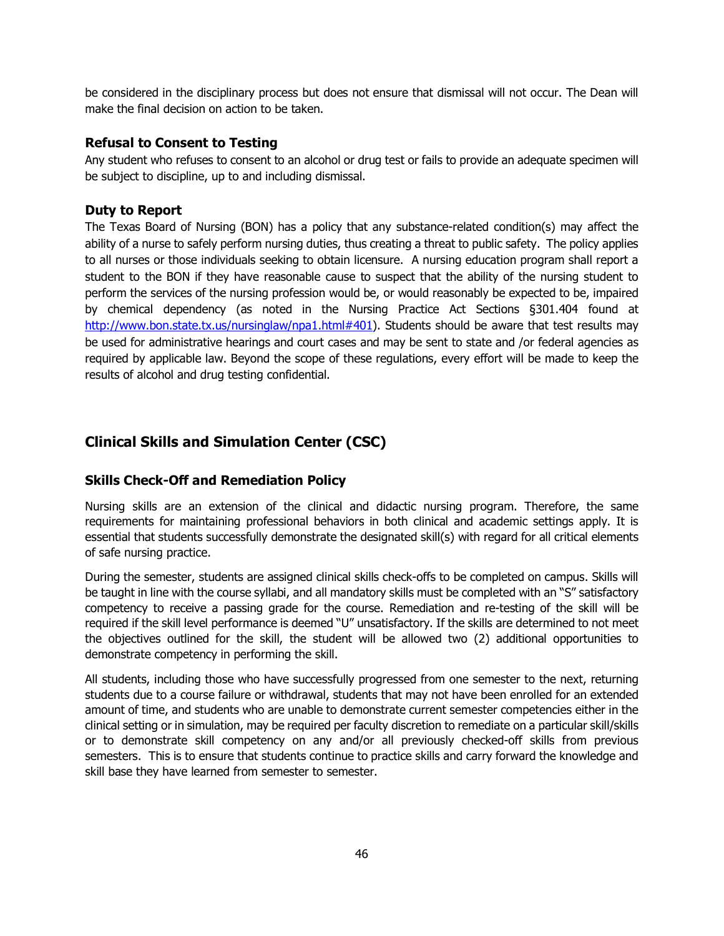be considered in the disciplinary process but does not ensure that dismissal will not occur. The Dean will make the final decision on action to be taken.

#### **Refusal to Consent to Testing**

Any student who refuses to consent to an alcohol or drug test or fails to provide an adequate specimen will be subject to discipline, up to and including dismissal.

#### **Duty to Report**

The Texas Board of Nursing (BON) has a policy that any substance-related condition(s) may affect the ability of a nurse to safely perform nursing duties, thus creating a threat to public safety. The policy applies to all nurses or those individuals seeking to obtain licensure. A nursing education program shall report a student to the BON if they have reasonable cause to suspect that the ability of the nursing student to perform the services of the nursing profession would be, or would reasonably be expected to be, impaired by chemical dependency (as noted in the Nursing Practice Act Sections §301.404 found at [http://www.bon.state.tx.us/nursinglaw/npa1.html#401\)](http://www.bon.state.tx.us/nursinglaw/npa1.html#401). Students should be aware that test results may be used for administrative hearings and court cases and may be sent to state and /or federal agencies as required by applicable law. Beyond the scope of these regulations, every effort will be made to keep the results of alcohol and drug testing confidential.

## **Clinical Skills and Simulation Center (CSC)**

## **Skills Check-Off and Remediation Policy**

Nursing skills are an extension of the clinical and didactic nursing program. Therefore, the same requirements for maintaining professional behaviors in both clinical and academic settings apply. It is essential that students successfully demonstrate the designated skill(s) with regard for all critical elements of safe nursing practice.

During the semester, students are assigned clinical skills check-offs to be completed on campus. Skills will be taught in line with the course syllabi, and all mandatory skills must be completed with an "S" satisfactory competency to receive a passing grade for the course. Remediation and re-testing of the skill will be required if the skill level performance is deemed "U" unsatisfactory. If the skills are determined to not meet the objectives outlined for the skill, the student will be allowed two (2) additional opportunities to demonstrate competency in performing the skill.

All students, including those who have successfully progressed from one semester to the next, returning students due to a course failure or withdrawal, students that may not have been enrolled for an extended amount of time, and students who are unable to demonstrate current semester competencies either in the clinical setting or in simulation, may be required per faculty discretion to remediate on a particular skill/skills or to demonstrate skill competency on any and/or all previously checked-off skills from previous semesters. This is to ensure that students continue to practice skills and carry forward the knowledge and skill base they have learned from semester to semester.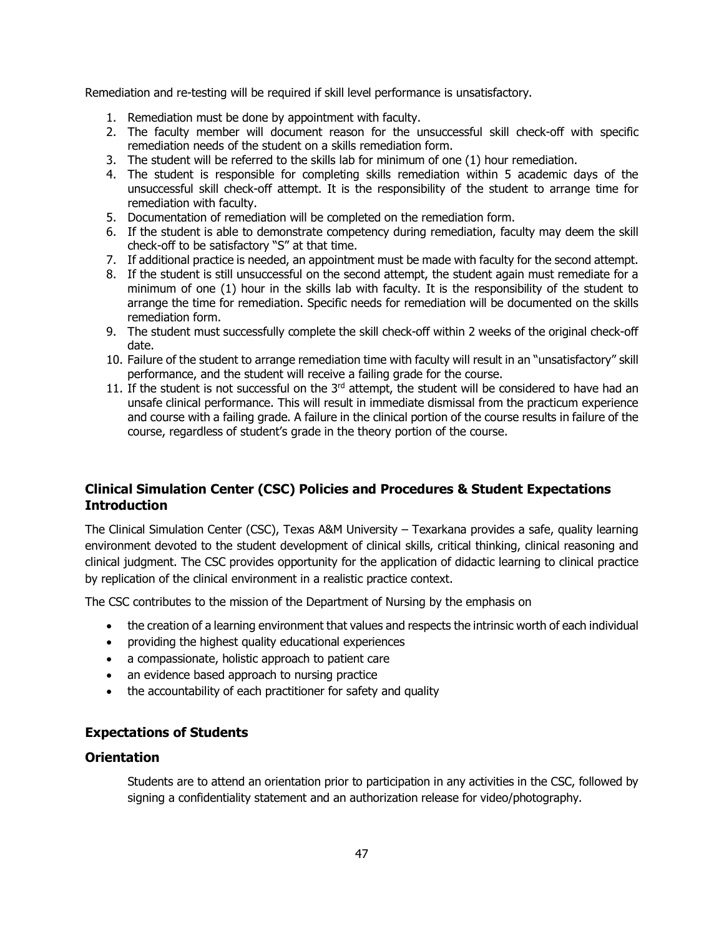Remediation and re-testing will be required if skill level performance is unsatisfactory.

- 1. Remediation must be done by appointment with faculty.
- 2. The faculty member will document reason for the unsuccessful skill check-off with specific remediation needs of the student on a skills remediation form.
- 3. The student will be referred to the skills lab for minimum of one (1) hour remediation.
- 4. The student is responsible for completing skills remediation within 5 academic days of the unsuccessful skill check-off attempt. It is the responsibility of the student to arrange time for remediation with faculty.
- 5. Documentation of remediation will be completed on the remediation form.
- 6. If the student is able to demonstrate competency during remediation, faculty may deem the skill check-off to be satisfactory "S" at that time.
- 7. If additional practice is needed, an appointment must be made with faculty for the second attempt.
- 8. If the student is still unsuccessful on the second attempt, the student again must remediate for a minimum of one (1) hour in the skills lab with faculty. It is the responsibility of the student to arrange the time for remediation. Specific needs for remediation will be documented on the skills remediation form.
- 9. The student must successfully complete the skill check-off within 2 weeks of the original check-off date.
- 10. Failure of the student to arrange remediation time with faculty will result in an "unsatisfactory" skill performance, and the student will receive a failing grade for the course.
- 11. If the student is not successful on the 3<sup>rd</sup> attempt, the student will be considered to have had an unsafe clinical performance. This will result in immediate dismissal from the practicum experience and course with a failing grade. A failure in the clinical portion of the course results in failure of the course, regardless of student's grade in the theory portion of the course.

## **Clinical Simulation Center (CSC) Policies and Procedures & Student Expectations Introduction**

The Clinical Simulation Center (CSC), Texas A&M University – Texarkana provides a safe, quality learning environment devoted to the student development of clinical skills, critical thinking, clinical reasoning and clinical judgment. The CSC provides opportunity for the application of didactic learning to clinical practice by replication of the clinical environment in a realistic practice context.

The CSC contributes to the mission of the Department of Nursing by the emphasis on

- the creation of a learning environment that values and respects the intrinsic worth of each individual
- providing the highest quality educational experiences
- a compassionate, holistic approach to patient care
- an evidence based approach to nursing practice
- the accountability of each practitioner for safety and quality

## **Expectations of Students**

## **Orientation**

Students are to attend an orientation prior to participation in any activities in the CSC, followed by signing a confidentiality statement and an authorization release for video/photography.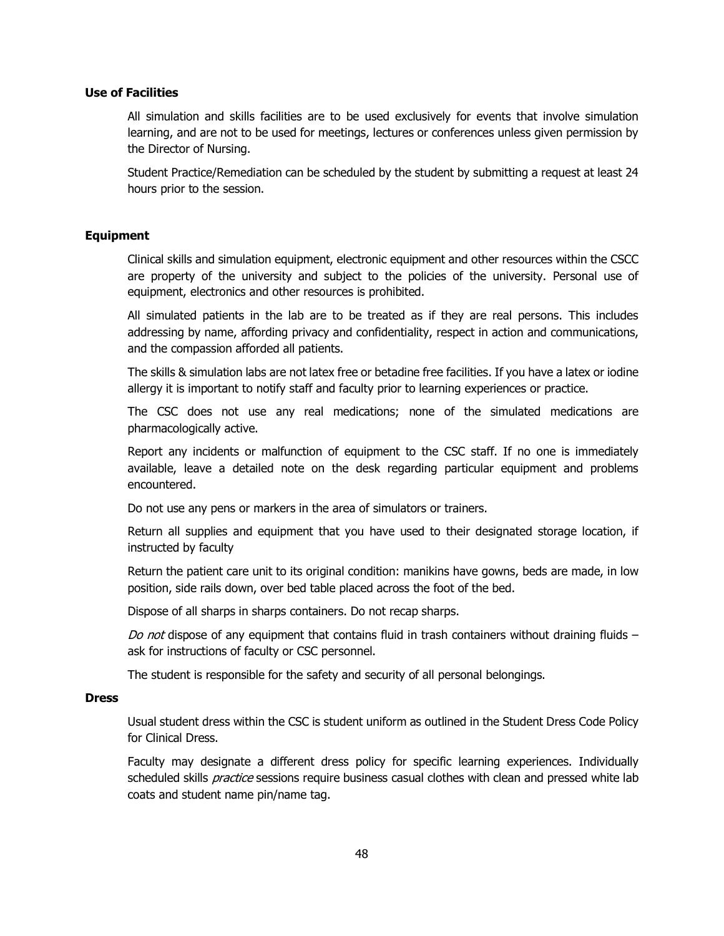#### **Use of Facilities**

All simulation and skills facilities are to be used exclusively for events that involve simulation learning, and are not to be used for meetings, lectures or conferences unless given permission by the Director of Nursing.

Student Practice/Remediation can be scheduled by the student by submitting a request at least 24 hours prior to the session.

#### **Equipment**

Clinical skills and simulation equipment, electronic equipment and other resources within the CSCC are property of the university and subject to the policies of the university. Personal use of equipment, electronics and other resources is prohibited.

All simulated patients in the lab are to be treated as if they are real persons. This includes addressing by name, affording privacy and confidentiality, respect in action and communications, and the compassion afforded all patients.

The skills & simulation labs are not latex free or betadine free facilities. If you have a latex or iodine allergy it is important to notify staff and faculty prior to learning experiences or practice.

The CSC does not use any real medications; none of the simulated medications are pharmacologically active.

Report any incidents or malfunction of equipment to the CSC staff. If no one is immediately available, leave a detailed note on the desk regarding particular equipment and problems encountered.

Do not use any pens or markers in the area of simulators or trainers.

Return all supplies and equipment that you have used to their designated storage location, if instructed by faculty

Return the patient care unit to its original condition: manikins have gowns, beds are made, in low position, side rails down, over bed table placed across the foot of the bed.

Dispose of all sharps in sharps containers. Do not recap sharps.

Do not dispose of any equipment that contains fluid in trash containers without draining fluids  $$ ask for instructions of faculty or CSC personnel.

The student is responsible for the safety and security of all personal belongings.

#### **Dress**

Usual student dress within the CSC is student uniform as outlined in the Student Dress Code Policy for Clinical Dress.

Faculty may designate a different dress policy for specific learning experiences. Individually scheduled skills *practice* sessions require business casual clothes with clean and pressed white lab coats and student name pin/name tag.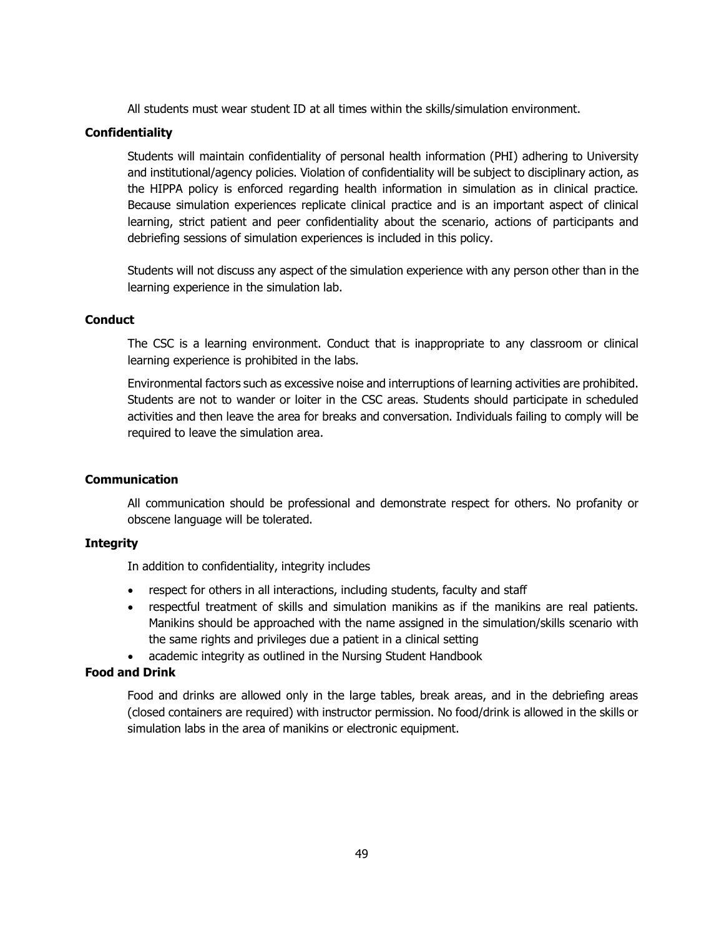All students must wear student ID at all times within the skills/simulation environment.

#### **Confidentiality**

Students will maintain confidentiality of personal health information (PHI) adhering to University and institutional/agency policies. Violation of confidentiality will be subject to disciplinary action, as the HIPPA policy is enforced regarding health information in simulation as in clinical practice. Because simulation experiences replicate clinical practice and is an important aspect of clinical learning, strict patient and peer confidentiality about the scenario, actions of participants and debriefing sessions of simulation experiences is included in this policy.

Students will not discuss any aspect of the simulation experience with any person other than in the learning experience in the simulation lab.

#### **Conduct**

The CSC is a learning environment. Conduct that is inappropriate to any classroom or clinical learning experience is prohibited in the labs.

Environmental factors such as excessive noise and interruptions of learning activities are prohibited. Students are not to wander or loiter in the CSC areas. Students should participate in scheduled activities and then leave the area for breaks and conversation. Individuals failing to comply will be required to leave the simulation area.

#### **Communication**

All communication should be professional and demonstrate respect for others. No profanity or obscene language will be tolerated.

#### **Integrity**

In addition to confidentiality, integrity includes

- respect for others in all interactions, including students, faculty and staff
- respectful treatment of skills and simulation manikins as if the manikins are real patients. Manikins should be approached with the name assigned in the simulation/skills scenario with the same rights and privileges due a patient in a clinical setting
- academic integrity as outlined in the Nursing Student Handbook

#### **Food and Drink**

Food and drinks are allowed only in the large tables, break areas, and in the debriefing areas (closed containers are required) with instructor permission. No food/drink is allowed in the skills or simulation labs in the area of manikins or electronic equipment.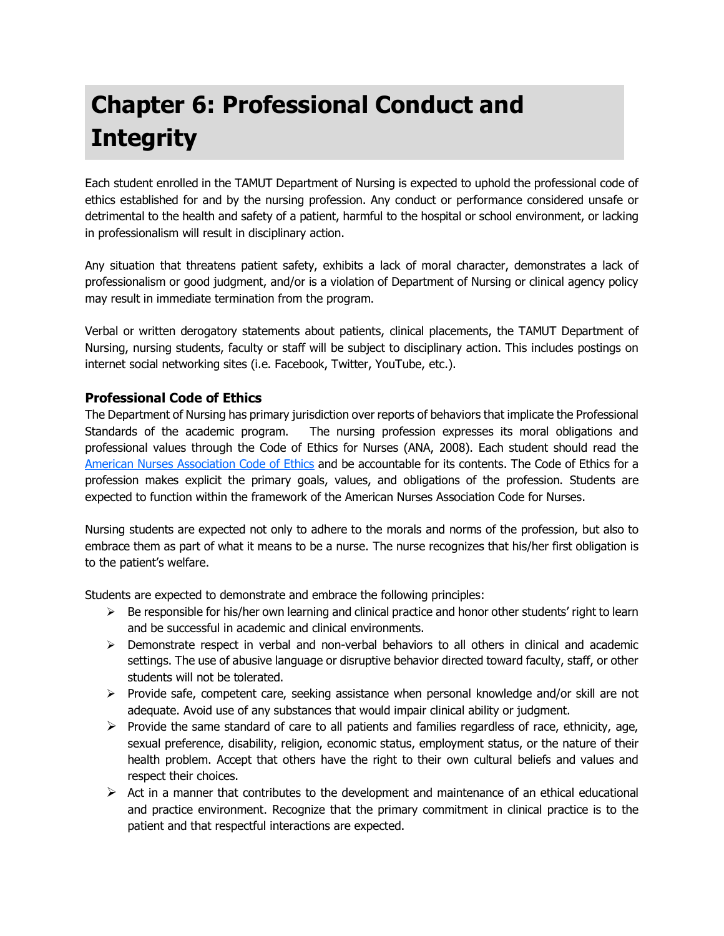# **Chapter 6: Professional Conduct and Integrity**

Each student enrolled in the TAMUT Department of Nursing is expected to uphold the professional code of ethics established for and by the nursing profession. Any conduct or performance considered unsafe or detrimental to the health and safety of a patient, harmful to the hospital or school environment, or lacking in professionalism will result in disciplinary action.

Any situation that threatens patient safety, exhibits a lack of moral character, demonstrates a lack of professionalism or good judgment, and/or is a violation of Department of Nursing or clinical agency policy may result in immediate termination from the program.

Verbal or written derogatory statements about patients, clinical placements, the TAMUT Department of Nursing, nursing students, faculty or staff will be subject to disciplinary action. This includes postings on internet social networking sites (i.e. Facebook, Twitter, YouTube, etc.).

## **Professional Code of Ethics**

The Department of Nursing has primary jurisdiction over reports of behaviors that implicate the Professional Standards of the academic program. The nursing profession expresses its moral obligations and professional values through the Code of Ethics for Nurses (ANA, 2008). Each student should read the [American Nurses Association Code of Ethics](http://www.nursingworld.org/MainMenuCategories/EthicsStandards/CodeofEthics.aspx) and be accountable for its contents. The Code of Ethics for a profession makes explicit the primary goals, values, and obligations of the profession. Students are expected to function within the framework of the American Nurses Association Code for Nurses.

Nursing students are expected not only to adhere to the morals and norms of the profession, but also to embrace them as part of what it means to be a nurse. The nurse recognizes that his/her first obligation is to the patient's welfare.

Students are expected to demonstrate and embrace the following principles:

- $\triangleright$  Be responsible for his/her own learning and clinical practice and honor other students' right to learn and be successful in academic and clinical environments.
- > Demonstrate respect in verbal and non-verbal behaviors to all others in clinical and academic settings. The use of abusive language or disruptive behavior directed toward faculty, staff, or other students will not be tolerated.
- $\triangleright$  Provide safe, competent care, seeking assistance when personal knowledge and/or skill are not adequate. Avoid use of any substances that would impair clinical ability or judgment.
- $\triangleright$  Provide the same standard of care to all patients and families regardless of race, ethnicity, age, sexual preference, disability, religion, economic status, employment status, or the nature of their health problem. Accept that others have the right to their own cultural beliefs and values and respect their choices.
- $\triangleright$  Act in a manner that contributes to the development and maintenance of an ethical educational and practice environment. Recognize that the primary commitment in clinical practice is to the patient and that respectful interactions are expected.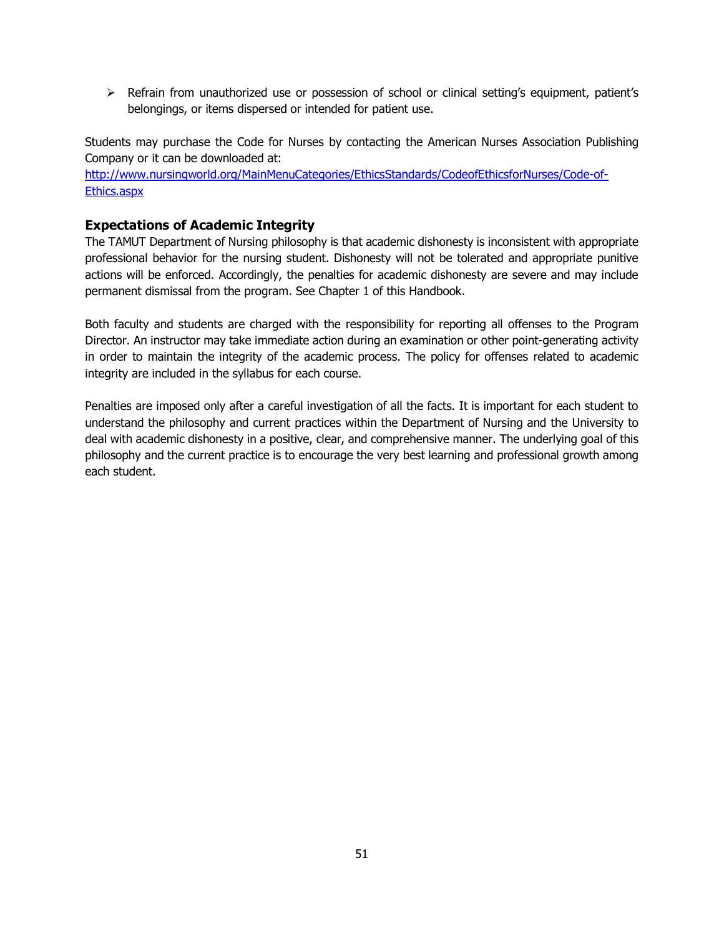$\triangleright$  Refrain from unauthorized use or possession of school or clinical setting's equipment, patient's belongings, or items dispersed or intended for patient use.

Students may purchase the Code for Nurses by contacting the American Nurses Association Publishing Company or it can be downloaded at:

[http://www.nursingworld.org/MainMenuCategories/EthicsStandards/CodeofEthicsforNurses/Code-of-](http://www.nursingworld.org/MainMenuCategories/EthicsStandards/CodeofEthicsforNurses/Code-of-Ethics.aspx)[Ethics.aspx](http://www.nursingworld.org/MainMenuCategories/EthicsStandards/CodeofEthicsforNurses/Code-of-Ethics.aspx)

## **Expectations of Academic Integrity**

The TAMUT Department of Nursing philosophy is that academic dishonesty is inconsistent with appropriate professional behavior for the nursing student. Dishonesty will not be tolerated and appropriate punitive actions will be enforced. Accordingly, the penalties for academic dishonesty are severe and may include permanent dismissal from the program. See Chapter 1 of this Handbook.

Both faculty and students are charged with the responsibility for reporting all offenses to the Program Director. An instructor may take immediate action during an examination or other point-generating activity in order to maintain the integrity of the academic process. The policy for offenses related to academic integrity are included in the syllabus for each course.

Penalties are imposed only after a careful investigation of all the facts. It is important for each student to understand the philosophy and current practices within the Department of Nursing and the University to deal with academic dishonesty in a positive, clear, and comprehensive manner. The underlying goal of this philosophy and the current practice is to encourage the very best learning and professional growth among each student.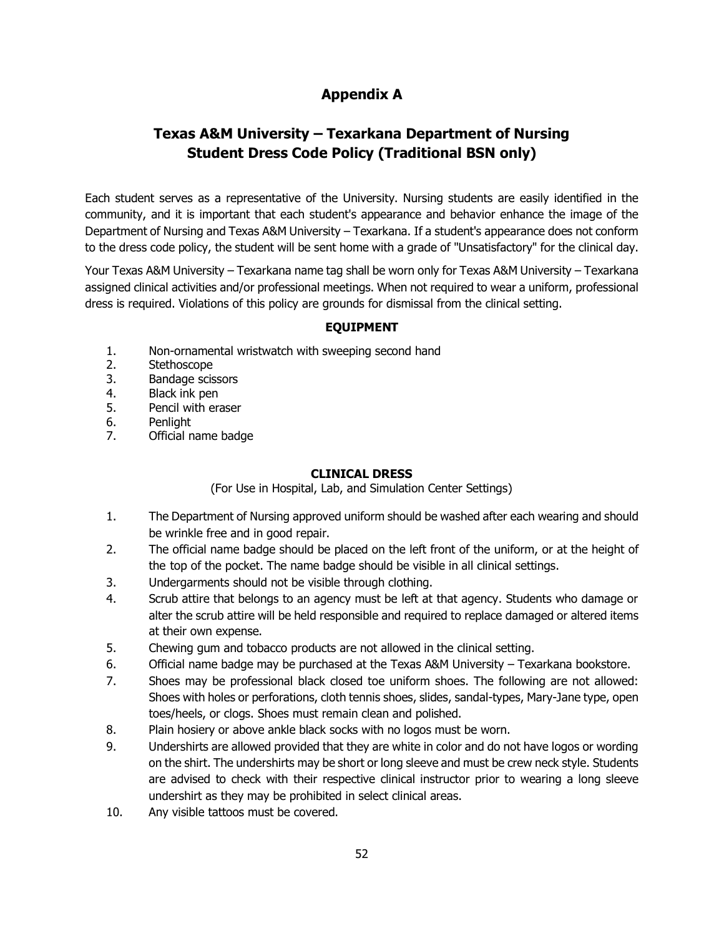## **Appendix A**

## **Texas A&M University – Texarkana Department of Nursing Student Dress Code Policy (Traditional BSN only)**

Each student serves as a representative of the University. Nursing students are easily identified in the community, and it is important that each student's appearance and behavior enhance the image of the Department of Nursing and Texas A&M University – Texarkana. If a student's appearance does not conform to the dress code policy, the student will be sent home with a grade of "Unsatisfactory" for the clinical day.

Your Texas A&M University – Texarkana name tag shall be worn only for Texas A&M University – Texarkana assigned clinical activities and/or professional meetings. When not required to wear a uniform, professional dress is required. Violations of this policy are grounds for dismissal from the clinical setting.

#### **EQUIPMENT**

- 1. Non-ornamental wristwatch with sweeping second hand
- 2. Stethoscope
- 3. Bandage scissors
- 4. Black ink pen
- 5. Pencil with eraser
- 6. Penlight
- 7. Official name badge

#### **CLINICAL DRESS**

(For Use in Hospital, Lab, and Simulation Center Settings)

- 1. The Department of Nursing approved uniform should be washed after each wearing and should be wrinkle free and in good repair.
- 2. The official name badge should be placed on the left front of the uniform, or at the height of the top of the pocket. The name badge should be visible in all clinical settings.
- 3. Undergarments should not be visible through clothing.
- 4. Scrub attire that belongs to an agency must be left at that agency. Students who damage or alter the scrub attire will be held responsible and required to replace damaged or altered items at their own expense.
- 5. Chewing gum and tobacco products are not allowed in the clinical setting.
- 6. Official name badge may be purchased at the Texas A&M University Texarkana bookstore.
- 7. Shoes may be professional black closed toe uniform shoes. The following are not allowed: Shoes with holes or perforations, cloth tennis shoes, slides, sandal-types, Mary-Jane type, open toes/heels, or clogs. Shoes must remain clean and polished.
- 8. Plain hosiery or above ankle black socks with no logos must be worn.
- 9. Undershirts are allowed provided that they are white in color and do not have logos or wording on the shirt. The undershirts may be short or long sleeve and must be crew neck style. Students are advised to check with their respective clinical instructor prior to wearing a long sleeve undershirt as they may be prohibited in select clinical areas.
- 10. Any visible tattoos must be covered.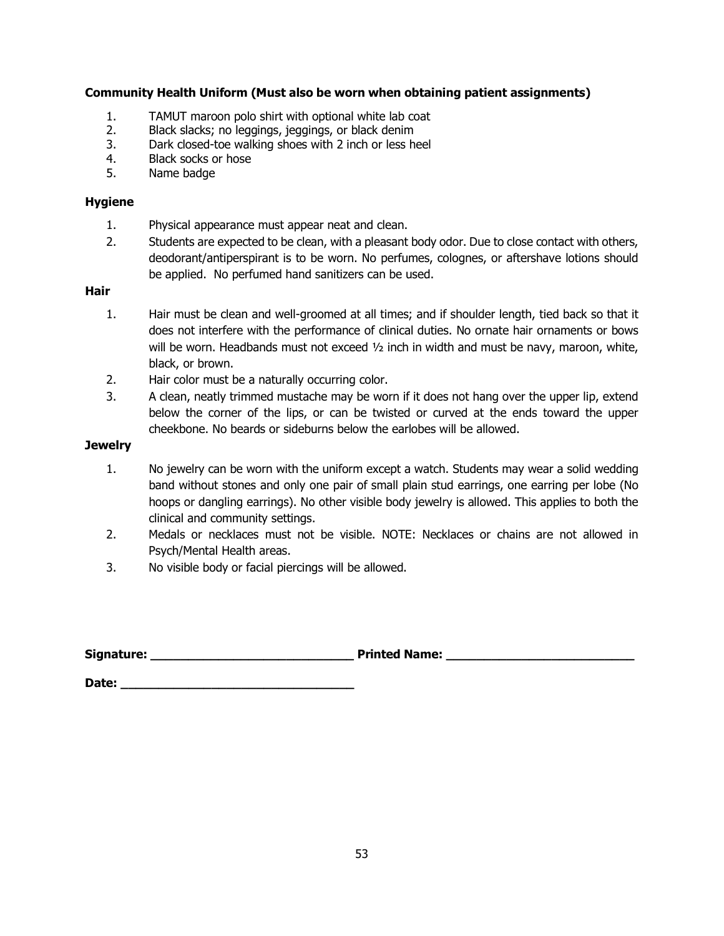#### **Community Health Uniform (Must also be worn when obtaining patient assignments)**

- 1. TAMUT maroon polo shirt with optional white lab coat<br>2. Black slacks: no leggings, jeggings, or black denim
- 2. Black slacks; no leggings, jeggings, or black denim<br>3. Dark closed-toe walking shoes with 2 inch or less he
- Dark closed-toe walking shoes with 2 inch or less heel
- 4. Black socks or hose<br>5. Name badge
- Name badge

#### **Hygiene**

- 1. Physical appearance must appear neat and clean.
- 2. Students are expected to be clean, with a pleasant body odor. Due to close contact with others, deodorant/antiperspirant is to be worn. No perfumes, colognes, or aftershave lotions should be applied. No perfumed hand sanitizers can be used.

#### **Hair**

- 1. Hair must be clean and well-groomed at all times; and if shoulder length, tied back so that it does not interfere with the performance of clinical duties. No ornate hair ornaments or bows will be worn. Headbands must not exceed  $1/2$  inch in width and must be navy, maroon, white, black, or brown.
- 2. Hair color must be a naturally occurring color.
- 3. A clean, neatly trimmed mustache may be worn if it does not hang over the upper lip, extend below the corner of the lips, or can be twisted or curved at the ends toward the upper cheekbone. No beards or sideburns below the earlobes will be allowed.

#### **Jewelry**

- 1. No jewelry can be worn with the uniform except a watch. Students may wear a solid wedding band without stones and only one pair of small plain stud earrings, one earring per lobe (No hoops or dangling earrings). No other visible body jewelry is allowed. This applies to both the clinical and community settings.
- 2. Medals or necklaces must not be visible. NOTE: Necklaces or chains are not allowed in Psych/Mental Health areas.
- 3. No visible body or facial piercings will be allowed.

Signature: **The algebra of the set of the set of the Signature:**  $\blacksquare$ 

**Date: \_\_\_\_\_\_\_\_\_\_\_\_\_\_\_\_\_\_\_\_\_\_\_\_\_\_\_\_\_\_\_**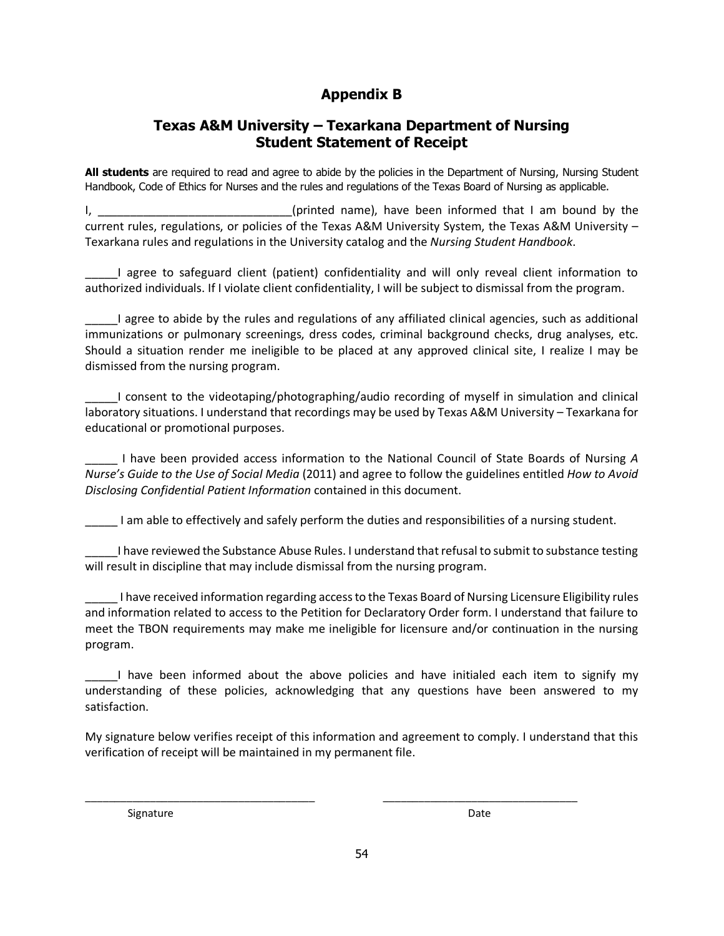## **Appendix B**

## **Texas A&M University – Texarkana Department of Nursing Student Statement of Receipt**

**All students** are required to read and agree to abide by the policies in the Department of Nursing, Nursing Student Handbook, Code of Ethics for Nurses and the rules and regulations of the Texas Board of Nursing as applicable.

I, \_\_\_\_\_\_\_\_\_\_\_\_\_\_\_\_\_\_\_\_\_\_\_\_\_\_\_\_\_(printed name), have been informed that I am bound by the current rules, regulations, or policies of the Texas A&M University System, the Texas A&M University – Texarkana rules and regulations in the University catalog and the *Nursing Student Handbook*.

\_\_\_\_\_I agree to safeguard client (patient) confidentiality and will only reveal client information to authorized individuals. If I violate client confidentiality, I will be subject to dismissal from the program.

\_\_\_\_\_I agree to abide by the rules and regulations of any affiliated clinical agencies, such as additional immunizations or pulmonary screenings, dress codes, criminal background checks, drug analyses, etc. Should a situation render me ineligible to be placed at any approved clinical site, I realize I may be dismissed from the nursing program.

\_\_\_\_\_I consent to the videotaping/photographing/audio recording of myself in simulation and clinical laboratory situations. I understand that recordings may be used by Texas A&M University – Texarkana for educational or promotional purposes.

\_\_\_\_\_ I have been provided access information to the National Council of State Boards of Nursing *A Nurse's Guide to the Use of Social Media* (2011) and agree to follow the guidelines entitled *How to Avoid Disclosing Confidential Patient Information* contained in this document.

\_\_\_\_\_ I am able to effectively and safely perform the duties and responsibilities of a nursing student.

\_\_\_\_\_I have reviewed the Substance Abuse Rules. I understand that refusal to submit to substance testing will result in discipline that may include dismissal from the nursing program.

\_\_\_\_\_ I have received information regarding access to the Texas Board of Nursing Licensure Eligibility rules and information related to access to the Petition for Declaratory Order form. I understand that failure to meet the TBON requirements may make me ineligible for licensure and/or continuation in the nursing program.

\_\_\_\_\_I have been informed about the above policies and have initialed each item to signify my understanding of these policies, acknowledging that any questions have been answered to my satisfaction.

My signature below verifies receipt of this information and agreement to comply. I understand that this verification of receipt will be maintained in my permanent file.

\_\_\_\_\_\_\_\_\_\_\_\_\_\_\_\_\_\_\_\_\_\_\_\_\_\_\_\_\_\_\_\_\_\_\_\_\_\_\_ \_\_\_\_\_\_\_\_\_\_\_\_\_\_\_\_\_\_\_\_\_\_\_\_\_\_\_\_\_\_\_\_\_

Signature Date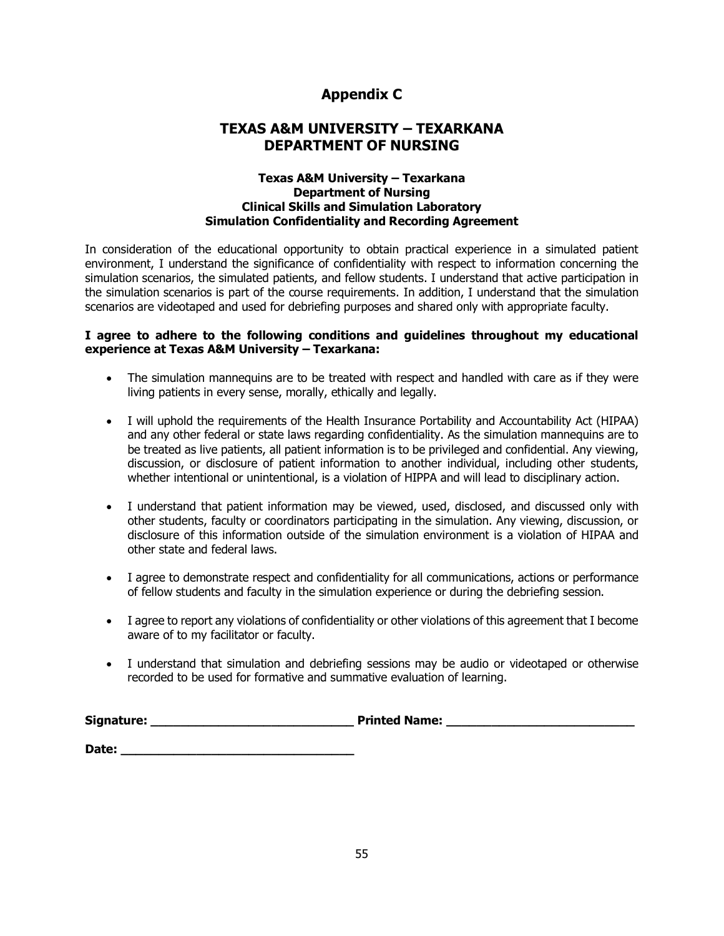## **Appendix C**

## **TEXAS A&M UNIVERSITY – TEXARKANA DEPARTMENT OF NURSING**

#### **Texas A&M University – Texarkana Department of Nursing Clinical Skills and Simulation Laboratory Simulation Confidentiality and Recording Agreement**

In consideration of the educational opportunity to obtain practical experience in a simulated patient environment, I understand the significance of confidentiality with respect to information concerning the simulation scenarios, the simulated patients, and fellow students. I understand that active participation in the simulation scenarios is part of the course requirements. In addition, I understand that the simulation scenarios are videotaped and used for debriefing purposes and shared only with appropriate faculty.

#### **I agree to adhere to the following conditions and guidelines throughout my educational experience at Texas A&M University – Texarkana:**

- The simulation mannequins are to be treated with respect and handled with care as if they were living patients in every sense, morally, ethically and legally.
- I will uphold the requirements of the Health Insurance Portability and Accountability Act (HIPAA) and any other federal or state laws regarding confidentiality. As the simulation mannequins are to be treated as live patients, all patient information is to be privileged and confidential. Any viewing, discussion, or disclosure of patient information to another individual, including other students, whether intentional or unintentional, is a violation of HIPPA and will lead to disciplinary action.
- I understand that patient information may be viewed, used, disclosed, and discussed only with other students, faculty or coordinators participating in the simulation. Any viewing, discussion, or disclosure of this information outside of the simulation environment is a violation of HIPAA and other state and federal laws.
- I agree to demonstrate respect and confidentiality for all communications, actions or performance of fellow students and faculty in the simulation experience or during the debriefing session.
- I agree to report any violations of confidentiality or other violations of this agreement that I become aware of to my facilitator or faculty.
- I understand that simulation and debriefing sessions may be audio or videotaped or otherwise recorded to be used for formative and summative evaluation of learning.

| Signature: | <b>Printed Name:</b> |
|------------|----------------------|
|            |                      |
| Date:      |                      |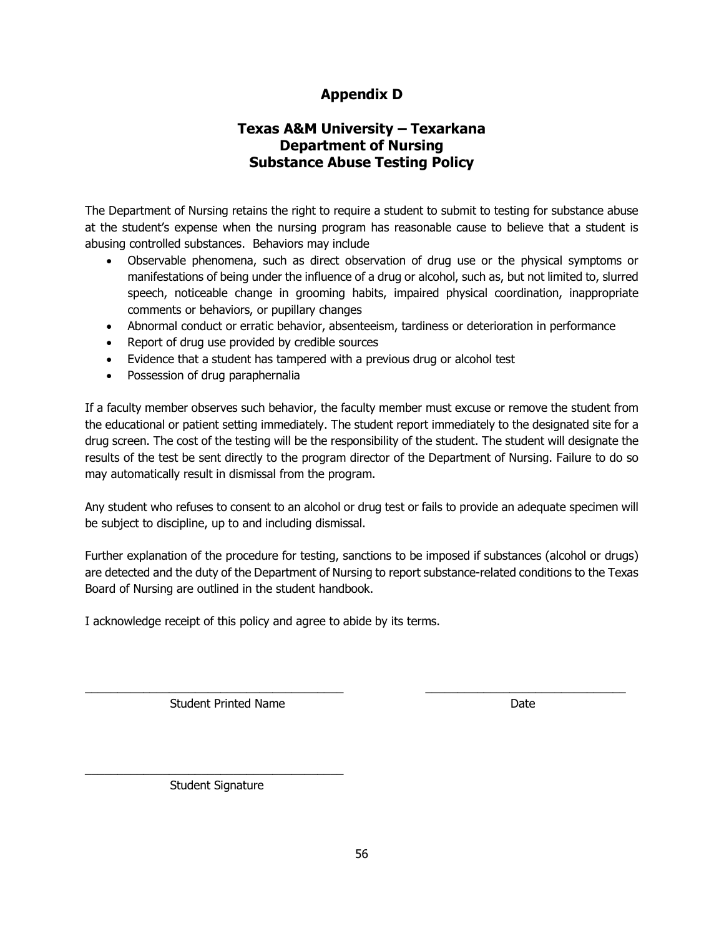## **Appendix D**

## **Texas A&M University – Texarkana Department of Nursing Substance Abuse Testing Policy**

The Department of Nursing retains the right to require a student to submit to testing for substance abuse at the student's expense when the nursing program has reasonable cause to believe that a student is abusing controlled substances. Behaviors may include

- Observable phenomena, such as direct observation of drug use or the physical symptoms or manifestations of being under the influence of a drug or alcohol, such as, but not limited to, slurred speech, noticeable change in grooming habits, impaired physical coordination, inappropriate comments or behaviors, or pupillary changes
- Abnormal conduct or erratic behavior, absenteeism, tardiness or deterioration in performance
- Report of drug use provided by credible sources
- Evidence that a student has tampered with a previous drug or alcohol test
- Possession of drug paraphernalia

If a faculty member observes such behavior, the faculty member must excuse or remove the student from the educational or patient setting immediately. The student report immediately to the designated site for a drug screen. The cost of the testing will be the responsibility of the student. The student will designate the results of the test be sent directly to the program director of the Department of Nursing. Failure to do so may automatically result in dismissal from the program.

Any student who refuses to consent to an alcohol or drug test or fails to provide an adequate specimen will be subject to discipline, up to and including dismissal.

Further explanation of the procedure for testing, sanctions to be imposed if substances (alcohol or drugs) are detected and the duty of the Department of Nursing to report substance-related conditions to the Texas Board of Nursing are outlined in the student handbook.

\_\_\_\_\_\_\_\_\_\_\_\_\_\_\_\_\_\_\_\_\_\_\_\_\_\_\_\_\_\_\_\_\_\_\_\_\_\_\_\_ \_\_\_\_\_\_\_\_\_\_\_\_\_\_\_\_\_\_\_\_\_\_\_\_\_\_\_\_\_\_\_

I acknowledge receipt of this policy and agree to abide by its terms.

Student Printed Name **Date** 

\_\_\_\_\_\_\_\_\_\_\_\_\_\_\_\_\_\_\_\_\_\_\_\_\_\_\_\_\_\_\_\_\_\_\_\_\_\_\_\_ Student Signature